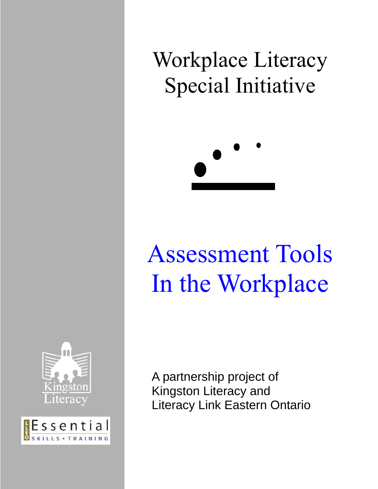Workplace Literacy Special Initiative



# Assessment Tools In the Workplace





A partnership project of Kingston Literacy and Literacy Link Eastern Ontario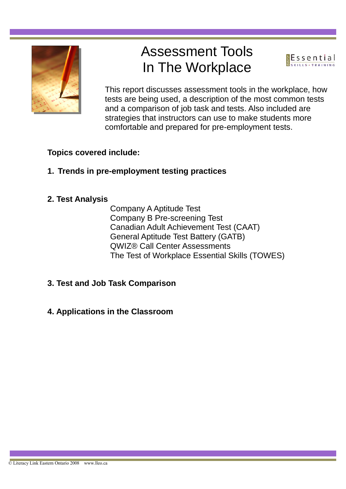

# Assessment Tools In The Workplace



This report discusses assessment tools in the workplace, how tests are being used, a description of the most common tests and a comparison of job task and tests. Also included are strategies that instructors can use to make students more comfortable and prepared for pre-employment tests.

# **Topics covered include:**

# **1. Trends in pre-employment testing practices**

# **2. Test Analysis**

Company A Aptitude Test Company B Pre-screening Test Canadian Adult Achievement Test (CAAT) General Aptitude Test Battery (GATB) QWIZ® Call Center Assessments The Test of Workplace Essential Skills (TOWES)

# **3. Test and Job Task Comparison**

**4. Applications in the Classroom**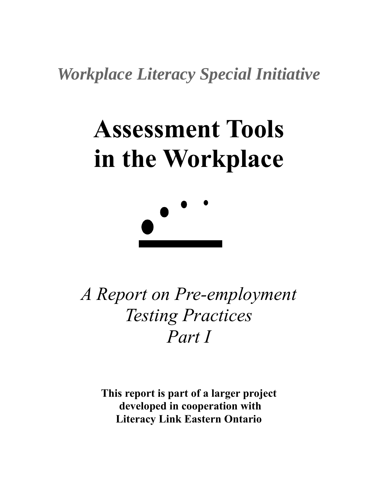*Workplace Literacy Special Initiative* 

# **Assessment Tools in the Workplace**



# *A Report on Pre-employment Testing Practices Part I*

**This report is part of a larger project developed in cooperation with Literacy Link Eastern Ontario**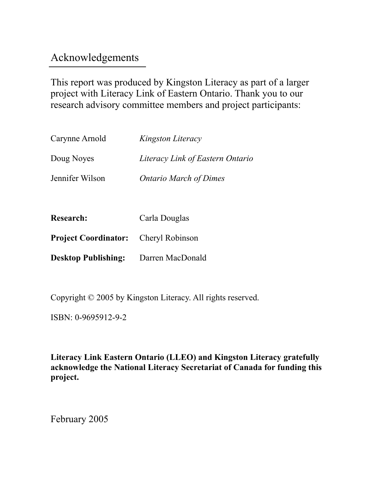# Acknowledgements

This report was produced by Kingston Literacy as part of a larger project with Literacy Link of Eastern Ontario. Thank you to our research advisory committee members and project participants:

| Carynne Arnold  | <b>Kingston Literacy</b>         |
|-----------------|----------------------------------|
| Doug Noyes      | Literacy Link of Eastern Ontario |
| Jennifer Wilson | <b>Ontario March of Dimes</b>    |

| <b>Research:</b>                            | Carla Douglas    |
|---------------------------------------------|------------------|
| <b>Project Coordinator:</b> Cheryl Robinson |                  |
| <b>Desktop Publishing:</b>                  | Darren MacDonald |

Copyright © 2005 by Kingston Literacy. All rights reserved.

ISBN: 0-9695912-9-2

**Literacy Link Eastern Ontario (LLEO) and Kingston Literacy gratefully acknowledge the National Literacy Secretariat of Canada for funding this project.** 

February 2005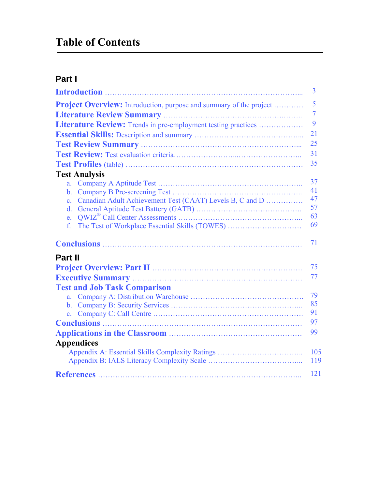# **Table of Contents**

# **Part I**

|                                                                            | $\overline{3}$ |
|----------------------------------------------------------------------------|----------------|
| Project Overview: Introduction, purpose and summary of the project         | 5              |
|                                                                            | $\overline{7}$ |
| Literature Review: Trends in pre-employment testing practices              | 9              |
|                                                                            | 21             |
|                                                                            | 25             |
|                                                                            | 31             |
|                                                                            | 35             |
| <b>Test Analysis</b>                                                       |                |
| a <sub>1</sub>                                                             | 37             |
| $\mathbf{b}$ .                                                             | 41             |
| Canadian Adult Achievement Test (CAAT) Levels B, C and D<br>$\mathbf{c}$ . | 47             |
| $d_{\cdot}$                                                                | 57             |
| $\mathbf{e}$ .                                                             | 63             |
| The Test of Workplace Essential Skills (TOWES)<br>f                        | 69             |
|                                                                            | 71             |
| Part II                                                                    |                |
|                                                                            | 75             |
|                                                                            | 77             |
| <b>Test and Job Task Comparison</b>                                        |                |
| $a_{-}$                                                                    | 79             |
|                                                                            | 85             |
|                                                                            | 91             |
|                                                                            | 97             |
|                                                                            | 99             |
| <b>Appendices</b>                                                          |                |
|                                                                            | 105            |
|                                                                            | 119            |
|                                                                            | 121            |
|                                                                            |                |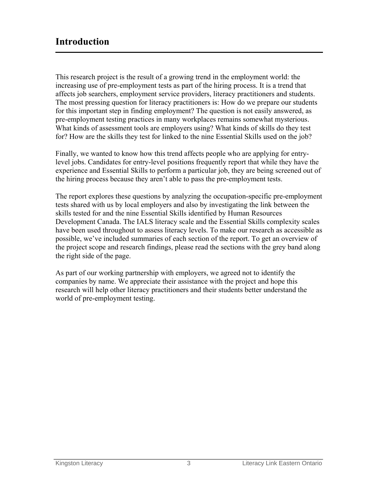# <span id="page-6-0"></span>**Introduction**

This research project is the result of a growing trend in the employment world: the increasing use of pre-employment tests as part of the hiring process. It is a trend that affects job searchers, employment service providers, literacy practitioners and students. The most pressing question for literacy practitioners is: How do we prepare our students for this important step in finding employment? The question is not easily answered, as pre-employment testing practices in many workplaces remains somewhat mysterious. What kinds of assessment tools are employers using? What kinds of skills do they test for? How are the skills they test for linked to the nine Essential Skills used on the job?

Finally, we wanted to know how this trend affects people who are applying for entrylevel jobs. Candidates for entry-level positions frequently report that while they have the experience and Essential Skills to perform a particular job, they are being screened out of the hiring process because they aren't able to pass the pre-employment tests.

The report explores these questions by analyzing the occupation-specific pre-employment tests shared with us by local employers and also by investigating the link between the skills tested for and the nine Essential Skills identified by Human Resources Development Canada. The IALS literacy scale and the Essential Skills complexity scales have been used throughout to assess literacy levels. To make our research as accessible as possible, we've included summaries of each section of the report. To get an overview of the project scope and research findings, please read the sections with the grey band along the right side of the page.

As part of our working partnership with employers, we agreed not to identify the companies by name. We appreciate their assistance with the project and hope this research will help other literacy practitioners and their students better understand the world of pre-employment testing.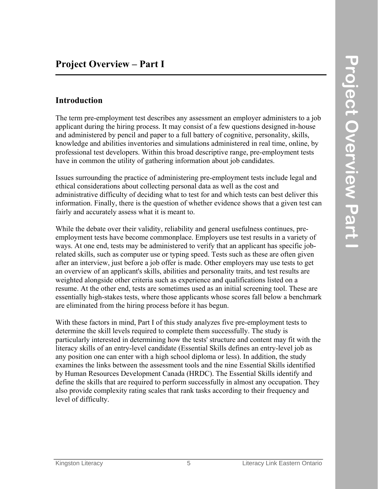#### <span id="page-8-0"></span>**Introduction**

The term pre-employment test describes any assessment an employer administers to a job applicant during the hiring process. It may consist of a few questions designed in-house and administered by pencil and paper to a full battery of cognitive, personality, skills, knowledge and abilities inventories and simulations administered in real time, online, by professional test developers. Within this broad descriptive range, pre-employment tests have in common the utility of gathering information about job candidates.

Issues surrounding the practice of administering pre-employment tests include legal and ethical considerations about collecting personal data as well as the cost and administrative difficulty of deciding what to test for and which tests can best deliver this information. Finally, there is the question of whether evidence shows that a given test can fairly and accurately assess what it is meant to.

While the debate over their validity, reliability and general usefulness continues, preemployment tests have become commonplace. Employers use test results in a variety of ways. At one end, tests may be administered to verify that an applicant has specific jobrelated skills, such as computer use or typing speed. Tests such as these are often given after an interview, just before a job offer is made. Other employers may use tests to get an overview of an applicant's skills, abilities and personality traits, and test results are weighted alongside other criteria such as experience and qualifications listed on a resume. At the other end, tests are sometimes used as an initial screening tool. These are essentially high-stakes tests, where those applicants whose scores fall below a benchmark are eliminated from the hiring process before it has begun.

With these factors in mind, Part I of this study analyzes five pre-employment tests to determine the skill levels required to complete them successfully. The study is particularly interested in determining how the tests' structure and content may fit with the literacy skills of an entry-level candidate (Essential Skills defines an entry-level job as any position one can enter with a high school diploma or less). In addition, the study examines the links between the assessment tools and the nine Essential Skills identified by Human Resources Development Canada (HRDC). The Essential Skills identify and define the skills that are required to perform successfully in almost any occupation. They also provide complexity rating scales that rank tasks according to their frequency and level of difficulty.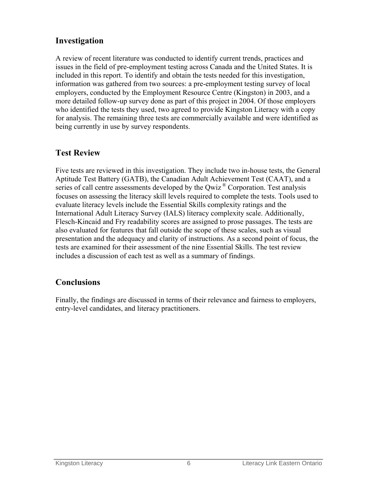#### **Investigation**

A review of recent literature was conducted to identify current trends, practices and issues in the field of pre-employment testing across Canada and the United States. It is included in this report. To identify and obtain the tests needed for this investigation, information was gathered from two sources: a pre-employment testing survey of local employers, conducted by the Employment Resource Centre (Kingston) in 2003, and a more detailed follow-up survey done as part of this project in 2004. Of those employers who identified the tests they used, two agreed to provide Kingston Literacy with a copy for analysis. The remaining three tests are commercially available and were identified as being currently in use by survey respondents.

# **Test Review**

Five tests are reviewed in this investigation. They include two in-house tests, the General Aptitude Test Battery (GATB), the Canadian Adult Achievement Test (CAAT), and a series of call centre assessments developed by the Qwiz<sup>®</sup> Corporation. Test analysis focuses on assessing the literacy skill levels required to complete the tests. Tools used to evaluate literacy levels include the Essential Skills complexity ratings and the International Adult Literacy Survey (IALS) literacy complexity scale. Additionally, Flesch-Kincaid and Fry readability scores are assigned to prose passages. The tests are also evaluated for features that fall outside the scope of these scales, such as visual presentation and the adequacy and clarity of instructions. As a second point of focus, the tests are examined for their assessment of the nine Essential Skills. The test review includes a discussion of each test as well as a summary of findings.

# **Conclusions**

Finally, the findings are discussed in terms of their relevance and fairness to employers, entry-level candidates, and literacy practitioners.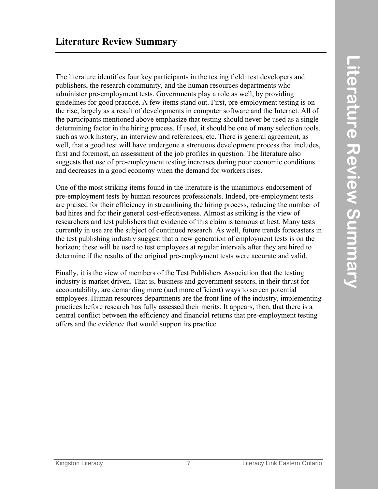<span id="page-10-0"></span>The literature identifies four key participants in the testing field: test developers and publishers, the research community, and the human resources departments who administer pre-employment tests. Governments play a role as well, by providing guidelines for good practice. A few items stand out. First, pre-employment testing is on the rise, largely as a result of developments in computer software and the Internet. All of the participants mentioned above emphasize that testing should never be used as a single determining factor in the hiring process. If used, it should be one of many selection tools, such as work history, an interview and references, etc. There is general agreement, as well, that a good test will have undergone a strenuous development process that includes, first and foremost, an assessment of the job profiles in question. The literature also suggests that use of pre-employment testing increases during poor economic conditions and decreases in a good economy when the demand for workers rises.

One of the most striking items found in the literature is the unanimous endorsement of pre-employment tests by human resources professionals. Indeed, pre-employment tests are praised for their efficiency in streamlining the hiring process, reducing the number of bad hires and for their general cost-effectiveness. Almost as striking is the view of researchers and test publishers that evidence of this claim is tenuous at best. Many tests currently in use are the subject of continued research. As well, future trends forecasters in the test publishing industry suggest that a new generation of employment tests is on the horizon; these will be used to test employees at regular intervals after they are hired to determine if the results of the original pre-employment tests were accurate and valid.

Finally, it is the view of members of the Test Publishers Association that the testing industry is market driven. That is, business and government sectors, in their thrust for accountability, are demanding more (and more efficient) ways to screen potential employees. Human resources departments are the front line of the industry, implementing practices before research has fully assessed their merits. It appears, then, that there is a central conflict between the efficiency and financial returns that pre-employment testing offers and the evidence that would support its practice.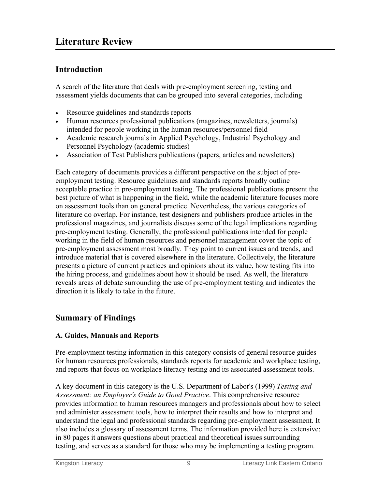#### <span id="page-12-0"></span>**Introduction**

A search of the literature that deals with pre-employment screening, testing and assessment yields documents that can be grouped into several categories, including

- Resource guidelines and standards reports
- Human resources professional publications (magazines, newsletters, journals) intended for people working in the human resources/personnel field
- Academic research journals in Applied Psychology, Industrial Psychology and Personnel Psychology (academic studies)
- Association of Test Publishers publications (papers, articles and newsletters)

Each category of documents provides a different perspective on the subject of preemployment testing. Resource guidelines and standards reports broadly outline acceptable practice in pre-employment testing. The professional publications present the best picture of what is happening in the field, while the academic literature focuses more on assessment tools than on general practice. Nevertheless, the various categories of literature do overlap. For instance, test designers and publishers produce articles in the professional magazines, and journalists discuss some of the legal implications regarding pre-employment testing. Generally, the professional publications intended for people working in the field of human resources and personnel management cover the topic of pre-employment assessment most broadly. They point to current issues and trends, and introduce material that is covered elsewhere in the literature. Collectively, the literature presents a picture of current practices and opinions about its value, how testing fits into the hiring process, and guidelines about how it should be used. As well, the literature reveals areas of debate surrounding the use of pre-employment testing and indicates the direction it is likely to take in the future.

# **Summary of Findings**

#### **A. Guides, Manuals and Reports**

Pre-employment testing information in this category consists of general resource guides for human resources professionals, standards reports for academic and workplace testing, and reports that focus on workplace literacy testing and its associated assessment tools.

A key document in this category is the U.S. Department of Labor's (1999) *Testing and Assessment: an Employer's Guide to Good Practice*. This comprehensive resource provides information to human resources managers and professionals about how to select and administer assessment tools, how to interpret their results and how to interpret and understand the legal and professional standards regarding pre-employment assessment. It also includes a glossary of assessment terms. The information provided here is extensive: in 80 pages it answers questions about practical and theoretical issues surrounding testing, and serves as a standard for those who may be implementing a testing program.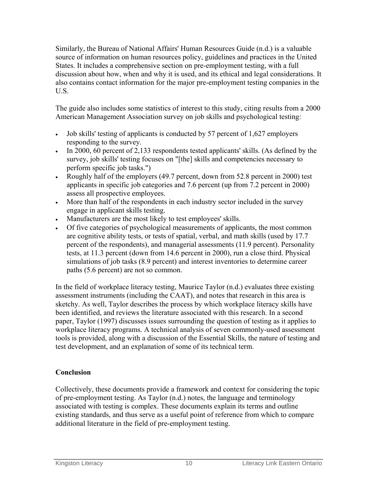Similarly, the Bureau of National Affairs' Human Resources Guide (n.d.) is a valuable source of information on human resources policy, guidelines and practices in the United States. It includes a comprehensive section on pre-employment testing, with a full discussion about how, when and why it is used, and its ethical and legal considerations. It also contains contact information for the major pre-employment testing companies in the U.S.

The guide also includes some statistics of interest to this study, citing results from a 2000 American Management Association survey on job skills and psychological testing:

- Job skills' testing of applicants is conducted by 57 percent of 1,627 employers responding to the survey.
- In 2000, 60 percent of 2,133 respondents tested applicants' skills. (As defined by the survey, job skills' testing focuses on "[the] skills and competencies necessary to perform specific job tasks.")
- Roughly half of the employers (49.7 percent, down from 52.8 percent in 2000) test applicants in specific job categories and 7.6 percent (up from 7.2 percent in 2000) assess all prospective employees.
- More than half of the respondents in each industry sector included in the survey engage in applicant skills testing.
- Manufacturers are the most likely to test employees' skills.
- Of five categories of psychological measurements of applicants, the most common are cognitive ability tests, or tests of spatial, verbal, and math skills (used by 17.7 percent of the respondents), and managerial assessments (11.9 percent). Personality tests, at 11.3 percent (down from 14.6 percent in 2000), run a close third. Physical simulations of job tasks (8.9 percent) and interest inventories to determine career paths (5.6 percent) are not so common.

In the field of workplace literacy testing, Maurice Taylor (n.d.) evaluates three existing assessment instruments (including the CAAT), and notes that research in this area is sketchy. As well, Taylor describes the process by which workplace literacy skills have been identified, and reviews the literature associated with this research. In a second paper, Taylor (1997) discusses issues surrounding the question of testing as it applies to workplace literacy programs. A technical analysis of seven commonly-used assessment tools is provided, along with a discussion of the Essential Skills, the nature of testing and test development, and an explanation of some of its technical term.

#### **Conclusion**

Collectively, these documents provide a framework and context for considering the topic of pre-employment testing. As Taylor (n.d.) notes, the language and terminology associated with testing is complex. These documents explain its terms and outline existing standards, and thus serve as a useful point of reference from which to compare additional literature in the field of pre-employment testing.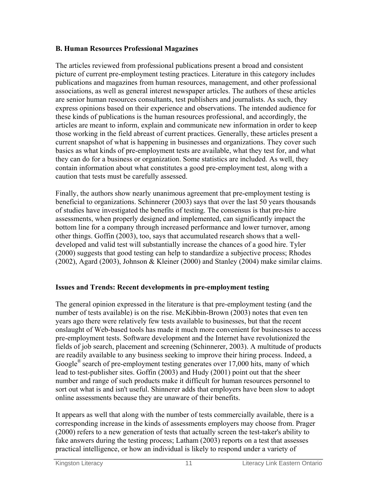#### **B. Human Resources Professional Magazines**

The articles reviewed from professional publications present a broad and consistent picture of current pre-employment testing practices. Literature in this category includes publications and magazines from human resources, management, and other professional associations, as well as general interest newspaper articles. The authors of these articles are senior human resources consultants, test publishers and journalists. As such, they express opinions based on their experience and observations. The intended audience for these kinds of publications is the human resources professional, and accordingly, the articles are meant to inform, explain and communicate new information in order to keep those working in the field abreast of current practices. Generally, these articles present a current snapshot of what is happening in businesses and organizations. They cover such basics as what kinds of pre-employment tests are available, what they test for, and what they can do for a business or organization. Some statistics are included. As well, they contain information about what constitutes a good pre-employment test, along with a caution that tests must be carefully assessed.

Finally, the authors show nearly unanimous agreement that pre-employment testing is beneficial to organizations. Schinnerer (2003) says that over the last 50 years thousands of studies have investigated the benefits of testing. The consensus is that pre-hire assessments, when properly designed and implemented, can significantly impact the bottom line for a company through increased performance and lower turnover, among other things. Goffin (2003), too, says that accumulated research shows that a welldeveloped and valid test will substantially increase the chances of a good hire. Tyler (2000) suggests that good testing can help to standardize a subjective process; Rhodes (2002), Agard (2003), Johnson & Kleiner (2000) and Stanley (2004) make similar claims.

#### **Issues and Trends: Recent developments in pre-employment testing**

The general opinion expressed in the literature is that pre-employment testing (and the number of tests available) is on the rise. McKibbin-Brown (2003) notes that even ten years ago there were relatively few tests available to businesses, but that the recent onslaught of Web-based tools has made it much more convenient for businesses to access pre-employment tests. Software development and the Internet have revolutionized the fields of job search, placement and screening (Schinnerer, 2003). A multitude of products are readily available to any business seeking to improve their hiring process. Indeed, a Google<sup>®</sup> search of pre-employment testing generates over 17,000 hits, many of which lead to test-publisher sites. Goffin (2003) and Hudy (2001) point out that the sheer number and range of such products make it difficult for human resources personnel to sort out what is and isn't useful. Shinnerer adds that employers have been slow to adopt online assessments because they are unaware of their benefits.

It appears as well that along with the number of tests commercially available, there is a corresponding increase in the kinds of assessments employers may choose from. Prager (2000) refers to a new generation of tests that actually screen the test-taker's ability to fake answers during the testing process; Latham (2003) reports on a test that assesses practical intelligence, or how an individual is likely to respond under a variety of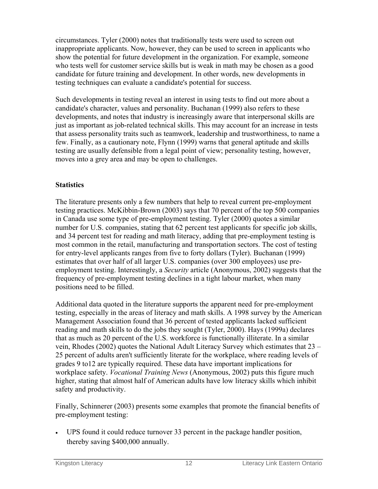circumstances. Tyler (2000) notes that traditionally tests were used to screen out inappropriate applicants. Now, however, they can be used to screen in applicants who show the potential for future development in the organization. For example, someone who tests well for customer service skills but is weak in math may be chosen as a good candidate for future training and development. In other words, new developments in testing techniques can evaluate a candidate's potential for success.

Such developments in testing reveal an interest in using tests to find out more about a candidate's character, values and personality. Buchanan (1999) also refers to these developments, and notes that industry is increasingly aware that interpersonal skills are just as important as job-related technical skills. This may account for an increase in tests that assess personality traits such as teamwork, leadership and trustworthiness, to name a few. Finally, as a cautionary note, Flynn (1999) warns that general aptitude and skills testing are usually defensible from a legal point of view; personality testing, however, moves into a grey area and may be open to challenges.

#### **Statistics**

The literature presents only a few numbers that help to reveal current pre-employment testing practices. McKibbin-Brown (2003) says that 70 percent of the top 500 companies in Canada use some type of pre-employment testing. Tyler (2000) quotes a similar number for U.S. companies, stating that 62 percent test applicants for specific job skills, and 34 percent test for reading and math literacy, adding that pre-employment testing is most common in the retail, manufacturing and transportation sectors. The cost of testing for entry-level applicants ranges from five to forty dollars (Tyler). Buchanan (1999) estimates that over half of all larger U.S. companies (over 300 employees) use preemployment testing. Interestingly, a *Security* article (Anonymous, 2002) suggests that the frequency of pre-employment testing declines in a tight labour market, when many positions need to be filled.

Additional data quoted in the literature supports the apparent need for pre-employment testing, especially in the areas of literacy and math skills. A 1998 survey by the American Management Association found that 36 percent of tested applicants lacked sufficient reading and math skills to do the jobs they sought (Tyler, 2000). Hays (1999a) declares that as much as 20 percent of the U.S. workforce is functionally illiterate. In a similar vein, Rhodes (2002) quotes the National Adult Literacy Survey which estimates that 23 – 25 percent of adults aren't sufficiently literate for the workplace, where reading levels of grades 9 to12 are typically required. These data have important implications for workplace safety. *Vocational Training News* (Anonymous, 2002) puts this figure much higher, stating that almost half of American adults have low literacy skills which inhibit safety and productivity.

Finally, Schinnerer (2003) presents some examples that promote the financial benefits of pre-employment testing:

• UPS found it could reduce turnover 33 percent in the package handler position, thereby saving \$400,000 annually.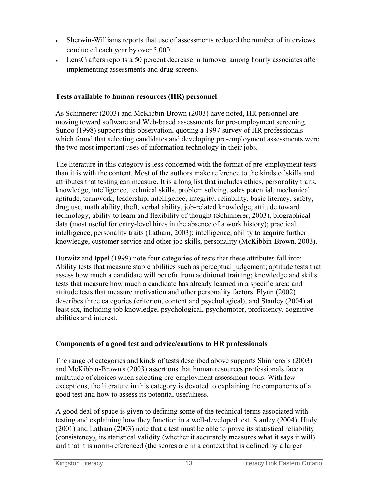- Sherwin-Williams reports that use of assessments reduced the number of interviews conducted each year by over 5,000.
- LensCrafters reports a 50 percent decrease in turnover among hourly associates after implementing assessments and drug screens.

#### **Tests available to human resources (HR) personnel**

As Schinnerer (2003) and McKibbin-Brown (2003) have noted, HR personnel are moving toward software and Web-based assessments for pre-employment screening. Sunoo (1998) supports this observation, quoting a 1997 survey of HR professionals which found that selecting candidates and developing pre-employment assessments were the two most important uses of information technology in their jobs.

The literature in this category is less concerned with the format of pre-employment tests than it is with the content. Most of the authors make reference to the kinds of skills and attributes that testing can measure. It is a long list that includes ethics, personality traits, knowledge, intelligence, technical skills, problem solving, sales potential, mechanical aptitude, teamwork, leadership, intelligence, integrity, reliability, basic literacy, safety, drug use, math ability, theft, verbal ability, job-related knowledge, attitude toward technology, ability to learn and flexibility of thought (Schinnerer, 2003); biographical data (most useful for entry-level hires in the absence of a work history); practical intelligence, personality traits (Latham, 2003); intelligence, ability to acquire further knowledge, customer service and other job skills, personality (McKibbin-Brown, 2003).

Hurwitz and Ippel (1999) note four categories of tests that these attributes fall into: Ability tests that measure stable abilities such as perceptual judgement; aptitude tests that assess how much a candidate will benefit from additional training; knowledge and skills tests that measure how much a candidate has already learned in a specific area; and attitude tests that measure motivation and other personality factors. Flynn (2002) describes three categories (criterion, content and psychological), and Stanley (2004) at least six, including job knowledge, psychological, psychomotor, proficiency, cognitive abilities and interest.

#### **Components of a good test and advice/cautions to HR professionals**

The range of categories and kinds of tests described above supports Shinnerer's (2003) and McKibbin-Brown's (2003) assertions that human resources professionals face a multitude of choices when selecting pre-employment assessment tools. With few exceptions, the literature in this category is devoted to explaining the components of a good test and how to assess its potential usefulness.

A good deal of space is given to defining some of the technical terms associated with testing and explaining how they function in a well-developed test. Stanley (2004), Hudy (2001) and Latham (2003) note that a test must be able to prove its statistical reliability (consistency), its statistical validity (whether it accurately measures what it says it will) and that it is norm-referenced (the scores are in a context that is defined by a larger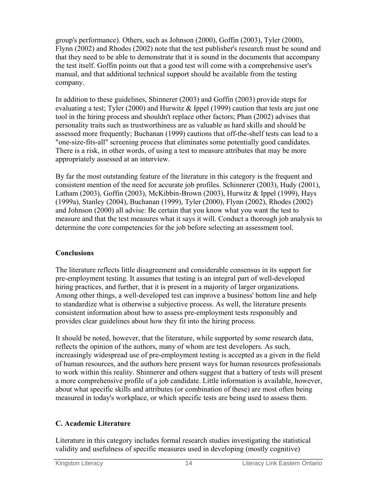group's performance). Others, such as Johnson (2000), Goffin (2003), Tyler (2000), Flynn (2002) and Rhodes (2002) note that the test publisher's research must be sound and that they need to be able to demonstrate that it is sound in the documents that accompany the test itself. Goffin points out that a good test will come with a comprehensive user's manual, and that additional technical support should be available from the testing company.

In addition to these guidelines, Shinnerer (2003) and Goffin (2003) provide steps for evaluating a test; Tyler (2000) and Hurwitz & Ippel (1999) caution that tests are just one tool in the hiring process and shouldn't replace other factors; Phan (2002) advises that personality traits such as trustworthiness are as valuable as hard skills and should be assessed more frequently; Buchanan (1999) cautions that off-the-shelf tests can lead to a "one-size-fits-all" screening process that eliminates some potentially good candidates. There is a risk, in other words, of using a test to measure attributes that may be more appropriately assessed at an interview.

By far the most outstanding feature of the literature in this category is the frequent and consistent mention of the need for accurate job profiles. Schinnerer (2003), Hudy (2001), Latham (2003), Goffin (2003), McKibbin-Brown (2003), Hurwitz & Ippel (1999), Hays (1999a), Stanley (2004), Buchanan (1999), Tyler (2000), Flynn (2002), Rhodes (2002) and Johnson (2000) all advise: Be certain that you know what you want the test to measure and that the test measures what it says it will. Conduct a thorough job analysis to determine the core competencies for the job before selecting an assessment tool.

#### **Conclusions**

The literature reflects little disagreement and considerable consensus in its support for pre-employment testing. It assumes that testing is an integral part of well-developed hiring practices, and further, that it is present in a majority of larger organizations. Among other things, a well-developed test can improve a business' bottom line and help to standardize what is otherwise a subjective process. As well, the literature presents consistent information about how to assess pre-employment tests responsibly and provides clear guidelines about how they fit into the hiring process.

It should be noted, however, that the literature, while supported by some research data, reflects the opinion of the authors, many of whom are test developers. As such, increasingly widespread use of pre-employment testing is accepted as a given in the field of human resources, and the authors here present ways for human resources professionals to work within this reality. Shinnerer and others suggest that a battery of tests will present a more comprehensive profile of a job candidate. Little information is available, however, about what specific skills and attributes (or combination of these) are most often being measured in today's workplace, or which specific tests are being used to assess them.

#### **C. Academic Literature**

Literature in this category includes formal research studies investigating the statistical validity and usefulness of specific measures used in developing (mostly cognitive)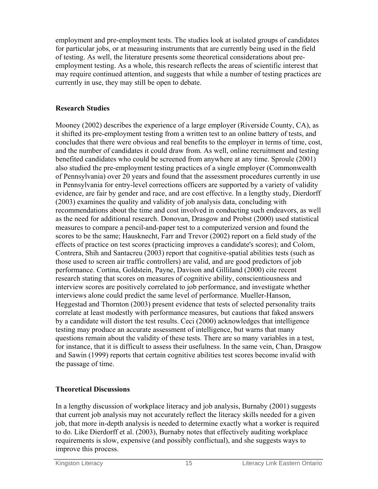employment and pre-employment tests. The studies look at isolated groups of candidates for particular jobs, or at measuring instruments that are currently being used in the field of testing. As well, the literature presents some theoretical considerations about preemployment testing. As a whole, this research reflects the areas of scientific interest that may require continued attention, and suggests that while a number of testing practices are currently in use, they may still be open to debate.

#### **Research Studies**

Mooney (2002) describes the experience of a large employer (Riverside County, CA), as it shifted its pre-employment testing from a written test to an online battery of tests, and concludes that there were obvious and real benefits to the employer in terms of time, cost, and the number of candidates it could draw from. As well, online recruitment and testing benefited candidates who could be screened from anywhere at any time. Sproule (2001) also studied the pre-employment testing practices of a single employer (Commonwealth of Pennsylvania) over 20 years and found that the assessment procedures currently in use in Pennsylvania for entry-level corrections officers are supported by a variety of validity evidence, are fair by gender and race, and are cost effective. In a lengthy study, Dierdorff (2003) examines the quality and validity of job analysis data, concluding with recommendations about the time and cost involved in conducting such endeavors, as well as the need for additional research. Donovan, Drasgow and Probst (2000) used statistical measures to compare a pencil-and-paper test to a computerized version and found the scores to be the same; Hausknecht, Farr and Trevor (2002) report on a field study of the effects of practice on test scores (practicing improves a candidate's scores); and Colom, Contrera, Shih and Santacreu (2003) report that cognitive-spatial abilities tests (such as those used to screen air traffic controllers) are valid, and are good predictors of job performance. Cortina, Goldstein, Payne, Davison and Gilliland (2000) cite recent research stating that scores on measures of cognitive ability, conscientiousness and interview scores are positively correlated to job performance, and investigate whether interviews alone could predict the same level of performance. Mueller-Hanson, Heggestad and Thornton (2003) present evidence that tests of selected personality traits correlate at least modestly with performance measures, but cautions that faked answers by a candidate will distort the test results. Ceci (2000) acknowledges that intelligence testing may produce an accurate assessment of intelligence, but warns that many questions remain about the validity of these tests. There are so many variables in a test, for instance, that it is difficult to assess their usefulness. In the same vein, Chan, Drasgow and Sawin (1999) reports that certain cognitive abilities test scores become invalid with the passage of time.

#### **Theoretical Discussions**

In a lengthy discussion of workplace literacy and job analysis, Burnaby (2001) suggests that current job analysis may not accurately reflect the literacy skills needed for a given job, that more in-depth analysis is needed to determine exactly what a worker is required to do. Like Dierdorff et al. (2003), Burnaby notes that effectively auditing workplace requirements is slow, expensive (and possibly conflictual), and she suggests ways to improve this process.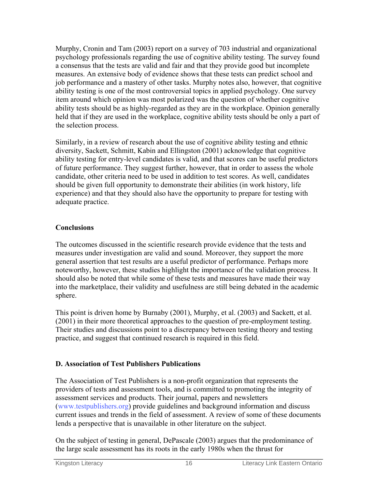Murphy, Cronin and Tam (2003) report on a survey of 703 industrial and organizational psychology professionals regarding the use of cognitive ability testing. The survey found a consensus that the tests are valid and fair and that they provide good but incomplete measures. An extensive body of evidence shows that these tests can predict school and job performance and a mastery of other tasks. Murphy notes also, however, that cognitive ability testing is one of the most controversial topics in applied psychology. One survey item around which opinion was most polarized was the question of whether cognitive ability tests should be as highly-regarded as they are in the workplace. Opinion generally held that if they are used in the workplace, cognitive ability tests should be only a part of the selection process.

Similarly, in a review of research about the use of cognitive ability testing and ethnic diversity, Sackett, Schmitt, Kabin and Ellingston (2001) acknowledge that cognitive ability testing for entry-level candidates is valid, and that scores can be useful predictors of future performance. They suggest further, however, that in order to assess the whole candidate, other criteria need to be used in addition to test scores. As well, candidates should be given full opportunity to demonstrate their abilities (in work history, life experience) and that they should also have the opportunity to prepare for testing with adequate practice.

#### **Conclusions**

The outcomes discussed in the scientific research provide evidence that the tests and measures under investigation are valid and sound. Moreover, they support the more general assertion that test results are a useful predictor of performance. Perhaps more noteworthy, however, these studies highlight the importance of the validation process. It should also be noted that while some of these tests and measures have made their way into the marketplace, their validity and usefulness are still being debated in the academic sphere.

This point is driven home by Burnaby (2001), Murphy, et al. (2003) and Sackett, et al. (2001) in their more theoretical approaches to the question of pre-employment testing. Their studies and discussions point to a discrepancy between testing theory and testing practice, and suggest that continued research is required in this field.

#### **D. Association of Test Publishers Publications**

The Association of Test Publishers is a non-profit organization that represents the providers of tests and assessment tools, and is committed to promoting the integrity of assessment services and products. Their journal, papers and newsletters (www.testpublishers.org) provide guidelines and background information and discuss current issues and trends in the field of assessment. A review of some of these documents lends a perspective that is unavailable in other literature on the subject.

On the subject of testing in general, DePascale (2003) argues that the predominance of the large scale assessment has its roots in the early 1980s when the thrust for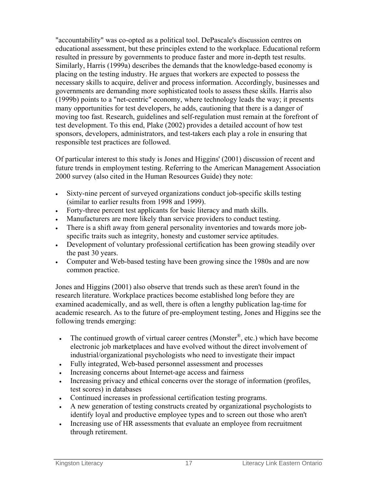"accountability" was co-opted as a political tool. DePascale's discussion centres on educational assessment, but these principles extend to the workplace. Educational reform resulted in pressure by governments to produce faster and more in-depth test results. Similarly, Harris (1999a) describes the demands that the knowledge-based economy is placing on the testing industry. He argues that workers are expected to possess the necessary skills to acquire, deliver and process information. Accordingly, businesses and governments are demanding more sophisticated tools to assess these skills. Harris also (1999b) points to a "net-centric" economy, where technology leads the way; it presents many opportunities for test developers, he adds, cautioning that there is a danger of moving too fast. Research, guidelines and self-regulation must remain at the forefront of test development. To this end, Plake (2002) provides a detailed account of how test sponsors, developers, administrators, and test-takers each play a role in ensuring that responsible test practices are followed.

Of particular interest to this study is Jones and Higgins' (2001) discussion of recent and future trends in employment testing. Referring to the American Management Association 2000 survey (also cited in the Human Resources Guide) they note:

- Sixty-nine percent of surveyed organizations conduct job-specific skills testing (similar to earlier results from 1998 and 1999).
- Forty-three percent test applicants for basic literacy and math skills.
- Manufacturers are more likely than service providers to conduct testing.
- There is a shift away from general personality inventories and towards more jobspecific traits such as integrity, honesty and customer service aptitudes.
- Development of voluntary professional certification has been growing steadily over the past 30 years.
- Computer and Web-based testing have been growing since the 1980s and are now common practice.

Jones and Higgins (2001) also observe that trends such as these aren't found in the research literature. Workplace practices become established long before they are examined academically, and as well, there is often a lengthy publication lag-time for academic research. As to the future of pre-employment testing, Jones and Higgins see the following trends emerging:

- The continued growth of virtual career centres (Monster<sup>®</sup>, etc.) which have become electronic job marketplaces and have evolved without the direct involvement of industrial/organizational psychologists who need to investigate their impact
- Fully integrated, Web-based personnel assessment and processes
- Increasing concerns about Internet-age access and fairness
- Increasing privacy and ethical concerns over the storage of information (profiles, test scores) in databases
- Continued increases in professional certification testing programs.
- A new generation of testing constructs created by organizational psychologists to identify loyal and productive employee types and to screen out those who aren't
- Increasing use of HR assessments that evaluate an employee from recruitment through retirement.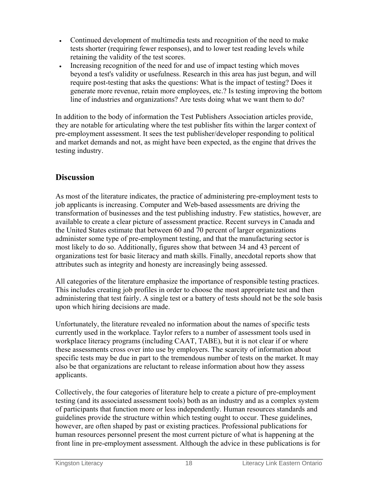- Continued development of multimedia tests and recognition of the need to make tests shorter (requiring fewer responses), and to lower test reading levels while retaining the validity of the test scores.
- Increasing recognition of the need for and use of impact testing which moves beyond a test's validity or usefulness. Research in this area has just begun, and will require post-testing that asks the questions: What is the impact of testing? Does it generate more revenue, retain more employees, etc.? Is testing improving the bottom line of industries and organizations? Are tests doing what we want them to do?

In addition to the body of information the Test Publishers Association articles provide, they are notable for articulating where the test publisher fits within the larger context of pre-employment assessment. It sees the test publisher/developer responding to political and market demands and not, as might have been expected, as the engine that drives the testing industry.

#### **Discussion**

As most of the literature indicates, the practice of administering pre-employment tests to job applicants is increasing. Computer and Web-based assessments are driving the transformation of businesses and the test publishing industry. Few statistics, however, are available to create a clear picture of assessment practice. Recent surveys in Canada and the United States estimate that between 60 and 70 percent of larger organizations administer some type of pre-employment testing, and that the manufacturing sector is most likely to do so. Additionally, figures show that between 34 and 43 percent of organizations test for basic literacy and math skills. Finally, anecdotal reports show that attributes such as integrity and honesty are increasingly being assessed.

All categories of the literature emphasize the importance of responsible testing practices. This includes creating job profiles in order to choose the most appropriate test and then administering that test fairly. A single test or a battery of tests should not be the sole basis upon which hiring decisions are made.

Unfortunately, the literature revealed no information about the names of specific tests currently used in the workplace. Taylor refers to a number of assessment tools used in workplace literacy programs (including CAAT, TABE), but it is not clear if or where these assessments cross over into use by employers. The scarcity of information about specific tests may be due in part to the tremendous number of tests on the market. It may also be that organizations are reluctant to release information about how they assess applicants.

Collectively, the four categories of literature help to create a picture of pre-employment testing (and its associated assessment tools) both as an industry and as a complex system of participants that function more or less independently. Human resources standards and guidelines provide the structure within which testing ought to occur. These guidelines, however, are often shaped by past or existing practices. Professional publications for human resources personnel present the most current picture of what is happening at the front line in pre-employment assessment. Although the advice in these publications is for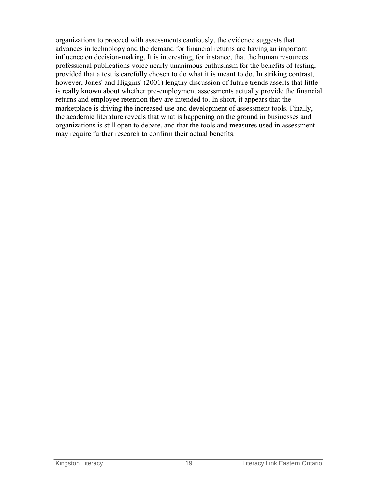organizations to proceed with assessments cautiously, the evidence suggests that advances in technology and the demand for financial returns are having an important influence on decision-making. It is interesting, for instance, that the human resources professional publications voice nearly unanimous enthusiasm for the benefits of testing, provided that a test is carefully chosen to do what it is meant to do. In striking contrast, however, Jones' and Higgins' (2001) lengthy discussion of future trends asserts that little is really known about whether pre-employment assessments actually provide the financial returns and employee retention they are intended to. In short, it appears that the marketplace is driving the increased use and development of assessment tools. Finally, the academic literature reveals that what is happening on the ground in businesses and organizations is still open to debate, and that the tools and measures used in assessment may require further research to confirm their actual benefits.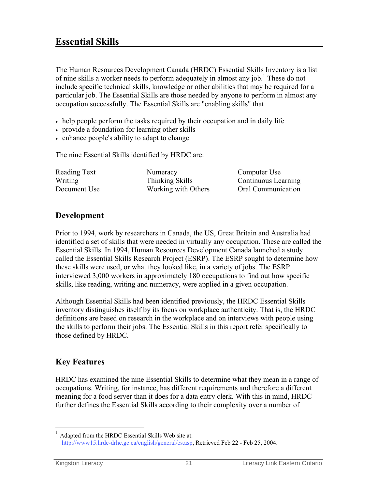# <span id="page-24-0"></span>**Essential Skills**

The Human Resources Development Canada (HRDC) Essential Skills Inventory is a list of nine skills a worker needs to perform adequately in almost any job.<sup>1</sup> These do not include specific technical skills, knowledge or other abilities that may be required for a particular job. The Essential Skills are those needed by anyone to perform in almost any occupation successfully. The Essential Skills are "enabling skills" that

- help people perform the tasks required by their occupation and in daily life
- provide a foundation for learning other skills
- enhance people's ability to adapt to change

The nine Essential Skills identified by HRDC are:

Reading Text Numeracy Computer Use Writing Thinking Skills Continuous Learning Document Use Working with Others Oral Communication

#### **Development**

Prior to 1994, work by researchers in Canada, the US, Great Britain and Australia had identified a set of skills that were needed in virtually any occupation. These are called the Essential Skills. In 1994, Human Resources Development Canada launched a study called the Essential Skills Research Project (ESRP). The ESRP sought to determine how these skills were used, or what they looked like, in a variety of jobs. The ESRP interviewed 3,000 workers in approximately 180 occupations to find out how specific skills, like reading, writing and numeracy, were applied in a given occupation.

Although Essential Skills had been identified previously, the HRDC Essential Skills inventory distinguishes itself by its focus on workplace authenticity. That is, the HRDC definitions are based on research in the workplace and on interviews with people using the skills to perform their jobs. The Essential Skills in this report refer specifically to those defined by HRDC.

#### **Key Features**

HRDC has examined the nine Essential Skills to determine what they mean in a range of occupations. Writing, for instance, has different requirements and therefore a different meaning for a food server than it does for a data entry clerk. With this in mind, HRDC further defines the Essential Skills according to their complexity over a number of

 $\overline{a}$ <sup>1</sup> Adapted from the HRDC Essential Skills Web site at: http://www15.hrdc-drhc.gc.ca/english/general/es.asp, Retrieved Feb 22 - Feb 25, 2004.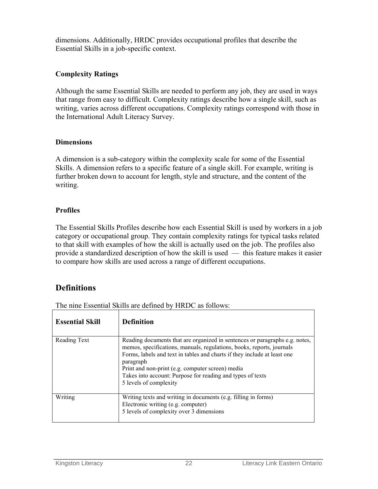dimensions. Additionally, HRDC provides occupational profiles that describe the Essential Skills in a job-specific context.

#### **Complexity Ratings**

Although the same Essential Skills are needed to perform any job, they are used in ways that range from easy to difficult. Complexity ratings describe how a single skill, such as writing, varies across different occupations. Complexity ratings correspond with those in the International Adult Literacy Survey.

#### **Dimensions**

A dimension is a sub-category within the complexity scale for some of the Essential Skills. A dimension refers to a specific feature of a single skill. For example, writing is further broken down to account for length, style and structure, and the content of the writing.

#### **Profiles**

The Essential Skills Profiles describe how each Essential Skill is used by workers in a job category or occupational group. They contain complexity ratings for typical tasks related to that skill with examples of how the skill is actually used on the job. The profiles also provide a standardized description of how the skill is used — this feature makes it easier to compare how skills are used across a range of different occupations.

#### **Definitions**

| <b>Essential Skill</b> | <b>Definition</b>                                                                                                                                                                                                                                                                                                                                                                         |
|------------------------|-------------------------------------------------------------------------------------------------------------------------------------------------------------------------------------------------------------------------------------------------------------------------------------------------------------------------------------------------------------------------------------------|
| Reading Text           | Reading documents that are organized in sentences or paragraphs e.g. notes,<br>memos, specifications, manuals, regulations, books, reports, journals<br>Forms, labels and text in tables and charts if they include at least one<br>paragraph<br>Print and non-print (e.g. computer screen) media<br>Takes into account: Purpose for reading and types of texts<br>5 levels of complexity |
| Writing                | Writing texts and writing in documents (e.g. filling in forms)<br>Electronic writing (e.g. computer)<br>5 levels of complexity over 3 dimensions                                                                                                                                                                                                                                          |

The nine Essential Skills are defined by HRDC as follows: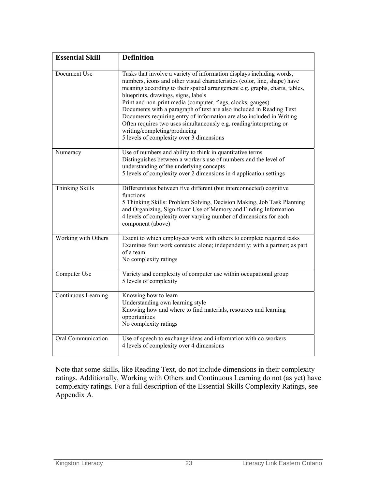| <b>Essential Skill</b> | <b>Definition</b>                                                                                                                                                                                                                                                                                                                                                                                                                                                                                                                                                                                                                           |
|------------------------|---------------------------------------------------------------------------------------------------------------------------------------------------------------------------------------------------------------------------------------------------------------------------------------------------------------------------------------------------------------------------------------------------------------------------------------------------------------------------------------------------------------------------------------------------------------------------------------------------------------------------------------------|
| Document Use           | Tasks that involve a variety of information displays including words,<br>numbers, icons and other visual characteristics (color, line, shape) have<br>meaning according to their spatial arrangement e.g. graphs, charts, tables,<br>blueprints, drawings, signs, labels<br>Print and non-print media (computer, flags, clocks, gauges)<br>Documents with a paragraph of text are also included in Reading Text<br>Documents requiring entry of information are also included in Writing<br>Often requires two uses simultaneously e.g. reading/interpreting or<br>writing/completing/producing<br>5 levels of complexity over 3 dimensions |
| Numeracy               | Use of numbers and ability to think in quantitative terms<br>Distinguishes between a worker's use of numbers and the level of<br>understanding of the underlying concepts<br>5 levels of complexity over 2 dimensions in 4 application settings                                                                                                                                                                                                                                                                                                                                                                                             |
| Thinking Skills        | Differentiates between five different (but interconnected) cognitive<br>functions<br>5 Thinking Skills: Problem Solving, Decision Making, Job Task Planning<br>and Organizing, Significant Use of Memory and Finding Information<br>4 levels of complexity over varying number of dimensions for each<br>component (above)                                                                                                                                                                                                                                                                                                                  |
| Working with Others    | Extent to which employees work with others to complete required tasks<br>Examines four work contexts: alone; independently; with a partner; as part<br>of a team<br>No complexity ratings                                                                                                                                                                                                                                                                                                                                                                                                                                                   |
| Computer Use           | Variety and complexity of computer use within occupational group<br>5 levels of complexity                                                                                                                                                                                                                                                                                                                                                                                                                                                                                                                                                  |
| Continuous Learning    | Knowing how to learn<br>Understanding own learning style<br>Knowing how and where to find materials, resources and learning<br>opportunities<br>No complexity ratings                                                                                                                                                                                                                                                                                                                                                                                                                                                                       |
| Oral Communication     | Use of speech to exchange ideas and information with co-workers<br>4 levels of complexity over 4 dimensions                                                                                                                                                                                                                                                                                                                                                                                                                                                                                                                                 |

Note that some skills, like Reading Text, do not include dimensions in their complexity ratings. Additionally, Working with Others and Continuous Learning do not (as yet) have complexity ratings. For a full description of the Essential Skills Complexity Ratings, see Appendix A.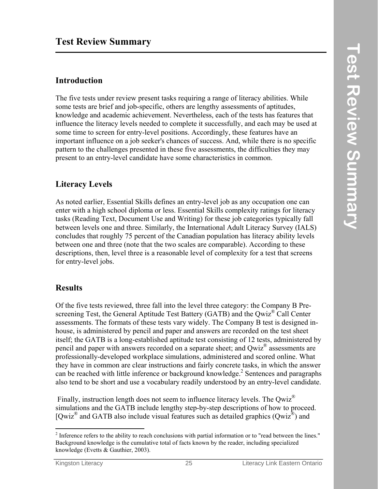#### <span id="page-28-0"></span>**Introduction**

The five tests under review present tasks requiring a range of literacy abilities. While some tests are brief and job-specific, others are lengthy assessments of aptitudes, knowledge and academic achievement. Nevertheless, each of the tests has features that influence the literacy levels needed to complete it successfully, and each may be used at some time to screen for entry-level positions. Accordingly, these features have an important influence on a job seeker's chances of success. And, while there is no specific pattern to the challenges presented in these five assessments, the difficulties they may present to an entry-level candidate have some characteristics in common.

#### **Literacy Levels**

As noted earlier, Essential Skills defines an entry-level job as any occupation one can enter with a high school diploma or less. Essential Skills complexity ratings for literacy tasks (Reading Text, Document Use and Writing) for these job categories typically fall between levels one and three. Similarly, the International Adult Literacy Survey (IALS) concludes that roughly 75 percent of the Canadian population has literacy ability levels between one and three (note that the two scales are comparable). According to these descriptions, then, level three is a reasonable level of complexity for a test that screens for entry-level jobs.

#### **Results**

Of the five tests reviewed, three fall into the level three category: the Company B Prescreening Test, the General Aptitude Test Battery (GATB) and the Owiz<sup>®</sup> Call Center assessments. The formats of these tests vary widely. The Company B test is designed inhouse, is administered by pencil and paper and answers are recorded on the test sheet itself; the GATB is a long-established aptitude test consisting of 12 tests, administered by pencil and paper with answers recorded on a separate sheet; and  $Qwiz^{\omega}$  assessments are professionally-developed workplace simulations, administered and scored online. What they have in common are clear instructions and fairly concrete tasks, in which the answer can be reached with little inference or background knowledge.<sup>2</sup> Sentences and paragraphs also tend to be short and use a vocabulary readily understood by an entry-level candidate.

Finally, instruction length does not seem to influence literacy levels. The Owiz<sup>®</sup> simulations and the GATB include lengthy step-by-step descriptions of how to proceed. [ $Qwiz^{\omega}$  and GATB also include visual features such as detailed graphics ( $Qwiz^{\omega}$ ) and

<sup>&</sup>lt;u>.</u>  $2$  Inference refers to the ability to reach conclusions with partial information or to "read between the lines." Background knowledge is the cumulative total of facts known by the reader, including specialized knowledge (Evetts & Gauthier, 2003).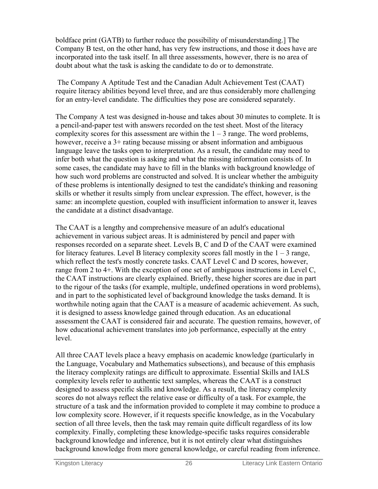boldface print (GATB) to further reduce the possibility of misunderstanding.] The Company B test, on the other hand, has very few instructions, and those it does have are incorporated into the task itself. In all three assessments, however, there is no area of doubt about what the task is asking the candidate to do or to demonstrate.

 The Company A Aptitude Test and the Canadian Adult Achievement Test (CAAT) require literacy abilities beyond level three, and are thus considerably more challenging for an entry-level candidate. The difficulties they pose are considered separately.

The Company A test was designed in-house and takes about 30 minutes to complete. It is a pencil-and-paper test with answers recorded on the test sheet. Most of the literacy complexity scores for this assessment are within the  $1 - 3$  range. The word problems, however, receive a 3+ rating because missing or absent information and ambiguous language leave the tasks open to interpretation. As a result, the candidate may need to infer both what the question is asking and what the missing information consists of. In some cases, the candidate may have to fill in the blanks with background knowledge of how such word problems are constructed and solved. It is unclear whether the ambiguity of these problems is intentionally designed to test the candidate's thinking and reasoning skills or whether it results simply from unclear expression. The effect, however, is the same: an incomplete question, coupled with insufficient information to answer it, leaves the candidate at a distinct disadvantage.

The CAAT is a lengthy and comprehensive measure of an adult's educational achievement in various subject areas. It is administered by pencil and paper with responses recorded on a separate sheet. Levels B, C and D of the CAAT were examined for literacy features. Level B literacy complexity scores fall mostly in the  $1 - 3$  range, which reflect the test's mostly concrete tasks. CAAT Level C and D scores, however, range from 2 to 4+. With the exception of one set of ambiguous instructions in Level C, the CAAT instructions are clearly explained. Briefly, these higher scores are due in part to the rigour of the tasks (for example, multiple, undefined operations in word problems), and in part to the sophisticated level of background knowledge the tasks demand. It is worthwhile noting again that the CAAT is a measure of academic achievement. As such, it is designed to assess knowledge gained through education. As an educational assessment the CAAT is considered fair and accurate. The question remains, however, of how educational achievement translates into job performance, especially at the entry level.

All three CAAT levels place a heavy emphasis on academic knowledge (particularly in the Language, Vocabulary and Mathematics subsections), and because of this emphasis the literacy complexity ratings are difficult to approximate. Essential Skills and IALS complexity levels refer to authentic text samples, whereas the CAAT is a construct designed to assess specific skills and knowledge. As a result, the literacy complexity scores do not always reflect the relative ease or difficulty of a task. For example, the structure of a task and the information provided to complete it may combine to produce a low complexity score. However, if it requests specific knowledge, as in the Vocabulary section of all three levels, then the task may remain quite difficult regardless of its low complexity. Finally, completing these knowledge-specific tasks requires considerable background knowledge and inference, but it is not entirely clear what distinguishes background knowledge from more general knowledge, or careful reading from inference.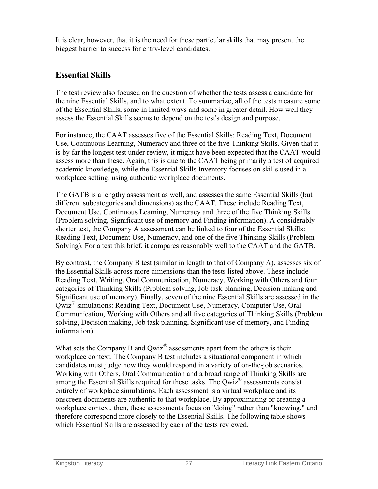It is clear, however, that it is the need for these particular skills that may present the biggest barrier to success for entry-level candidates.

#### **Essential Skills**

The test review also focused on the question of whether the tests assess a candidate for the nine Essential Skills, and to what extent. To summarize, all of the tests measure some of the Essential Skills, some in limited ways and some in greater detail. How well they assess the Essential Skills seems to depend on the test's design and purpose.

For instance, the CAAT assesses five of the Essential Skills: Reading Text, Document Use, Continuous Learning, Numeracy and three of the five Thinking Skills. Given that it is by far the longest test under review, it might have been expected that the CAAT would assess more than these. Again, this is due to the CAAT being primarily a test of acquired academic knowledge, while the Essential Skills Inventory focuses on skills used in a workplace setting, using authentic workplace documents.

The GATB is a lengthy assessment as well, and assesses the same Essential Skills (but different subcategories and dimensions) as the CAAT. These include Reading Text, Document Use, Continuous Learning, Numeracy and three of the five Thinking Skills (Problem solving, Significant use of memory and Finding information). A considerably shorter test, the Company A assessment can be linked to four of the Essential Skills: Reading Text, Document Use, Numeracy, and one of the five Thinking Skills (Problem Solving). For a test this brief, it compares reasonably well to the CAAT and the GATB.

By contrast, the Company B test (similar in length to that of Company A), assesses six of the Essential Skills across more dimensions than the tests listed above. These include Reading Text, Writing, Oral Communication, Numeracy, Working with Others and four categories of Thinking Skills (Problem solving, Job task planning, Decision making and Significant use of memory). Finally, seven of the nine Essential Skills are assessed in the Qwiz® simulations: Reading Text, Document Use, Numeracy, Computer Use, Oral Communication, Working with Others and all five categories of Thinking Skills (Problem solving, Decision making, Job task planning, Significant use of memory, and Finding information).

What sets the Company B and  $Qwiz^{\mathcal{R}}$  assessments apart from the others is their workplace context. The Company B test includes a situational component in which candidates must judge how they would respond in a variety of on-the-job scenarios. Working with Others, Oral Communication and a broad range of Thinking Skills are among the Essential Skills required for these tasks. The Qwiz® assessments consist entirely of workplace simulations. Each assessment is a virtual workplace and its onscreen documents are authentic to that workplace. By approximating or creating a workplace context, then, these assessments focus on "doing" rather than "knowing," and therefore correspond more closely to the Essential Skills. The following table shows which Essential Skills are assessed by each of the tests reviewed.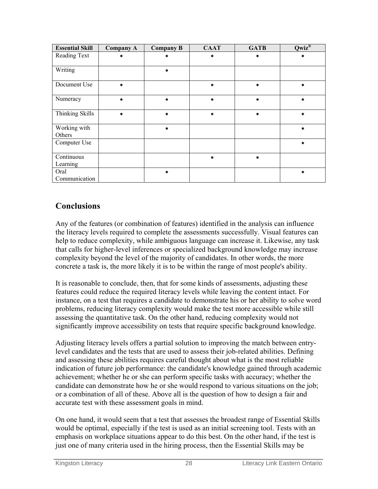| <b>Essential Skill</b> | <b>Company A</b> | <b>Company B</b> | <b>CAAT</b>   | <b>GATB</b> | $Qwiz^{\circledR}$ |
|------------------------|------------------|------------------|---------------|-------------|--------------------|
| Reading Text           | $\ast$           | 袁                | *             | *           | $\ast$             |
|                        |                  |                  |               |             |                    |
| Writing                |                  | $\star$          |               |             |                    |
| Document Use           | $\ast$           |                  | $\frac{1}{2}$ | zk.         | $\ast$             |
| Numeracy               | $\ast$           | $\ast$           | $\ast$        | *           | $\ast$             |
| Thinking Skills        | $\star$          | $\ast$           | $\ast$        | $\ast$      | $\star$            |
| Working with<br>Others |                  | $\frac{1}{2}$    |               |             | $\ast$             |
| Computer Use           |                  |                  |               |             | $\star$            |
| Continuous             |                  |                  | $\star$       | $\star$     |                    |
| Learning               |                  |                  |               |             |                    |
| Oral                   |                  | $\frac{1}{2}$    |               |             | $\ast$             |
| Communication          |                  |                  |               |             |                    |

#### **Conclusions**

Any of the features (or combination of features) identified in the analysis can influence the literacy levels required to complete the assessments successfully. Visual features can help to reduce complexity, while ambiguous language can increase it. Likewise, any task that calls for higher-level inferences or specialized background knowledge may increase complexity beyond the level of the majority of candidates. In other words, the more concrete a task is, the more likely it is to be within the range of most people's ability.

It is reasonable to conclude, then, that for some kinds of assessments, adjusting these features could reduce the required literacy levels while leaving the content intact. For instance, on a test that requires a candidate to demonstrate his or her ability to solve word problems, reducing literacy complexity would make the test more accessible while still assessing the quantitative task. On the other hand, reducing complexity would not significantly improve accessibility on tests that require specific background knowledge.

Adjusting literacy levels offers a partial solution to improving the match between entrylevel candidates and the tests that are used to assess their job-related abilities. Defining and assessing these abilities requires careful thought about what is the most reliable indication of future job performance: the candidate's knowledge gained through academic achievement; whether he or she can perform specific tasks with accuracy; whether the candidate can demonstrate how he or she would respond to various situations on the job; or a combination of all of these. Above all is the question of how to design a fair and accurate test with these assessment goals in mind.

On one hand, it would seem that a test that assesses the broadest range of Essential Skills would be optimal, especially if the test is used as an initial screening tool. Tests with an emphasis on workplace situations appear to do this best. On the other hand, if the test is just one of many criteria used in the hiring process, then the Essential Skills may be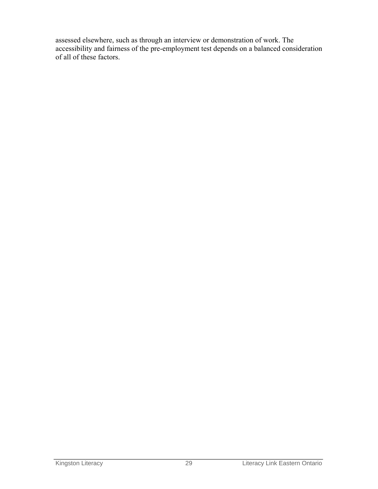assessed elsewhere, such as through an interview or demonstration of work. The accessibility and fairness of the pre-employment test depends on a balanced consideration of all of these factors.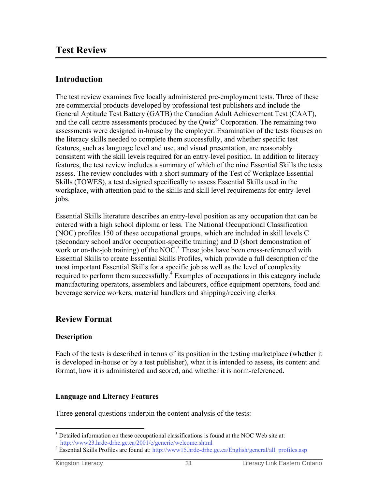# <span id="page-34-0"></span>**Test Review**

#### **Introduction**

The test review examines five locally administered pre-employment tests. Three of these are commercial products developed by professional test publishers and include the General Aptitude Test Battery (GATB) the Canadian Adult Achievement Test (CAAT), and the call centre assessments produced by the Qwiz<sup>®</sup> Corporation. The remaining two assessments were designed in-house by the employer. Examination of the tests focuses on the literacy skills needed to complete them successfully, and whether specific test features, such as language level and use, and visual presentation, are reasonably consistent with the skill levels required for an entry-level position. In addition to literacy features, the test review includes a summary of which of the nine Essential Skills the tests assess. The review concludes with a short summary of the Test of Workplace Essential Skills (TOWES), a test designed specifically to assess Essential Skills used in the workplace, with attention paid to the skills and skill level requirements for entry-level jobs.

Essential Skills literature describes an entry-level position as any occupation that can be entered with a high school diploma or less. The National Occupational Classification (NOC) profiles 150 of these occupational groups, which are included in skill levels C (Secondary school and/or occupation-specific training) and D (short demonstration of work or on-the-job training) of the NOC.<sup>3</sup> These jobs have been cross-referenced with Essential Skills to create Essential Skills Profiles, which provide a full description of the most important Essential Skills for a specific job as well as the level of complexity required to perform them successfully.<sup>4</sup> Examples of occupations in this category include manufacturing operators, assemblers and labourers, office equipment operators, food and beverage service workers, material handlers and shipping/receiving clerks.

#### **Review Format**

#### **Description**

Each of the tests is described in terms of its position in the testing marketplace (whether it is developed in-house or by a test publisher), what it is intended to assess, its content and format, how it is administered and scored, and whether it is norm-referenced.

#### **Language and Literacy Features**

Three general questions underpin the content analysis of the tests:

 $\overline{a}$  $3$  Detailed information on these occupational classifications is found at the NOC Web site at: http://www23.hrdc-drhc.gc.ca/2001/e/generic/welcome.shtml 4

Essential Skills Profiles are found at: http://www15.hrdc-drhc.gc.ca/English/general/all\_profiles.asp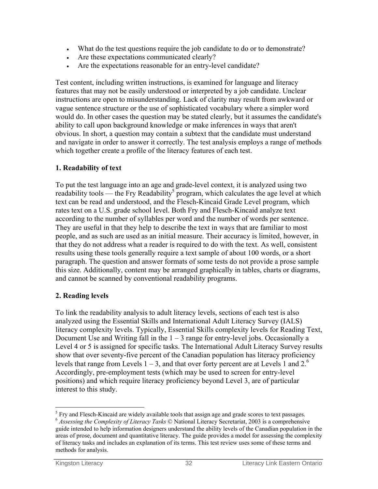- What do the test questions require the job candidate to do or to demonstrate?
- Are these expectations communicated clearly?
- Are the expectations reasonable for an entry-level candidate?

Test content, including written instructions, is examined for language and literacy features that may not be easily understood or interpreted by a job candidate. Unclear instructions are open to misunderstanding. Lack of clarity may result from awkward or vague sentence structure or the use of sophisticated vocabulary where a simpler word would do. In other cases the question may be stated clearly, but it assumes the candidate's ability to call upon background knowledge or make inferences in ways that aren't obvious. In short, a question may contain a subtext that the candidate must understand and navigate in order to answer it correctly. The test analysis employs a range of methods which together create a profile of the literacy features of each test.

#### **1. Readability of text**

To put the test language into an age and grade-level context, it is analyzed using two readability tools — the Fry Readability<sup>5</sup> program, which calculates the age level at which text can be read and understood, and the Flesch-Kincaid Grade Level program, which rates text on a U.S. grade school level. Both Fry and Flesch-Kincaid analyze text according to the number of syllables per word and the number of words per sentence. They are useful in that they help to describe the text in ways that are familiar to most people, and as such are used as an initial measure. Their accuracy is limited, however, in that they do not address what a reader is required to do with the text. As well, consistent results using these tools generally require a text sample of about 100 words, or a short paragraph. The question and answer formats of some tests do not provide a prose sample this size. Additionally, content may be arranged graphically in tables, charts or diagrams, and cannot be scanned by conventional readability programs.

#### **2. Reading levels**

To link the readability analysis to adult literacy levels, sections of each test is also analyzed using the Essential Skills and International Adult Literacy Survey (IALS) literacy complexity levels. Typically, Essential Skills complexity levels for Reading Text, Document Use and Writing fall in the  $1 - 3$  range for entry-level jobs. Occasionally a Level 4 or 5 is assigned for specific tasks. The International Adult Literacy Survey results show that over seventy-five percent of the Canadian population has literacy proficiency levels that range from Levels  $1 - 3$ , and that over forty percent are at Levels 1 and  $2<sup>6</sup>$ Accordingly, pre-employment tests (which may be used to screen for entry-level positions) and which require literacy proficiency beyond Level 3, are of particular interest to this study.

<sup>&</sup>lt;u>.</u> <sup>5</sup> Fry and Flesch-Kincaid are widely available tools that assign age and grade scores to text passages.

<sup>6</sup> *Assessing the Complexity of Literacy Tasks* © National Literacy Secretariat, 2003 is a comprehensive guide intended to help information designers understand the ability levels of the Canadian population in the areas of prose, document and quantitative literacy. The guide provides a model for assessing the complexity of literacy tasks and includes an explanation of its terms. This test review uses some of these terms and methods for analysis.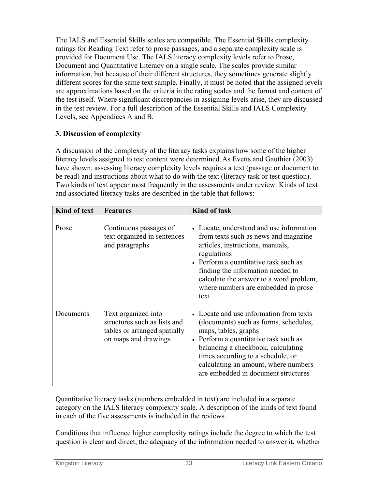The IALS and Essential Skills scales are compatible. The Essential Skills complexity ratings for Reading Text refer to prose passages, and a separate complexity scale is provided for Document Use. The IALS literacy complexity levels refer to Prose, Document and Quantitative Literacy on a single scale. The scales provide similar information, but because of their different structures, they sometimes generate slightly different scores for the same text sample. Finally, it must be noted that the assigned levels are approximations based on the criteria in the rating scales and the format and content of the test itself. Where significant discrepancies in assigning levels arise, they are discussed in the test review. For a full description of the Essential Skills and IALS Complexity Levels, see Appendices A and B.

### **3. Discussion of complexity**

A discussion of the complexity of the literacy tasks explains how some of the higher literacy levels assigned to test content were determined.As Evetts and Gauthier (2003) have shown, assessing literacy complexity levels requires a text (passage or document to be read) and instructions about what to do with the text (literacy task or test question). Two kinds of text appear most frequently in the assessments under review. Kinds of text and associated literacy tasks are described in the table that follows:

| Kind of text | <b>Features</b>                                                                                             | <b>Kind of task</b>                                                                                                                                                                                                                                                                                         |
|--------------|-------------------------------------------------------------------------------------------------------------|-------------------------------------------------------------------------------------------------------------------------------------------------------------------------------------------------------------------------------------------------------------------------------------------------------------|
| Prose        | Continuous passages of<br>text organized in sentences<br>and paragraphs                                     | • Locate, understand and use information<br>from texts such as news and magazine<br>articles, instructions, manuals,<br>regulations<br>• Perform a quantitative task such as<br>finding the information needed to<br>calculate the answer to a word problem,<br>where numbers are embedded in prose<br>text |
| Documents    | Text organized into<br>structures such as lists and<br>tables or arranged spatially<br>on maps and drawings | • Locate and use information from texts<br>(documents) such as forms, schedules,<br>maps, tables, graphs<br>• Perform a quantitative task such as<br>balancing a checkbook, calculating<br>times according to a schedule, or<br>calculating an amount, where numbers<br>are embedded in document structures |

Quantitative literacy tasks (numbers embedded in text) are included in a separate category on the IALS literacy complexity scale. A description of the kinds of text found in each of the five assessments is included in the reviews.

Conditions that influence higher complexity ratings include the degree to which the test question is clear and direct, the adequacy of the information needed to answer it, whether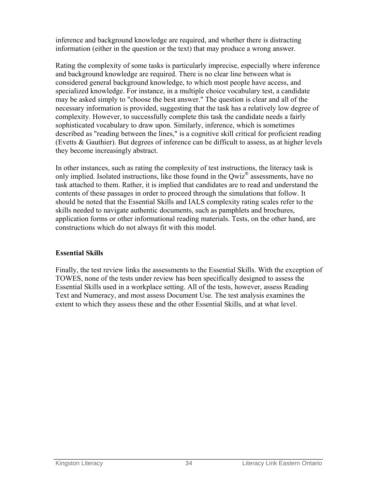inference and background knowledge are required, and whether there is distracting information (either in the question or the text) that may produce a wrong answer.

Rating the complexity of some tasks is particularly imprecise, especially where inference and background knowledge are required. There is no clear line between what is considered general background knowledge, to which most people have access, and specialized knowledge. For instance, in a multiple choice vocabulary test, a candidate may be asked simply to "choose the best answer." The question is clear and all of the necessary information is provided, suggesting that the task has a relatively low degree of complexity. However, to successfully complete this task the candidate needs a fairly sophisticated vocabulary to draw upon. Similarly, inference, which is sometimes described as "reading between the lines," is a cognitive skill critical for proficient reading (Evetts & Gauthier). But degrees of inference can be difficult to assess, as at higher levels they become increasingly abstract.

In other instances, such as rating the complexity of test instructions, the literacy task is only implied. Isolated instructions, like those found in the Owiz<sup>®</sup> assessments, have no task attached to them. Rather, it is implied that candidates are to read and understand the contents of these passages in order to proceed through the simulations that follow. It should be noted that the Essential Skills and IALS complexity rating scales refer to the skills needed to navigate authentic documents, such as pamphlets and brochures, application forms or other informational reading materials. Tests, on the other hand, are constructions which do not always fit with this model.

### **Essential Skills**

Finally, the test review links the assessments to the Essential Skills. With the exception of TOWES, none of the tests under review has been specifically designed to assess the Essential Skills used in a workplace setting. All of the tests, however, assess Reading Text and Numeracy, and most assess Document Use. The test analysis examines the extent to which they assess these and the other Essential Skills, and at what level.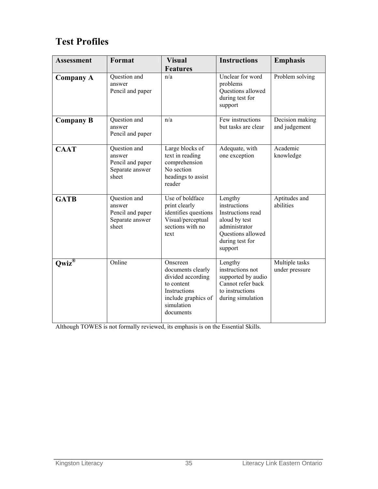# **Test Profiles**

| <b>Assessment</b>  | Format                                                                 | <b>Visual</b><br><b>Features</b>                                                                                                   | <b>Instructions</b>                                                                                                               | <b>Emphasis</b>                  |
|--------------------|------------------------------------------------------------------------|------------------------------------------------------------------------------------------------------------------------------------|-----------------------------------------------------------------------------------------------------------------------------------|----------------------------------|
| <b>Company A</b>   | Question and<br>answer<br>Pencil and paper                             | n/a                                                                                                                                | Unclear for word<br>problems<br>Questions allowed<br>during test for<br>support                                                   | Problem solving                  |
| <b>Company B</b>   | Question and<br>answer<br>Pencil and paper                             | n/a                                                                                                                                | Few instructions<br>but tasks are clear                                                                                           | Decision making<br>and judgement |
| <b>CAAT</b>        | Question and<br>answer<br>Pencil and paper<br>Separate answer<br>sheet | Large blocks of<br>text in reading<br>comprehension<br>No section<br>headings to assist<br>reader                                  | Adequate, with<br>one exception                                                                                                   | Academic<br>knowledge            |
| <b>GATB</b>        | Question and<br>answer<br>Pencil and paper<br>Separate answer<br>sheet | Use of boldface<br>print clearly<br>identifies questions<br>Visual/perceptual<br>sections with no<br>text                          | Lengthy<br>instructions<br>Instructions read<br>aloud by test<br>administrator<br>Questions allowed<br>during test for<br>support | Aptitudes and<br>abilities       |
| $Qwiz^{\circledR}$ | Online                                                                 | Onscreen<br>documents clearly<br>divided according<br>to content<br>Instructions<br>include graphics of<br>simulation<br>documents | Lengthy<br>instructions not<br>supported by audio<br>Cannot refer back<br>to instructions<br>during simulation                    | Multiple tasks<br>under pressure |

Although TOWES is not formally reviewed, its emphasis is on the Essential Skills.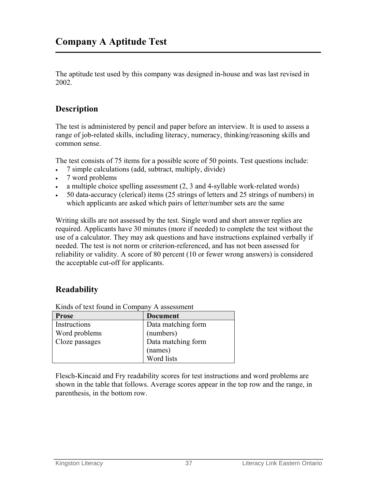The aptitude test used by this company was designed in-house and was last revised in 2002.

## **Description**

The test is administered by pencil and paper before an interview. It is used to assess a range of job-related skills, including literacy, numeracy, thinking/reasoning skills and common sense.

The test consists of 75 items for a possible score of 50 points. Test questions include:

- 7 simple calculations (add, subtract, multiply, divide)
- 7 word problems
- a multiple choice spelling assessment (2, 3 and 4-syllable work-related words)
- 50 data-accuracy (clerical) items (25 strings of letters and 25 strings of numbers) in which applicants are asked which pairs of letter/number sets are the same

Writing skills are not assessed by the test. Single word and short answer replies are required. Applicants have 30 minutes (more if needed) to complete the test without the use of a calculator. They may ask questions and have instructions explained verbally if needed. The test is not norm or criterion-referenced, and has not been assessed for reliability or validity. A score of 80 percent (10 or fewer wrong answers) is considered the acceptable cut-off for applicants.

## **Readability**

Kinds of text found in Company A assessment

| <b>Prose</b>   | <b>Document</b>    |
|----------------|--------------------|
| Instructions   | Data matching form |
| Word problems  | (numbers)          |
| Cloze passages | Data matching form |
|                | (names)            |
|                | Word lists         |

Flesch-Kincaid and Fry readability scores for test instructions and word problems are shown in the table that follows. Average scores appear in the top row and the range, in parenthesis, in the bottom row.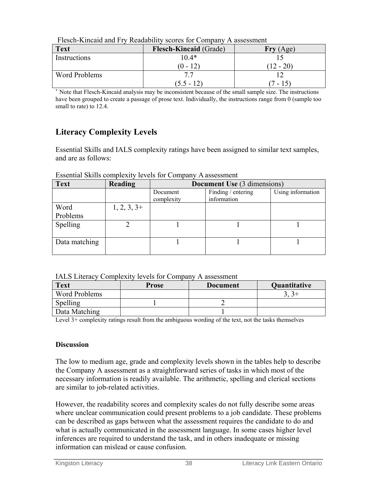| $1.00011$ $1.1110010$ $0.1101$ $1.1$<br>$\sim$ |                               |           |  |  |
|------------------------------------------------|-------------------------------|-----------|--|--|
| <b>Text</b>                                    | <b>Flesch-Kincaid</b> (Grade) | Fry(Age)  |  |  |
| Instructions                                   | $10.4*$                       |           |  |  |
|                                                | $(0 - 12)$                    | (12 - 20) |  |  |
| Word Problems                                  |                               |           |  |  |
|                                                | $(5.5 - 12)$                  | 7 - 15    |  |  |

Flesch-Kincaid and Fry Readability scores for Company A assessment

<sup>∗</sup> Note that Flesch-Kincaid analysis may be inconsistent because of the small sample size. The instructions have been grouped to create a passage of prose text. Individually, the instructions range from 0 (sample too small to rate) to 12.4.

# **Literacy Complexity Levels**

Essential Skills and IALS complexity ratings have been assigned to similar text samples, and are as follows:

| <b>Text</b>   | <b>Reading</b> | <b>Document Use (3 dimensions)</b> |                                   |                   |
|---------------|----------------|------------------------------------|-----------------------------------|-------------------|
|               |                | Document<br>complexity             | Finding / entering<br>information | Using information |
| Word          | $1, 2, 3, 3+$  |                                    |                                   |                   |
| Problems      |                |                                    |                                   |                   |
| Spelling      |                |                                    |                                   |                   |
| Data matching |                |                                    |                                   |                   |

Essential Skills complexity levels for Company A assessment

| <b>IALS Literacy Complexity levels for Company A assessment</b> |  |  |
|-----------------------------------------------------------------|--|--|
|                                                                 |  |  |

| <b>Text</b>   | <b>Prose</b> | <b>Document</b> | Quantitative |
|---------------|--------------|-----------------|--------------|
| Word Problems |              |                 |              |
| Spelling      |              |                 |              |
| Data Matching |              |                 |              |

Level 3+ complexity ratings result from the ambiguous wording of the text, not the tasks themselves

### **Discussion**

The low to medium age, grade and complexity levels shown in the tables help to describe the Company A assessment as a straightforward series of tasks in which most of the necessary information is readily available. The arithmetic, spelling and clerical sections are similar to job-related activities.

However, the readability scores and complexity scales do not fully describe some areas where unclear communication could present problems to a job candidate. These problems can be described as gaps between what the assessment requires the candidate to do and what is actually communicated in the assessment language. In some cases higher level inferences are required to understand the task, and in others inadequate or missing information can mislead or cause confusion.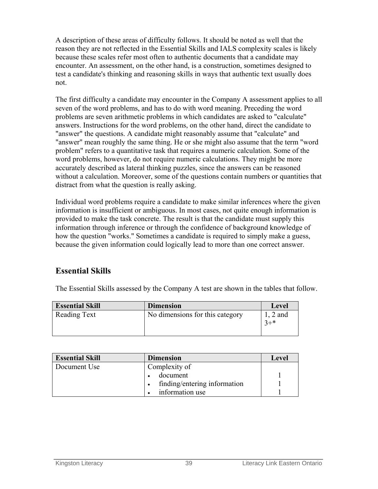A description of these areas of difficulty follows. It should be noted as well that the reason they are not reflected in the Essential Skills and IALS complexity scales is likely because these scales refer most often to authentic documents that a candidate may encounter. An assessment, on the other hand, is a construction, sometimes designed to test a candidate's thinking and reasoning skills in ways that authentic text usually does not.

The first difficulty a candidate may encounter in the Company A assessment applies to all seven of the word problems, and has to do with word meaning. Preceding the word problems are seven arithmetic problems in which candidates are asked to "calculate" answers. Instructions for the word problems, on the other hand, direct the candidate to "answer" the questions. A candidate might reasonably assume that "calculate" and "answer" mean roughly the same thing. He or she might also assume that the term "word problem" refers to a quantitative task that requires a numeric calculation. Some of the word problems, however, do not require numeric calculations. They might be more accurately described as lateral thinking puzzles, since the answers can be reasoned without a calculation. Moreover, some of the questions contain numbers or quantities that distract from what the question is really asking.

Individual word problems require a candidate to make similar inferences where the given information is insufficient or ambiguous. In most cases, not quite enough information is provided to make the task concrete. The result is that the candidate must supply this information through inference or through the confidence of background knowledge of how the question "works." Sometimes a candidate is required to simply make a guess, because the given information could logically lead to more than one correct answer.

# **Essential Skills**

The Essential Skills assessed by the Company A test are shown in the tables that follow.

| <b>Essential Skill</b> | <b>Dimension</b>                | Level               |
|------------------------|---------------------------------|---------------------|
| <b>Reading Text</b>    | No dimensions for this category | $1, 2$ and<br>$3+*$ |

| <b>Essential Skill</b> | <b>Dimension</b>             | Level |
|------------------------|------------------------------|-------|
| Document Use           | Complexity of                |       |
|                        | document                     |       |
|                        | finding/entering information |       |
|                        | information use              |       |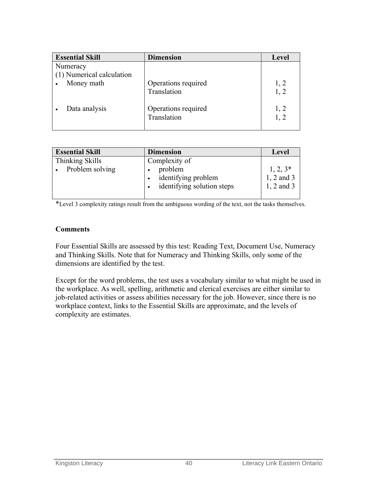| <b>Essential Skill</b>    | <b>Dimension</b>                   | Level        |
|---------------------------|------------------------------------|--------------|
| Numeracy                  |                                    |              |
| (1) Numerical calculation |                                    |              |
| Money math                | Operations required<br>Translation | 1, 2<br>1, 2 |
| Data analysis             | Operations required<br>Translation | 1, 2<br>1, 2 |

| <b>Essential Skill</b> | <b>Dimension</b>                                             | Level                                       |
|------------------------|--------------------------------------------------------------|---------------------------------------------|
| Thinking Skills        | Complexity of                                                |                                             |
| Problem solving        | problem<br>identifying problem<br>identifying solution steps | $1, 2, 3^*$<br>$1, 2$ and 3<br>$1, 2$ and 3 |

\*Level 3 complexity ratings result from the ambiguous wording of the text, not the tasks themselves.

#### **Comments**

Four Essential Skills are assessed by this test: Reading Text, Document Use, Numeracy and Thinking Skills. Note that for Numeracy and Thinking Skills, only some of the dimensions are identified by the test.

Except for the word problems, the test uses a vocabulary similar to what might be used in the workplace. As well, spelling, arithmetic and clerical exercises are either similar to job-related activities or assess abilities necessary for the job. However, since there is no workplace context, links to the Essential Skills are approximate, and the levels of complexity are estimates.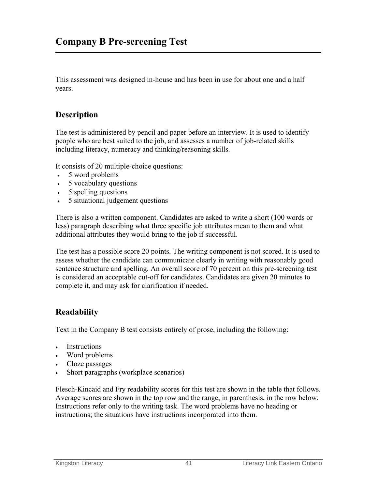This assessment was designed in-house and has been in use for about one and a half years.

# **Description**

The test is administered by pencil and paper before an interview. It is used to identify people who are best suited to the job, and assesses a number of job-related skills including literacy, numeracy and thinking/reasoning skills.

It consists of 20 multiple-choice questions:

- 5 word problems
- 5 vocabulary questions
- 5 spelling questions
- 5 situational judgement questions

There is also a written component. Candidates are asked to write a short (100 words or less) paragraph describing what three specific job attributes mean to them and what additional attributes they would bring to the job if successful.

The test has a possible score 20 points. The writing component is not scored. It is used to assess whether the candidate can communicate clearly in writing with reasonably good sentence structure and spelling. An overall score of 70 percent on this pre-screening test is considered an acceptable cut-off for candidates. Candidates are given 20 minutes to complete it, and may ask for clarification if needed.

## **Readability**

Text in the Company B test consists entirely of prose, including the following:

- Instructions
- Word problems
- Cloze passages
- Short paragraphs (workplace scenarios)

Flesch-Kincaid and Fry readability scores for this test are shown in the table that follows. Average scores are shown in the top row and the range, in parenthesis, in the row below. Instructions refer only to the writing task. The word problems have no heading or instructions; the situations have instructions incorporated into them.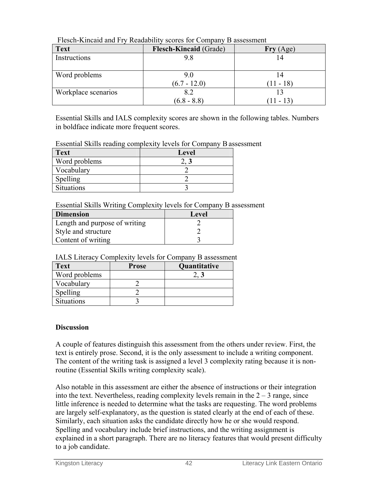| <b>Text</b>         | <b>Flesch-Kincaid</b> (Grade) | Fry(Age)    |
|---------------------|-------------------------------|-------------|
| Instructions        | 9.8                           | 14          |
|                     |                               |             |
| Word problems       | 90                            | 14          |
|                     | $(6.7 - 12.0)$                | $(11 - 18)$ |
| Workplace scenarios | 8.2                           |             |
|                     | $(6.8 - 8.8)$                 | $(11 - 13)$ |

Flesch-Kincaid and Fry Readability scores for Company B assessment

Essential Skills and IALS complexity scores are shown in the following tables. Numbers in boldface indicate more frequent scores.

Essential Skills reading complexity levels for Company Bassessment

| <b>Text</b>       | Level |
|-------------------|-------|
| Word problems     |       |
| Vocabulary        |       |
| Spelling          |       |
| <b>Situations</b> |       |

Essential Skills Writing Complexity levels for Company B assessment

| <b>Dimension</b>              | Level |
|-------------------------------|-------|
| Length and purpose of writing |       |
| Style and structure           |       |
| Content of writing            |       |

IALS Literacy Complexity levels for Company B assessment

| <b>Text</b>       | <b>Prose</b> | Quantitative |
|-------------------|--------------|--------------|
| Word problems     |              |              |
| Vocabulary        |              |              |
| Spelling          |              |              |
| <b>Situations</b> |              |              |

### **Discussion**

A couple of features distinguish this assessment from the others under review. First, the text is entirely prose. Second, it is the only assessment to include a writing component. The content of the writing task is assigned a level 3 complexity rating because it is nonroutine (Essential Skills writing complexity scale).

Also notable in this assessment are either the absence of instructions or their integration into the text. Nevertheless, reading complexity levels remain in the  $2 - 3$  range, since little inference is needed to determine what the tasks are requesting. The word problems are largely self-explanatory, as the question is stated clearly at the end of each of these. Similarly, each situation asks the candidate directly how he or she would respond. Spelling and vocabulary include brief instructions, and the writing assignment is explained in a short paragraph. There are no literacy features that would present difficulty to a job candidate.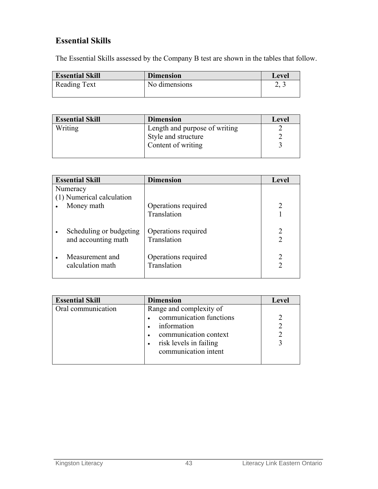# **Essential Skills**

The Essential Skills assessed by the Company B test are shown in the tables that follow.

| <b>Essential Skill</b> | <b>Dimension</b> | Level |
|------------------------|------------------|-------|
| Reading Text           | No dimensions    | ر په  |

| <b>Essential Skill</b> | <b>Dimension</b>              | Level |
|------------------------|-------------------------------|-------|
| Writing                | Length and purpose of writing |       |
|                        | Style and structure           |       |
|                        | Content of writing            |       |
|                        |                               |       |

| <b>Essential Skill</b>    | <b>Dimension</b>    | Level |
|---------------------------|---------------------|-------|
| Numeracy                  |                     |       |
| (1) Numerical calculation |                     |       |
| Money math                | Operations required |       |
|                           | Translation         |       |
|                           |                     |       |
| Scheduling or budgeting   | Operations required |       |
| and accounting math       | Translation         |       |
|                           |                     |       |
| Measurement and           | Operations required |       |
| calculation math          | Translation         |       |
|                           |                     |       |

| <b>Essential Skill</b> | <b>Dimension</b>                                                                                                                             | Level |
|------------------------|----------------------------------------------------------------------------------------------------------------------------------------------|-------|
| Oral communication     | Range and complexity of<br>communication functions<br>information<br>communication context<br>risk levels in failing<br>communication intent |       |
|                        |                                                                                                                                              |       |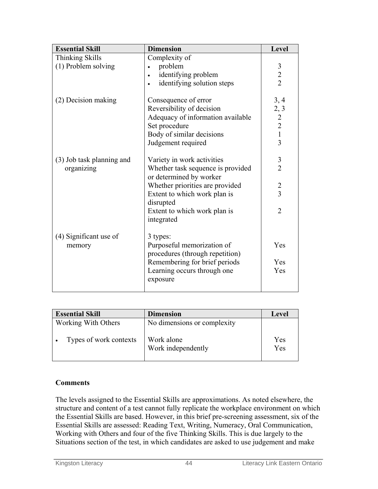| <b>Essential Skill</b>                        | <b>Dimension</b>                                                                                                                                                                                                         | Level                                                                        |
|-----------------------------------------------|--------------------------------------------------------------------------------------------------------------------------------------------------------------------------------------------------------------------------|------------------------------------------------------------------------------|
| <b>Thinking Skills</b><br>(1) Problem solving | Complexity of<br>problem<br>identifying problem<br>identifying solution steps                                                                                                                                            | 3<br>$\frac{2}{2}$                                                           |
| (2) Decision making                           | Consequence of error<br>Reversibility of decision<br>Adequacy of information available<br>Set procedure<br>Body of similar decisions<br>Judgement required                                                               | 3, 4<br>2, 3<br>$\begin{array}{c} 2 \\ 2 \\ 1 \end{array}$<br>$\overline{3}$ |
| (3) Job task planning and<br>organizing       | Variety in work activities<br>Whether task sequence is provided<br>or determined by worker<br>Whether priorities are provided<br>Extent to which work plan is<br>disrupted<br>Extent to which work plan is<br>integrated | $\frac{3}{2}$<br>$\frac{2}{3}$<br>$\overline{2}$                             |
| (4) Significant use of<br>memory              | 3 types:<br>Purposeful memorization of<br>procedures (through repetition)<br>Remembering for brief periods<br>Learning occurs through one<br>exposure                                                                    | Yes<br>Yes<br>Yes                                                            |

| <b>Essential Skill</b> | <b>Dimension</b>                 | Level      |
|------------------------|----------------------------------|------------|
| Working With Others    | No dimensions or complexity      |            |
| Types of work contexts | Work alone<br>Work independently | Yes<br>Yes |

#### **Comments**

The levels assigned to the Essential Skills are approximations. As noted elsewhere, the structure and content of a test cannot fully replicate the workplace environment on which the Essential Skills are based. However, in this brief pre-screening assessment, six of the Essential Skills are assessed: Reading Text, Writing, Numeracy, Oral Communication, Working with Others and four of the five Thinking Skills. This is due largely to the Situations section of the test, in which candidates are asked to use judgement and make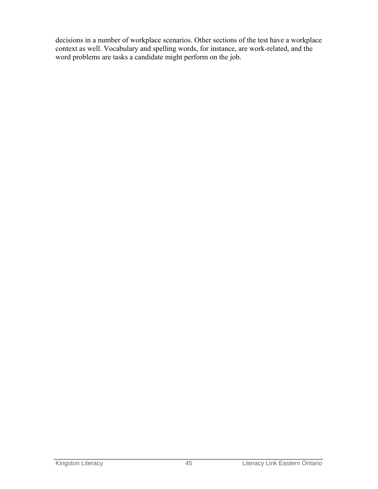decisions in a number of workplace scenarios. Other sections of the test have a workplace context as well. Vocabulary and spelling words, for instance, are work-related, and the word problems are tasks a candidate might perform on the job.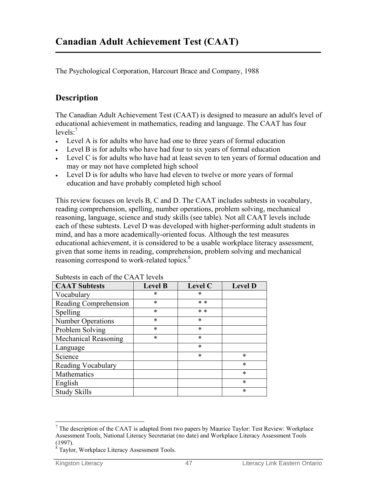The Psychological Corporation, Harcourt Brace and Company, 1988

### **Description**

The Canadian Adult Achievement Test (CAAT) is designed to measure an adult's level of educational achievement in mathematics, reading and language. The CAAT has four levels: $<sup>7</sup>$ </sup>

- Level A is for adults who have had one to three years of formal education
- Level B is for adults who have had four to six years of formal education
- Level C is for adults who have had at least seven to ten years of formal education and may or may not have completed high school
- Level D is for adults who have had eleven to twelve or more years of formal education and have probably completed high school

This review focuses on levels B, C and D. The CAAT includes subtests in vocabulary, reading comprehension, spelling, number operations, problem solving, mechanical reasoning, language, science and study skills (see table). Not all CAAT levels include each of these subtests. Level D was developed with higher-performing adult students in mind, and has a more academically-oriented focus. Although the test measures educational achievement, it is considered to be a usable workplace literacy assessment, given that some items in reading, comprehension, problem solving and mechanical reasoning correspond to work-related topics.<sup>8</sup>

| <b>CAAT Subtests</b>  | <b>Level B</b> | Level C | <b>Level D</b> |
|-----------------------|----------------|---------|----------------|
| Vocabulary            | $\ast$         | $\ast$  |                |
| Reading Comprehension | $\ast$         | $* *$   |                |
| Spelling              | $\ast$         | $* *$   |                |
| Number Operations     | $\ast$         | $\ast$  |                |
| Problem Solving       | $\ast$         | $\ast$  |                |
| Mechanical Reasoning  | $\ast$         | $\ast$  |                |
| Language              |                | $\ast$  |                |
| Science               |                | $\ast$  | $\ast$         |
| Reading Vocabulary    |                |         | $\ast$         |
| Mathematics           |                |         | $\ast$         |
| English               |                |         | $\ast$         |
| <b>Study Skills</b>   |                |         | $\ast$         |

Subtests in each of the CAAT levels

 $\overline{a}$ 

 $7$  The description of the CAAT is adapted from two papers by Maurice Taylor: Test Review: Workplace Assessment Tools, National Literacy Secretariat (no date) and Workplace Literacy Assessment Tools (1997).

<sup>8</sup> Taylor, Workplace Literacy Assessment Tools.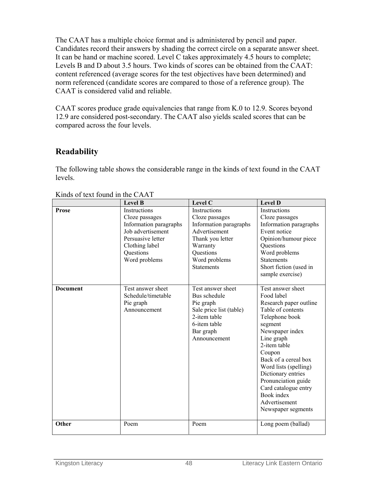The CAAT has a multiple choice format and is administered by pencil and paper. Candidates record their answers by shading the correct circle on a separate answer sheet. It can be hand or machine scored. Level C takes approximately 4.5 hours to complete; Levels B and D about 3.5 hours. Two kinds of scores can be obtained from the CAAT: content referenced (average scores for the test objectives have been determined) and norm referenced (candidate scores are compared to those of a reference group). The CAAT is considered valid and reliable.

CAAT scores produce grade equivalencies that range from K.0 to 12.9. Scores beyond 12.9 are considered post-secondary. The CAAT also yields scaled scores that can be compared across the four levels.

# **Readability**

The following table shows the considerable range in the kinds of text found in the CAAT levels.

|                 | <b>Level B</b>                                                                                                                                     | Level C                                                                                                                                                      | <b>Level D</b>                                                                                                                                                                                                                                                                                                                                    |
|-----------------|----------------------------------------------------------------------------------------------------------------------------------------------------|--------------------------------------------------------------------------------------------------------------------------------------------------------------|---------------------------------------------------------------------------------------------------------------------------------------------------------------------------------------------------------------------------------------------------------------------------------------------------------------------------------------------------|
| <b>Prose</b>    | Instructions<br>Cloze passages<br>Information paragraphs<br>Job advertisement<br>Persuasive letter<br>Clothing label<br>Questions<br>Word problems | Instructions<br>Cloze passages<br>Information paragraphs<br>Advertisement<br>Thank you letter<br>Warranty<br>Questions<br>Word problems<br><b>Statements</b> | <b>Instructions</b><br>Cloze passages<br>Information paragraphs<br>Event notice<br>Opinion/humour piece<br>Questions<br>Word problems<br><b>Statements</b><br>Short fiction (used in<br>sample exercise)                                                                                                                                          |
| <b>Document</b> | Test answer sheet<br>Schedule/timetable<br>Pie graph<br>Announcement                                                                               | Test answer sheet<br>Bus schedule<br>Pie graph<br>Sale price list (table)<br>2-item table<br>6-item table<br>Bar graph<br>Announcement                       | Test answer sheet<br>Food label<br>Research paper outline<br>Table of contents<br>Telephone book<br>segment<br>Newspaper index<br>Line graph<br>2-item table<br>Coupon<br>Back of a cereal box<br>Word lists (spelling)<br>Dictionary entries<br>Pronunciation guide<br>Card catalogue entry<br>Book index<br>Advertisement<br>Newspaper segments |
| Other           | Poem                                                                                                                                               | Poem                                                                                                                                                         | Long poem (ballad)                                                                                                                                                                                                                                                                                                                                |

Kinds of text found in the CAAT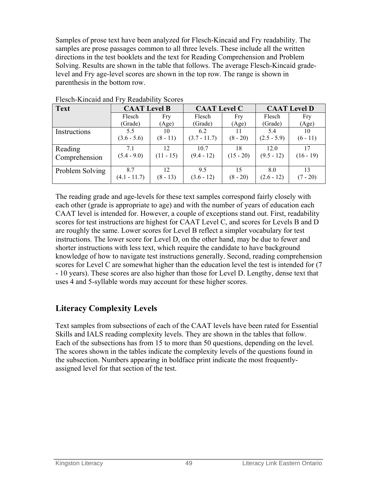Samples of prose text have been analyzed for Flesch-Kincaid and Fry readability. The samples are prose passages common to all three levels. These include all the written directions in the test booklets and the text for Reading Comprehension and Problem Solving. Results are shown in the table that follows. The average Flesch-Kincaid gradelevel and Fry age-level scores are shown in the top row. The range is shown in parenthesis in the bottom row.

| <b>Text</b>              | <b>CAAT Level B</b>  |                   | <b>CAAT Level C</b>   |                   | <b>CAAT Level D</b>  |                   |
|--------------------------|----------------------|-------------------|-----------------------|-------------------|----------------------|-------------------|
|                          | Flesch               | Fry               | Flesch                | Fry               | Flesch               | Fry               |
|                          | (Grade)              | (Age)             | (Grade)               | (Age)             | (Grade)              | (Age)             |
| Instructions             | 5.5<br>$(3.6 - 5.6)$ | 10<br>$(8 - 11)$  | 6.2<br>$(3.7 - 11.7)$ | $(8 - 20)$        | 5.4<br>$(2.5 - 5.9)$ | 10<br>$(6 - 11)$  |
| Reading<br>Comprehension | 7.1<br>$(5.4 - 9.0)$ | 12<br>$(11 - 15)$ | 107<br>$(9.4 - 12)$   | 18<br>$(15 - 20)$ | 120<br>$(9.5 - 12)$  | 17<br>$(16 - 19)$ |
| Problem Solving          | 87<br>$(4.1 - 11.7)$ | 12<br>$(8 - 13)$  | 95<br>$(3.6 - 12)$    | 15<br>$(8 - 20)$  | 8.0<br>$(2.6 - 12)$  | 13<br>$(7 - 20)$  |

Flesch-Kincaid and Fry Readability Scores

The reading grade and age-levels for these text samples correspond fairly closely with each other (grade is appropriate to age) and with the number of years of education each CAAT level is intended for. However, a couple of exceptions stand out. First, readability scores for test instructions are highest for CAAT Level C, and scores for Levels B and D are roughly the same. Lower scores for Level B reflect a simpler vocabulary for test instructions. The lower score for Level D, on the other hand, may be due to fewer and shorter instructions with less text, which require the candidate to have background knowledge of how to navigate test instructions generally. Second, reading comprehension scores for Level C are somewhat higher than the education level the test is intended for (7 - 10 years). These scores are also higher than those for Level D. Lengthy, dense text that uses 4 and 5-syllable words may account for these higher scores.

# **Literacy Complexity Levels**

Text samples from subsections of each of the CAAT levels have been rated for Essential Skills and IALS reading complexity levels. They are shown in the tables that follow. Each of the subsections has from 15 to more than 50 questions, depending on the level. The scores shown in the tables indicate the complexity levels of the questions found in the subsection. Numbers appearing in boldface print indicate the most frequentlyassigned level for that section of the test.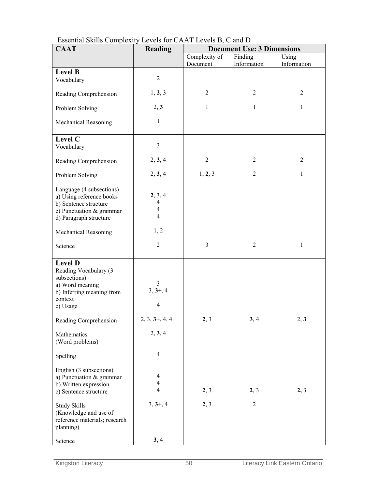| <b>CAAT</b>                                                                                                                         | <b>Reading</b>                                   |                | <b>Document Use: 3 Dimensions</b> |                |
|-------------------------------------------------------------------------------------------------------------------------------------|--------------------------------------------------|----------------|-----------------------------------|----------------|
|                                                                                                                                     |                                                  | Complexity of  | Finding                           | Using          |
|                                                                                                                                     |                                                  | Document       | Information                       | Information    |
| <b>Level B</b><br>Vocabulary                                                                                                        | $\sqrt{2}$                                       |                |                                   |                |
| Reading Comprehension                                                                                                               | 1, 2, 3                                          | $\overline{2}$ | $\overline{2}$                    | $\overline{2}$ |
| Problem Solving                                                                                                                     | 2, 3                                             | $\mathbf{1}$   | 1                                 | 1              |
| Mechanical Reasoning                                                                                                                | $\mathbf{1}$                                     |                |                                   |                |
| Level C<br>Vocabulary                                                                                                               | $\mathfrak{Z}$                                   |                |                                   |                |
| Reading Comprehension                                                                                                               | 2, 3, 4                                          | $\overline{2}$ | $\overline{2}$                    | $\overline{2}$ |
| Problem Solving                                                                                                                     | 2, 3, 4                                          | 1, 2, 3        | $\overline{2}$                    | $\mathbf{1}$   |
| Language (4 subsections)<br>a) Using reference books<br>b) Sentence structure<br>c) Punctuation & grammar<br>d) Paragraph structure | 2, 3, 4<br>4<br>$\overline{4}$<br>$\overline{4}$ |                |                                   |                |
| Mechanical Reasoning                                                                                                                | 1, 2                                             |                |                                   |                |
| Science                                                                                                                             | $\overline{2}$                                   | $\mathfrak{Z}$ | $\overline{2}$                    | $\mathbf{1}$   |
| <b>Level D</b><br>Reading Vocabulary (3<br>subsections)<br>a) Word meaning<br>b) Inferring meaning from<br>context<br>c) Usage      | $\overline{3}$<br>$3, 3+, 4$<br>4                |                |                                   |                |
| Reading Comprehension                                                                                                               | $2, 3, 3+, 4, 4+$                                | 2, 3           | 3, 4                              | 2, 3           |
| Mathematics<br>(Word problems)                                                                                                      | 2, 3, 4                                          |                |                                   |                |
| Spelling                                                                                                                            | $\overline{4}$                                   |                |                                   |                |
| English (3 subsections)<br>a) Punctuation & grammar<br>b) Written expression<br>c) Sentence structure                               | 4<br>$\overline{\mathcal{A}}$<br>4               | 2, 3           | 2, 3                              | 2, 3           |
| <b>Study Skills</b><br>(Knowledge and use of<br>reference materials; research<br>planning)                                          | $3, 3+, 4$                                       | 2, 3           | $\overline{2}$                    |                |
| Science                                                                                                                             | 3, 4                                             |                |                                   |                |

Essential Skills Complexity Levels for CAAT Levels B, C and D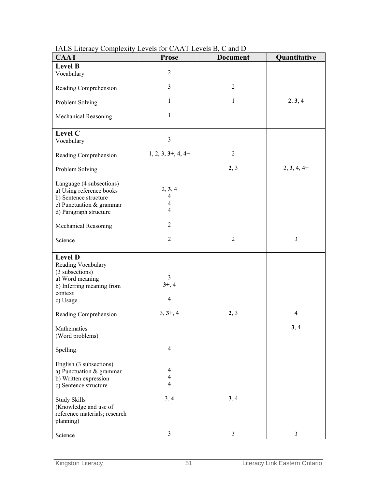| <b>CAAT</b>                                                                                                                                                            | <b>Prose</b>                                                            | <b>Document</b> | Quantitative           |
|------------------------------------------------------------------------------------------------------------------------------------------------------------------------|-------------------------------------------------------------------------|-----------------|------------------------|
| <b>Level B</b>                                                                                                                                                         |                                                                         |                 |                        |
| Vocabulary                                                                                                                                                             | $\overline{2}$                                                          |                 |                        |
| Reading Comprehension                                                                                                                                                  | $\mathfrak{Z}$                                                          | $\overline{2}$  |                        |
| Problem Solving                                                                                                                                                        | 1                                                                       | 1               | 2, 3, 4                |
| Mechanical Reasoning                                                                                                                                                   | 1                                                                       |                 |                        |
| Level C<br>Vocabulary                                                                                                                                                  | $\mathfrak{Z}$                                                          |                 |                        |
| Reading Comprehension                                                                                                                                                  | $1, 2, 3, 3+, 4, 4+$                                                    | $\overline{2}$  |                        |
| Problem Solving                                                                                                                                                        |                                                                         | 2, 3            | $2, 3, 4, 4+$          |
| Language (4 subsections)<br>a) Using reference books<br>b) Sentence structure<br>c) Punctuation & grammar<br>d) Paragraph structure                                    | 2, 3, 4<br>$\overline{\mathcal{A}}$<br>$\overline{4}$<br>$\overline{4}$ |                 |                        |
| Mechanical Reasoning                                                                                                                                                   | $\overline{2}$                                                          |                 |                        |
| Science                                                                                                                                                                | $\overline{2}$                                                          | $\overline{2}$  | $\overline{3}$         |
| <b>Level D</b><br>Reading Vocabulary<br>(3 subsections)<br>a) Word meaning<br>b) Inferring meaning from<br>context<br>c) Usage<br>Reading Comprehension<br>Mathematics | $\mathfrak{Z}$<br>$3+, 4$<br>$\overline{4}$<br>$3, 3+, 4$               | 2, 3            | $\overline{4}$<br>3, 4 |
| (Word problems)                                                                                                                                                        |                                                                         |                 |                        |
| Spelling                                                                                                                                                               | 4                                                                       |                 |                        |
| English (3 subsections)<br>a) Punctuation & grammar<br>b) Written expression<br>c) Sentence structure                                                                  | $\overline{4}$<br>$\overline{\mathcal{A}}$<br>4                         |                 |                        |
| <b>Study Skills</b><br>(Knowledge and use of<br>reference materials; research<br>planning)                                                                             | 3, 4                                                                    | 3, 4            |                        |
| Science                                                                                                                                                                | 3                                                                       | $\mathfrak{Z}$  | $\mathfrak{Z}$         |

### IALS Literacy Complexity Levels for CAAT Levels B, C and D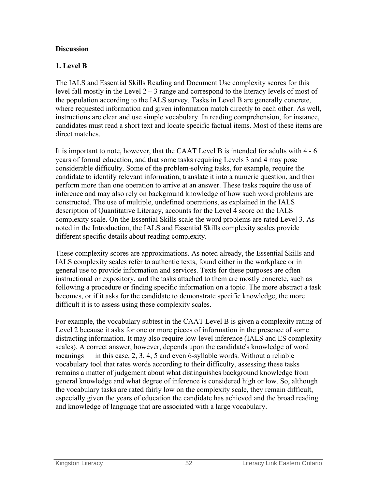#### **Discussion**

### **1. Level B**

The IALS and Essential Skills Reading and Document Use complexity scores for this level fall mostly in the Level 2 – 3 range and correspond to the literacy levels of most of the population according to the IALS survey. Tasks in Level B are generally concrete, where requested information and given information match directly to each other. As well, instructions are clear and use simple vocabulary. In reading comprehension, for instance, candidates must read a short text and locate specific factual items. Most of these items are direct matches.

It is important to note, however, that the CAAT Level B is intended for adults with 4 - 6 years of formal education, and that some tasks requiring Levels 3 and 4 may pose considerable difficulty. Some of the problem-solving tasks, for example, require the candidate to identify relevant information, translate it into a numeric question, and then perform more than one operation to arrive at an answer. These tasks require the use of inference and may also rely on background knowledge of how such word problems are constructed. The use of multiple, undefined operations, as explained in the IALS description of Quantitative Literacy, accounts for the Level 4 score on the IALS complexity scale. On the Essential Skills scale the word problems are rated Level 3. As noted in the Introduction, the IALS and Essential Skills complexity scales provide different specific details about reading complexity.

These complexity scores are approximations. As noted already, the Essential Skills and IALS complexity scales refer to authentic texts, found either in the workplace or in general use to provide information and services. Texts for these purposes are often instructional or expository, and the tasks attached to them are mostly concrete, such as following a procedure or finding specific information on a topic. The more abstract a task becomes, or if it asks for the candidate to demonstrate specific knowledge, the more difficult it is to assess using these complexity scales.

For example, the vocabulary subtest in the CAAT Level B is given a complexity rating of Level 2 because it asks for one or more pieces of information in the presence of some distracting information. It may also require low-level inference (IALS and ES complexity scales). A correct answer, however, depends upon the candidate's knowledge of word meanings — in this case, 2, 3, 4, 5 and even 6-syllable words. Without a reliable vocabulary tool that rates words according to their difficulty, assessing these tasks remains a matter of judgement about what distinguishes background knowledge from general knowledge and what degree of inference is considered high or low. So, although the vocabulary tasks are rated fairly low on the complexity scale, they remain difficult, especially given the years of education the candidate has achieved and the broad reading and knowledge of language that are associated with a large vocabulary.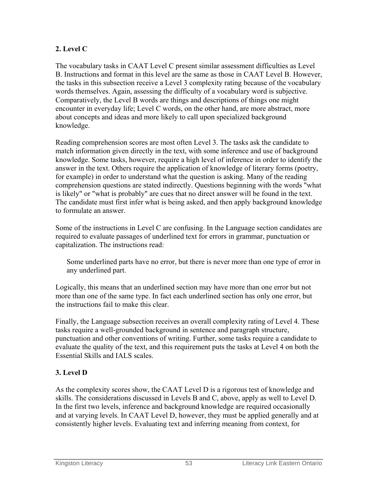### **2. Level C**

The vocabulary tasks in CAAT Level C present similar assessment difficulties as Level B. Instructions and format in this level are the same as those in CAAT Level B. However, the tasks in this subsection receive a Level 3 complexity rating because of the vocabulary words themselves. Again, assessing the difficulty of a vocabulary word is subjective. Comparatively, the Level B words are things and descriptions of things one might encounter in everyday life; Level C words, on the other hand, are more abstract, more about concepts and ideas and more likely to call upon specialized background knowledge.

Reading comprehension scores are most often Level 3. The tasks ask the candidate to match information given directly in the text, with some inference and use of background knowledge. Some tasks, however, require a high level of inference in order to identify the answer in the text. Others require the application of knowledge of literary forms (poetry, for example) in order to understand what the question is asking. Many of the reading comprehension questions are stated indirectly. Questions beginning with the words "what is likely" or "what is probably" are cues that no direct answer will be found in the text. The candidate must first infer what is being asked, and then apply background knowledge to formulate an answer.

Some of the instructions in Level C are confusing. In the Language section candidates are required to evaluate passages of underlined text for errors in grammar, punctuation or capitalization. The instructions read:

Some underlined parts have no error, but there is never more than one type of error in any underlined part.

Logically, this means that an underlined section may have more than one error but not more than one of the same type. In fact each underlined section has only one error, but the instructions fail to make this clear.

Finally, the Language subsection receives an overall complexity rating of Level 4. These tasks require a well-grounded background in sentence and paragraph structure, punctuation and other conventions of writing. Further, some tasks require a candidate to evaluate the quality of the text, and this requirement puts the tasks at Level 4 on both the Essential Skills and IALS scales.

# **3. Level D**

As the complexity scores show, the CAAT Level D is a rigorous test of knowledge and skills. The considerations discussed in Levels B and C, above, apply as well to Level D. In the first two levels, inference and background knowledge are required occasionally and at varying levels. In CAAT Level D, however, they must be applied generally and at consistently higher levels. Evaluating text and inferring meaning from context, for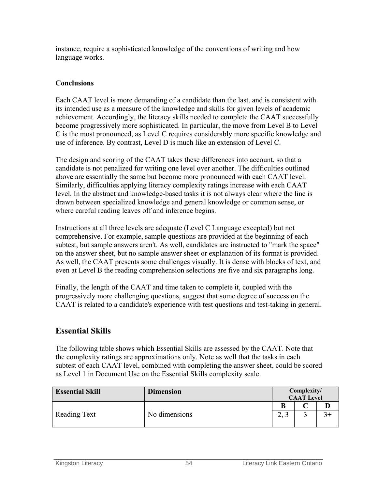instance, require a sophisticated knowledge of the conventions of writing and how language works.

### **Conclusions**

Each CAAT level is more demanding of a candidate than the last, and is consistent with its intended use as a measure of the knowledge and skills for given levels of academic achievement. Accordingly, the literacy skills needed to complete the CAAT successfully become progressively more sophisticated. In particular, the move from Level B to Level C is the most pronounced, as Level C requires considerably more specific knowledge and use of inference. By contrast, Level D is much like an extension of Level C.

The design and scoring of the CAAT takes these differences into account, so that a candidate is not penalized for writing one level over another. The difficulties outlined above are essentially the same but become more pronounced with each CAAT level. Similarly, difficulties applying literacy complexity ratings increase with each CAAT level. In the abstract and knowledge-based tasks it is not always clear where the line is drawn between specialized knowledge and general knowledge or common sense, or where careful reading leaves off and inference begins.

Instructions at all three levels are adequate (Level C Language excepted) but not comprehensive. For example, sample questions are provided at the beginning of each subtest, but sample answers aren't. As well, candidates are instructed to "mark the space" on the answer sheet, but no sample answer sheet or explanation of its format is provided. As well, the CAAT presents some challenges visually. It is dense with blocks of text, and even at Level B the reading comprehension selections are five and six paragraphs long.

Finally, the length of the CAAT and time taken to complete it, coupled with the progressively more challenging questions, suggest that some degree of success on the CAAT is related to a candidate's experience with test questions and test-taking in general.

## **Essential Skills**

The following table shows which Essential Skills are assessed by the CAAT. Note that the complexity ratings are approximations only. Note as well that the tasks in each subtest of each CAAT level, combined with completing the answer sheet, could be scored as Level 1 in Document Use on the Essential Skills complexity scale.

| <b>Essential Skill</b> | <b>Dimension</b> | Complexity/<br><b>CAAT Level</b> |  |  |
|------------------------|------------------|----------------------------------|--|--|
|                        |                  | В                                |  |  |
| Reading Text           | No dimensions    | ∠.                               |  |  |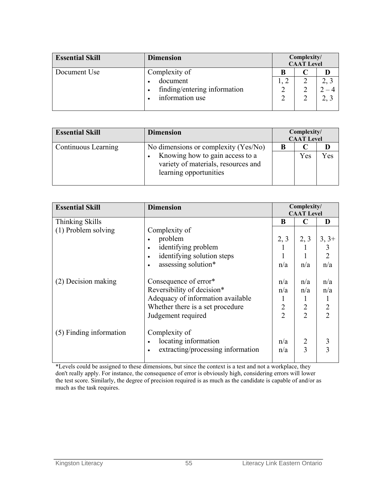| <b>Dimension</b>             |   | Complexity/<br><b>CAAT Level</b> |  |
|------------------------------|---|----------------------------------|--|
| Complexity of                | В |                                  |  |
| document                     |   |                                  |  |
| finding/entering information |   |                                  |  |
| information use              |   |                                  |  |
|                              |   |                                  |  |

| <b>Essential Skill</b> | <b>Dimension</b>                                                                                 |   | Complexity/<br><b>CAAT Level</b> |     |
|------------------------|--------------------------------------------------------------------------------------------------|---|----------------------------------|-----|
| Continuous Learning    | No dimensions or complexity (Yes/No)                                                             | B |                                  |     |
|                        | Knowing how to gain access to a<br>variety of materials, resources and<br>learning opportunities |   | Yes                              | Yes |

| <b>Essential Skill</b>  | <b>Dimension</b>                               | Complexity/<br><b>CAAT Level</b> |                |                |
|-------------------------|------------------------------------------------|----------------------------------|----------------|----------------|
| <b>Thinking Skills</b>  |                                                | B                                | C              | D              |
| (1) Problem solving     | Complexity of                                  |                                  |                |                |
|                         | problem                                        | 2, 3                             | 2, 3           | $3, 3+$        |
|                         | identifying problem<br>$\bullet$               |                                  |                | 3              |
|                         | identifying solution steps<br>$\bullet$        |                                  |                | $\overline{2}$ |
|                         | assessing solution*<br>$\bullet$               | n/a                              | n/a            | n/a            |
| (2) Decision making     | Consequence of error*                          | n/a                              | n/a            | n/a            |
|                         | Reversibility of decision*                     | n/a                              | n/a            | n/a            |
|                         | Adequacy of information available              | 1                                |                |                |
|                         | Whether there is a set procedure               | $\overline{2}$                   | $\overline{2}$ |                |
|                         | Judgement required                             | $\overline{2}$                   | $\overline{2}$ | $\frac{2}{2}$  |
| (5) Finding information | Complexity of                                  |                                  |                |                |
|                         | locating information<br>$\bullet$              | n/a                              | $\overline{2}$ | 3              |
|                         | extracting/processing information<br>$\bullet$ | n/a                              | 3              | 3              |

\*Levels could be assigned to these dimensions, but since the context is a test and not a workplace, they don't really apply. For instance, the consequence of error is obviously high, considering errors will lower the test score. Similarly, the degree of precision required is as much as the candidate is capable of and/or as much as the task requires.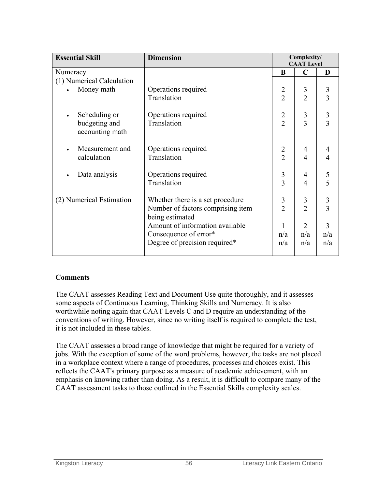| <b>Essential Skill</b>           | <b>Dimension</b>                                     |                | Complexity/<br><b>CAAT Level</b> |                |
|----------------------------------|------------------------------------------------------|----------------|----------------------------------|----------------|
| Numeracy                         |                                                      | B              | $\mathbf C$                      | D              |
| (1) Numerical Calculation        |                                                      |                |                                  |                |
| Money math                       | Operations required                                  | $\overline{2}$ | 3                                | 3              |
|                                  | Translation                                          | $\overline{2}$ | $\overline{2}$                   | 3              |
| Scheduling or                    | Operations required                                  | $\overline{2}$ | $\mathfrak{Z}$                   | $\mathfrak{Z}$ |
| budgeting and<br>accounting math | Translation                                          | $\overline{2}$ | $\overline{3}$                   | $\overline{3}$ |
| Measurement and                  | Operations required                                  | $\overline{2}$ | $\overline{4}$                   | 4              |
| calculation                      | Translation                                          | $\overline{2}$ | 4                                | $\overline{4}$ |
| Data analysis                    | Operations required                                  | $\mathfrak{Z}$ | $\overline{4}$                   | 5              |
|                                  | Translation                                          | $\overline{3}$ | 4                                | 5              |
| (2) Numerical Estimation         | Whether there is a set procedure                     | $\mathfrak{Z}$ | 3                                | $\mathfrak{Z}$ |
|                                  | Number of factors comprising item<br>being estimated | $\overline{2}$ | $\overline{2}$                   | $\overline{3}$ |
|                                  | Amount of information available                      |                | $\overline{2}$                   | 3              |
|                                  | Consequence of error*                                | n/a            | n/a                              | n/a            |
|                                  | Degree of precision required*                        | n/a            | n/a                              | n/a            |

### **Comments**

The CAAT assesses Reading Text and Document Use quite thoroughly, and it assesses some aspects of Continuous Learning, Thinking Skills and Numeracy. It is also worthwhile noting again that CAAT Levels C and D require an understanding of the conventions of writing. However, since no writing itself is required to complete the test, it is not included in these tables.

The CAAT assesses a broad range of knowledge that might be required for a variety of jobs. With the exception of some of the word problems, however, the tasks are not placed in a workplace context where a range of procedures, processes and choices exist. This reflects the CAAT's primary purpose as a measure of academic achievement, with an emphasis on knowing rather than doing. As a result, it is difficult to compare many of the CAAT assessment tasks to those outlined in the Essential Skills complexity scales.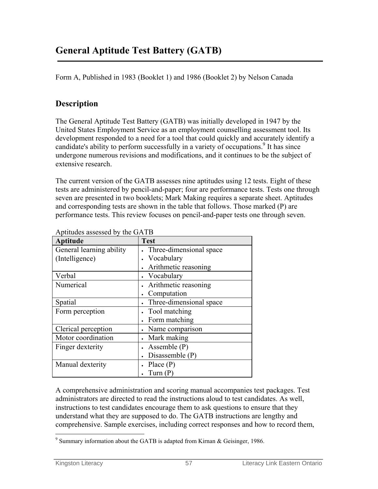Form A, Published in 1983 (Booklet 1) and 1986 (Booklet 2) by Nelson Canada

## **Description**

The General Aptitude Test Battery (GATB) was initially developed in 1947 by the United States Employment Service as an employment counselling assessment tool. Its development responded to a need for a tool that could quickly and accurately identify a candidate's ability to perform successfully in a variety of occupations.<sup>9</sup> It has since undergone numerous revisions and modifications, and it continues to be the subject of extensive research.

The current version of the GATB assesses nine aptitudes using 12 tests. Eight of these tests are administered by pencil-and-paper; four are performance tests. Tests one through seven are presented in two booklets; Mark Making requires a separate sheet. Aptitudes and corresponding tests are shown in the table that follows. Those marked (P) are performance tests. This review focuses on pencil-and-paper tests one through seven.

| <b>Aptitude</b>          | <b>Test</b>             |
|--------------------------|-------------------------|
| General learning ability | Three-dimensional space |
| (Intelligence)           | • Vocabulary            |
|                          | Arithmetic reasoning    |
| Verbal                   | Vocabulary              |
| Numerical                | • Arithmetic reasoning  |
|                          | Computation             |
| Spatial                  | Three-dimensional space |
| Form perception          | • Tool matching         |
|                          | Form matching           |
| Clerical perception      | Name comparison         |
| Motor coordination       | • Mark making           |
| Finger dexterity         | • Assemble $(P)$        |
|                          | Disassemble $(P)$       |
| Manual dexterity         | Place $(P)$             |
|                          | Turn $(P)$              |

Aptitudes assessed by the GATB

A comprehensive administration and scoring manual accompanies test packages. Test administrators are directed to read the instructions aloud to test candidates. As well, instructions to test candidates encourage them to ask questions to ensure that they understand what they are supposed to do. The GATB instructions are lengthy and comprehensive. Sample exercises, including correct responses and how to record them,

<sup>&</sup>lt;sup>9</sup> Summary information about the GATB is adapted from Kirnan & Geisinger, 1986.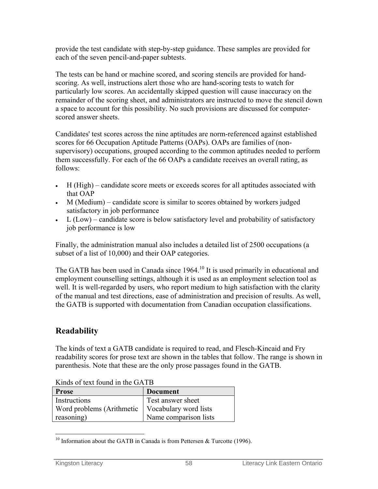provide the test candidate with step-by-step guidance. These samples are provided for each of the seven pencil-and-paper subtests.

The tests can be hand or machine scored, and scoring stencils are provided for handscoring. As well, instructions alert those who are hand-scoring tests to watch for particularly low scores. An accidentally skipped question will cause inaccuracy on the remainder of the scoring sheet, and administrators are instructed to move the stencil down a space to account for this possibility. No such provisions are discussed for computerscored answer sheets.

Candidates' test scores across the nine aptitudes are norm-referenced against established scores for 66 Occupation Aptitude Patterns (OAPs). OAPs are families of (nonsupervisory) occupations, grouped according to the common aptitudes needed to perform them successfully. For each of the 66 OAPs a candidate receives an overall rating, as follows:

- H (High) candidate score meets or exceeds scores for all aptitudes associated with that OAP
- M (Medium) candidate score is similar to scores obtained by workers judged satisfactory in job performance
- L  $(Low)$  candidate score is below satisfactory level and probability of satisfactory job performance is low

Finally, the administration manual also includes a detailed list of 2500 occupations (a subset of a list of 10,000) and their OAP categories.

The GATB has been used in Canada since 1964.<sup>10</sup> It is used primarily in educational and employment counselling settings, although it is used as an employment selection tool as well. It is well-regarded by users, who report medium to high satisfaction with the clarity of the manual and test directions, ease of administration and precision of results. As well, the GATB is supported with documentation from Canadian occupation classifications.

# **Readability**

The kinds of text a GATB candidate is required to read, and Flesch-Kincaid and Fry readability scores for prose text are shown in the tables that follow. The range is shown in parenthesis. Note that these are the only prose passages found in the GATB.

| Trances of toxic found in the Ottal               |                       |  |  |
|---------------------------------------------------|-----------------------|--|--|
| <b>Prose</b>                                      | <b>Document</b>       |  |  |
| Instructions                                      | Test answer sheet     |  |  |
| Word problems (Arithmetic   Vocabulary word lists |                       |  |  |
| reasoning)                                        | Name comparison lists |  |  |

Kinds of text found in the GATB

 $\overline{a}$ <sup>10</sup> Information about the GATB in Canada is from Pettersen & Turcotte (1996).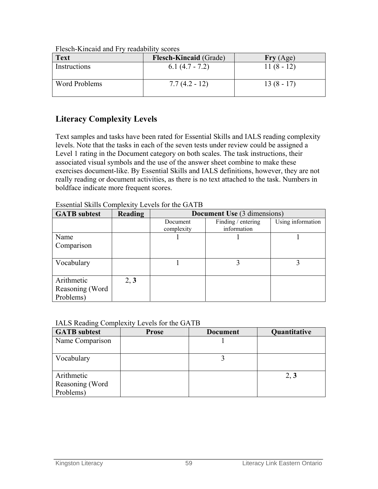| ------------  |                               |            |  |
|---------------|-------------------------------|------------|--|
| <b>Text</b>   | <b>Flesch-Kincaid</b> (Grade) | Fry(Age)   |  |
| Instructions  | $6.1(4.7 - 7.2)$              | $11(8-12)$ |  |
| Word Problems | $7.7(4.2 - 12)$               | $13(8-17)$ |  |

Flesch-Kincaid and Fry readability scores

# **Literacy Complexity Levels**

Text samples and tasks have been rated for Essential Skills and IALS reading complexity levels. Note that the tasks in each of the seven tests under review could be assigned a Level 1 rating in the Document category on both scales. The task instructions, their associated visual symbols and the use of the answer sheet combine to make these exercises document-like. By Essential Skills and IALS definitions, however, they are not really reading or document activities, as there is no text attached to the task. Numbers in boldface indicate more frequent scores.

| <b>GATB</b> subtest                        | <b>Reading</b> | <b>Document Use (3 dimensions)</b> |                                   |                   |  |
|--------------------------------------------|----------------|------------------------------------|-----------------------------------|-------------------|--|
|                                            |                | Document<br>complexity             | Finding / entering<br>information | Using information |  |
| Name<br>Comparison                         |                |                                    |                                   |                   |  |
| Vocabulary                                 |                |                                    |                                   |                   |  |
| Arithmetic<br>Reasoning (Word<br>Problems) | 2, 3           |                                    |                                   |                   |  |

| <b>Essential Skills Complexity Levels for the GATB</b> |  |
|--------------------------------------------------------|--|
|--------------------------------------------------------|--|

### IALS Reading Complexity Levels for the GATB

| <b>GATB</b> subtest | <b>Prose</b> | <b>Document</b> | Quantitative |
|---------------------|--------------|-----------------|--------------|
| Name Comparison     |              |                 |              |
|                     |              |                 |              |
| Vocabulary          |              |                 |              |
|                     |              |                 |              |
| Arithmetic          |              |                 | 2, 3         |
| Reasoning (Word     |              |                 |              |
| Problems)           |              |                 |              |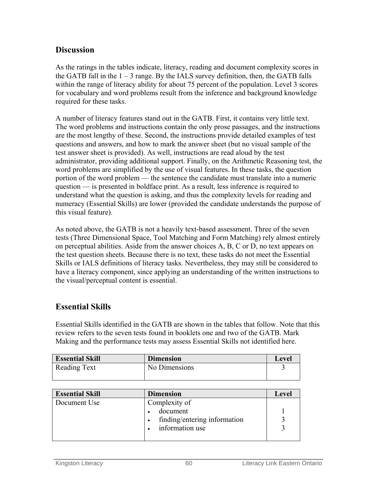## **Discussion**

As the ratings in the tables indicate, literacy, reading and document complexity scores in the GATB fall in the  $1 - 3$  range. By the IALS survey definition, then, the GATB falls within the range of literacy ability for about 75 percent of the population. Level 3 scores for vocabulary and word problems result from the inference and background knowledge required for these tasks.

A number of literacy features stand out in the GATB. First, it contains very little text. The word problems and instructions contain the only prose passages, and the instructions are the most lengthy of these. Second, the instructions provide detailed examples of test questions and answers, and how to mark the answer sheet (but no visual sample of the test answer sheet is provided). As well, instructions are read aloud by the test administrator, providing additional support. Finally, on the Arithmetic Reasoning test, the word problems are simplified by the use of visual features. In these tasks, the question portion of the word problem — the sentence the candidate must translate into a numeric question — is presented in boldface print. As a result, less inference is required to understand what the question is asking, and thus the complexity levels for reading and numeracy (Essential Skills) are lower (provided the candidate understands the purpose of this visual feature).

As noted above, the GATB is not a heavily text-based assessment. Three of the seven tests (Three Dimensional Space, Tool Matching and Form Matching) rely almost entirely on perceptual abilities. Aside from the answer choices A, B, C or D, no text appears on the test question sheets. Because there is no text, these tasks do not meet the Essential Skills or IALS definitions of literacy tasks. Nevertheless, they may still be considered to have a literacy component, since applying an understanding of the written instructions to the visual/perceptual content is essential.

## **Essential Skills**

Essential Skills identified in the GATB are shown in the tables that follow. Note that this review refers to the seven tests found in booklets one and two of the GATB. Mark Making and the performance tests may assess Essential Skills not identified here.

| <b>Essential Skill</b> | <b>Dimension</b> | Level |
|------------------------|------------------|-------|
| Reading Text           | No Dimensions    |       |
|                        |                  |       |

| <b>Essential Skill</b> | <b>Dimension</b>             | Level |
|------------------------|------------------------------|-------|
| Document Use           | Complexity of                |       |
|                        | document                     |       |
|                        | finding/entering information |       |
|                        | information use              |       |
|                        |                              |       |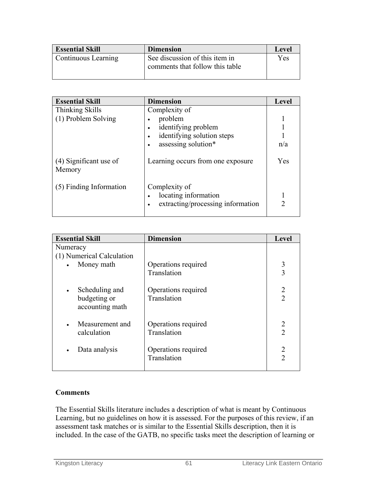| <b>Essential Skill</b> | <b>Dimension</b>                                                  | Level |
|------------------------|-------------------------------------------------------------------|-------|
| Continuous Learning    | See discussion of this item in<br>comments that follow this table | Yes   |

| <b>Essential Skill</b>           | <b>Dimension</b>                  | Level         |
|----------------------------------|-----------------------------------|---------------|
| <b>Thinking Skills</b>           | Complexity of                     |               |
| (1) Problem Solving              | problem                           |               |
|                                  | identifying problem               |               |
|                                  | identifying solution steps        |               |
|                                  | assessing solution*               | n/a           |
| (4) Significant use of<br>Memory | Learning occurs from one exposure | Yes           |
| (5) Finding Information          | Complexity of                     |               |
|                                  | locating information              |               |
|                                  | extracting/processing information | $\mathcal{D}$ |
|                                  |                                   |               |

| <b>Essential Skill</b>          | <b>Dimension</b>    | Level                       |
|---------------------------------|---------------------|-----------------------------|
| Numeracy                        |                     |                             |
| (1) Numerical Calculation       |                     |                             |
| Money math                      | Operations required | 3                           |
|                                 | Translation         | 3                           |
| Scheduling and<br>$\bullet$     | Operations required | 2                           |
| budgeting or<br>accounting math | Translation         | $\mathcal{D}$               |
| Measurement and<br>$\bullet$    | Operations required | 2                           |
| calculation                     | Translation         | $\mathcal{D}_{\mathcal{L}}$ |
| Data analysis<br>$\bullet$      | Operations required | 2                           |
|                                 | Translation         |                             |

#### **Comments**

The Essential Skills literature includes a description of what is meant by Continuous Learning, but no guidelines on how it is assessed. For the purposes of this review, if an assessment task matches or is similar to the Essential Skills description, then it is included. In the case of the GATB, no specific tasks meet the description of learning or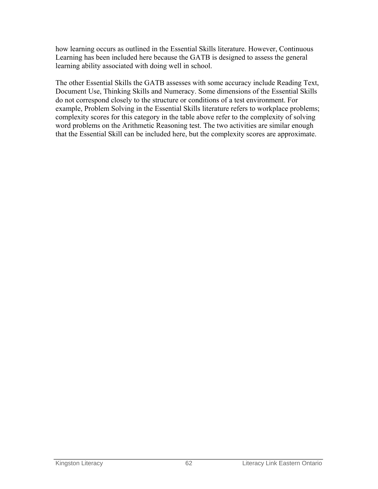how learning occurs as outlined in the Essential Skills literature. However, Continuous Learning has been included here because the GATB is designed to assess the general learning ability associated with doing well in school.

The other Essential Skills the GATB assesses with some accuracy include Reading Text, Document Use, Thinking Skills and Numeracy. Some dimensions of the Essential Skills do not correspond closely to the structure or conditions of a test environment. For example, Problem Solving in the Essential Skills literature refers to workplace problems; complexity scores for this category in the table above refer to the complexity of solving word problems on the Arithmetic Reasoning test. The two activities are similar enough that the Essential Skill can be included here, but the complexity scores are approximate.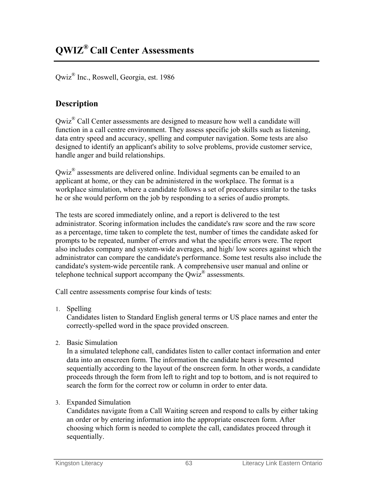Qwiz® Inc., Roswell, Georgia, est. 1986

## **Description**

Qwiz® Call Center assessments are designed to measure how well a candidate will function in a call centre environment. They assess specific job skills such as listening, data entry speed and accuracy, spelling and computer navigation. Some tests are also designed to identify an applicant's ability to solve problems, provide customer service, handle anger and build relationships.

 $Qwiz^{\omega}$  assessments are delivered online. Individual segments can be emailed to an applicant at home, or they can be administered in the workplace. The format is a workplace simulation, where a candidate follows a set of procedures similar to the tasks he or she would perform on the job by responding to a series of audio prompts.

The tests are scored immediately online, and a report is delivered to the test administrator. Scoring information includes the candidate's raw score and the raw score as a percentage, time taken to complete the test, number of times the candidate asked for prompts to be repeated, number of errors and what the specific errors were. The report also includes company and system-wide averages, and high/ low scores against which the administrator can compare the candidate's performance. Some test results also include the candidate's system-wide percentile rank. A comprehensive user manual and online or telephone technical support accompany the Owiz<sup>®</sup> assessments.

Call centre assessments comprise four kinds of tests:

1. Spelling

Candidates listen to Standard English general terms or US place names and enter the correctly-spelled word in the space provided onscreen.

2. Basic Simulation

In a simulated telephone call, candidates listen to caller contact information and enter data into an onscreen form. The information the candidate hears is presented sequentially according to the layout of the onscreen form. In other words, a candidate proceeds through the form from left to right and top to bottom, and is not required to search the form for the correct row or column in order to enter data.

### 3. Expanded Simulation

Candidates navigate from a Call Waiting screen and respond to calls by either taking an order or by entering information into the appropriate onscreen form. After choosing which form is needed to complete the call, candidates proceed through it sequentially.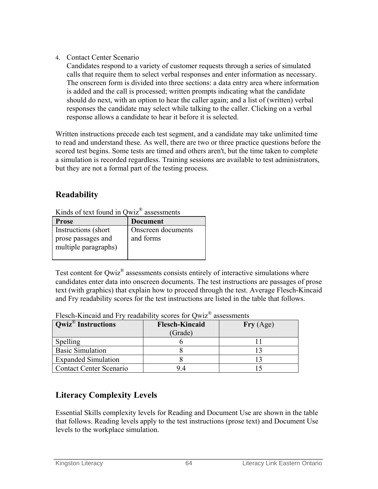### 4. Contact Center Scenario

Candidates respond to a variety of customer requests through a series of simulated calls that require them to select verbal responses and enter information as necessary. The onscreen form is divided into three sections: a data entry area where information is added and the call is processed; written prompts indicating what the candidate should do next, with an option to hear the caller again; and a list of (written) verbal responses the candidate may select while talking to the caller. Clicking on a verbal response allows a candidate to hear it before it is selected.

Written instructions precede each test segment, and a candidate may take unlimited time to read and understand these. As well, there are two or three practice questions before the scored test begins. Some tests are timed and others aren't, but the time taken to complete a simulation is recorded regardless. Training sessions are available to test administrators, but they are not a formal part of the testing process.

# **Readability**

| Kinds of text found in Qwiz® assessments                           |                                 |  |  |
|--------------------------------------------------------------------|---------------------------------|--|--|
| <b>Prose</b>                                                       | <b>Document</b>                 |  |  |
| Instructions (short)<br>prose passages and<br>multiple paragraphs) | Onscreen documents<br>and forms |  |  |

Test content for Qwiz® assessments consists entirely of interactive simulations where candidates enter data into onscreen documents. The test instructions are passages of prose

text (with graphics) that explain how to proceed through the test. Average Flesch-Kincaid and Fry readability scores for the test instructions are listed in the table that follows. Flesch-Kincaid and Fry readability scores for Qwiz® assessments

| $\overline{\text{Qwiz}}^{\text{D}}$ Instructions | <b>Flesch-Kincaid</b> | Fry(Age) |
|--------------------------------------------------|-----------------------|----------|
|                                                  | (Grade)               |          |
| Spelling                                         |                       |          |
| <b>Basic Simulation</b>                          |                       |          |
| <b>Expanded Simulation</b>                       |                       |          |
| Contact Center Scenario                          |                       |          |

# **Literacy Complexity Levels**

Essential Skills complexity levels for Reading and Document Use are shown in the table that follows. Reading levels apply to the test instructions (prose text) and Document Use levels to the workplace simulation.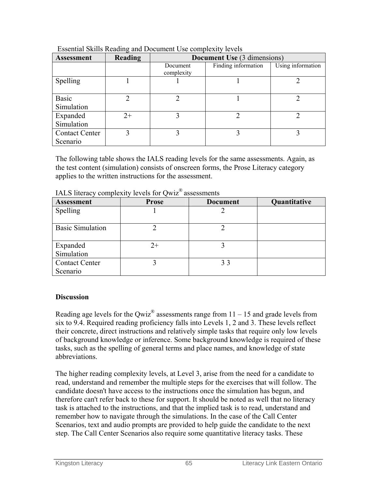| <b>Assessment</b>                 | Reading | <b>Document Use (3 dimensions)</b> |                     |                   |
|-----------------------------------|---------|------------------------------------|---------------------|-------------------|
|                                   |         | Document<br>complexity             | Finding information | Using information |
| Spelling                          |         |                                    |                     |                   |
| <b>Basic</b><br>Simulation        | າ       |                                    |                     |                   |
| Expanded<br>Simulation            | $2+$    |                                    |                     |                   |
| <b>Contact Center</b><br>Scenario |         |                                    |                     |                   |

| Essential Skills Reading and Document Use complexity levels |  |
|-------------------------------------------------------------|--|
|                                                             |  |

The following table shows the IALS reading levels for the same assessments. Again, as the test content (simulation) consists of onscreen forms, the Prose Literacy category applies to the written instructions for the assessment.

| <b>Assessment</b>                 | <b>Prose</b> | <b>Document</b> | Quantitative |
|-----------------------------------|--------------|-----------------|--------------|
| Spelling                          |              |                 |              |
| <b>Basic Simulation</b>           |              |                 |              |
| Expanded<br>Simulation            | $2+$         |                 |              |
| <b>Contact Center</b><br>Scenario |              | 33              |              |

IALS literacy complexity levels for Qwiz® assessments

### **Discussion**

Reading age levels for the Qwiz<sup>®</sup> assessments range from  $11 - 15$  and grade levels from six to 9.4. Required reading proficiency falls into Levels 1, 2 and 3. These levels reflect their concrete, direct instructions and relatively simple tasks that require only low levels of background knowledge or inference. Some background knowledge is required of these tasks, such as the spelling of general terms and place names, and knowledge of state abbreviations.

The higher reading complexity levels, at Level 3, arise from the need for a candidate to read, understand and remember the multiple steps for the exercises that will follow. The candidate doesn't have access to the instructions once the simulation has begun, and therefore can't refer back to these for support. It should be noted as well that no literacy task is attached to the instructions, and that the implied task is to read, understand and remember how to navigate through the simulations. In the case of the Call Center Scenarios, text and audio prompts are provided to help guide the candidate to the next step. The Call Center Scenarios also require some quantitative literacy tasks. These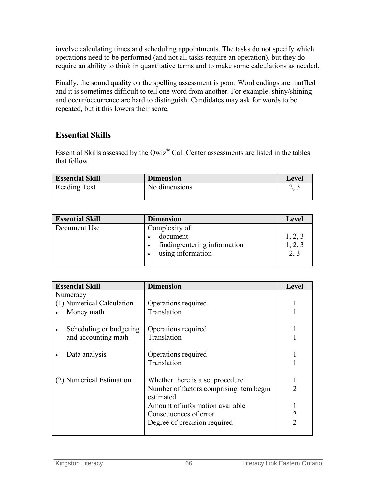involve calculating times and scheduling appointments. The tasks do not specify which operations need to be performed (and not all tasks require an operation), but they do require an ability to think in quantitative terms and to make some calculations as needed.

Finally, the sound quality on the spelling assessment is poor. Word endings are muffled and it is sometimes difficult to tell one word from another. For example, shiny/shining and occur/occurrence are hard to distinguish. Candidates may ask for words to be repeated, but it this lowers their score.

# **Essential Skills**

Essential Skills assessed by the Qwiz® Call Center assessments are listed in the tables that follow.

| <b>Essential Skill</b> | <b>Dimension</b> | Level           |
|------------------------|------------------|-----------------|
| Reading Text           | No dimensions    | $\sim$ . $\sim$ |
|                        |                  |                 |

| <b>Essential Skill</b> | <b>Dimension</b>                                                               | <b>Level</b>               |
|------------------------|--------------------------------------------------------------------------------|----------------------------|
| Document Use           | Complexity of<br>document<br>finding/entering information<br>using information | 1, 2, 3<br>1, 2, 3<br>2, 3 |
|                        |                                                                                |                            |

| <b>Essential Skill</b>    | <b>Dimension</b>                                     | <b>Level</b>                  |
|---------------------------|------------------------------------------------------|-------------------------------|
| Numeracy                  |                                                      |                               |
| (1) Numerical Calculation | Operations required                                  |                               |
| Money math                | Translation                                          |                               |
| Scheduling or budgeting   | Operations required                                  |                               |
| and accounting math       | Translation                                          |                               |
| Data analysis             | Operations required                                  |                               |
|                           | Translation                                          |                               |
| (2) Numerical Estimation  | Whether there is a set procedure                     |                               |
|                           | Number of factors comprising item begin<br>estimated | っ                             |
|                           | Amount of information available                      |                               |
|                           | Consequences of error                                |                               |
|                           | Degree of precision required                         | $\mathfrak{D}_{\mathfrak{p}}$ |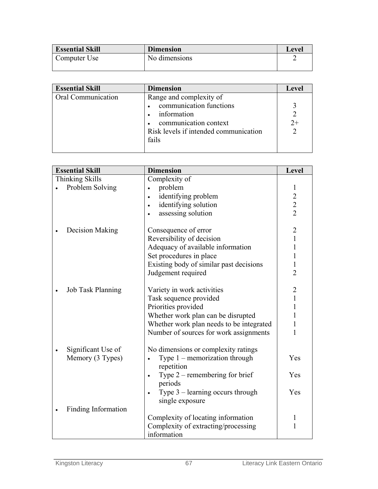| <b>Essential Skill</b> | <b>Dimension</b> | Level |
|------------------------|------------------|-------|
| Computer Use           | No dimensions    |       |

| <b>Essential Skill</b> | <b>Dimension</b>                      | Level          |
|------------------------|---------------------------------------|----------------|
| Oral Communication     | Range and complexity of               |                |
|                        | communication functions               |                |
|                        | information                           | $\overline{2}$ |
|                        | communication context                 | $2+$           |
|                        | Risk levels if intended communication |                |
|                        | fails                                 |                |
|                        |                                       |                |

| <b>Essential Skill</b>   | <b>Dimension</b>                                         | Level                                      |
|--------------------------|----------------------------------------------------------|--------------------------------------------|
| Thinking Skills          | Complexity of                                            |                                            |
| Problem Solving          | problem<br>$\bullet$                                     | 1                                          |
|                          | identifying problem<br>$\bullet$                         | $\begin{array}{c} 2 \\ 2 \\ 2 \end{array}$ |
|                          | identifying solution<br>$\bullet$                        |                                            |
|                          | assessing solution<br>$\bullet$                          |                                            |
| Decision Making          | Consequence of error                                     | $\overline{c}$                             |
|                          | Reversibility of decision                                | $\mathbf{1}$                               |
|                          | Adequacy of available information                        | 1                                          |
|                          | Set procedures in place                                  | $\mathbf{1}$                               |
|                          | Existing body of similar past decisions                  | $\mathbf{1}$                               |
|                          | Judgement required                                       | $\overline{2}$                             |
| <b>Job Task Planning</b> | Variety in work activities                               | $\overline{c}$                             |
|                          | Task sequence provided                                   | $\mathbf{1}$                               |
|                          | Priorities provided                                      |                                            |
|                          | Whether work plan can be disrupted                       |                                            |
|                          | Whether work plan needs to be integrated                 | 1                                          |
|                          | Number of sources for work assignments                   | 1                                          |
| Significant Use of       | No dimensions or complexity ratings                      |                                            |
| Memory (3 Types)         | Type 1 – memorization through<br>$\bullet$               | Yes                                        |
|                          | repetition                                               |                                            |
|                          | Type $2$ – remembering for brief<br>$\bullet$<br>periods | Yes                                        |
|                          | Type $3$ – learning occurs through<br>$\bullet$          | Yes                                        |
|                          | single exposure                                          |                                            |
| Finding Information      |                                                          |                                            |
|                          | Complexity of locating information                       | $\mathbf{1}$                               |
|                          | Complexity of extracting/processing                      | 1                                          |
|                          | information                                              |                                            |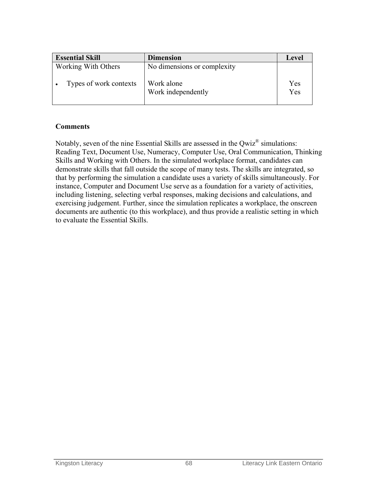| <b>Essential Skill</b> | <b>Dimension</b>                 | Level      |
|------------------------|----------------------------------|------------|
| Working With Others    | No dimensions or complexity      |            |
| Types of work contexts | Work alone<br>Work independently | Yes<br>Yes |

#### **Comments**

Notably, seven of the nine Essential Skills are assessed in the Qwiz® simulations: Reading Text, Document Use, Numeracy, Computer Use, Oral Communication, Thinking Skills and Working with Others. In the simulated workplace format, candidates can demonstrate skills that fall outside the scope of many tests. The skills are integrated, so that by performing the simulation a candidate uses a variety of skills simultaneously. For instance, Computer and Document Use serve as a foundation for a variety of activities, including listening, selecting verbal responses, making decisions and calculations, and exercising judgement. Further, since the simulation replicates a workplace, the onscreen documents are authentic (to this workplace), and thus provide a realistic setting in which to evaluate the Essential Skills.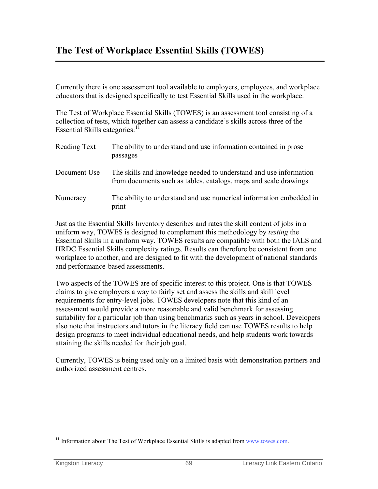Currently there is one assessment tool available to employers, employees, and workplace educators that is designed specifically to test Essential Skills used in the workplace.

The Test of Workplace Essential Skills (TOWES) is an assessment tool consisting of a collection of tests, which together can assess a candidate's skills across three of the Essential Skills categories:<sup>11</sup>

| Reading Text | The ability to understand and use information contained in prose<br>passages                                                          |
|--------------|---------------------------------------------------------------------------------------------------------------------------------------|
| Document Use | The skills and knowledge needed to understand and use information<br>from documents such as tables, catalogs, maps and scale drawings |
| Numeracy     | The ability to understand and use numerical information embedded in<br>print                                                          |

Just as the Essential Skills Inventory describes and rates the skill content of jobs in a uniform way, TOWES is designed to complement this methodology by *testing* the Essential Skills in a uniform way. TOWES results are compatible with both the IALS and HRDC Essential Skills complexity ratings. Results can therefore be consistent from one workplace to another, and are designed to fit with the development of national standards and performance-based assessments.

Two aspects of the TOWES are of specific interest to this project. One is that TOWES claims to give employers a way to fairly set and assess the skills and skill level requirements for entry-level jobs. TOWES developers note that this kind of an assessment would provide a more reasonable and valid benchmark for assessing suitability for a particular job than using benchmarks such as years in school. Developers also note that instructors and tutors in the literacy field can use TOWES results to help design programs to meet individual educational needs, and help students work towards attaining the skills needed for their job goal.

Currently, TOWES is being used only on a limited basis with demonstration partners and authorized assessment centres.

 $\overline{a}$ <sup>11</sup> Information about The Test of Workplace Essential Skills is adapted from www.towes.com.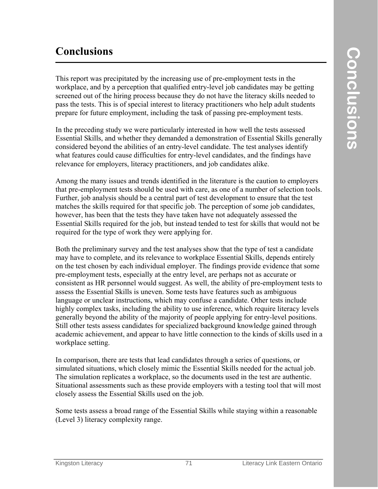# **Conclusions**

This report was precipitated by the increasing use of pre-employment tests in the workplace, and by a perception that qualified entry-level job candidates may be getting screened out of the hiring process because they do not have the literacy skills needed to pass the tests. This is of special interest to literacy practitioners who help adult students prepare for future employment, including the task of passing pre-employment tests.

In the preceding study we were particularly interested in how well the tests assessed Essential Skills, and whether they demanded a demonstration of Essential Skills generally considered beyond the abilities of an entry-level candidate. The test analyses identify what features could cause difficulties for entry-level candidates, and the findings have relevance for employers, literacy practitioners, and job candidates alike.

Among the many issues and trends identified in the literature is the caution to employers that pre-employment tests should be used with care, as one of a number of selection tools. Further, job analysis should be a central part of test development to ensure that the test matches the skills required for that specific job. The perception of some job candidates, however, has been that the tests they have taken have not adequately assessed the Essential Skills required for the job, but instead tended to test for skills that would not be required for the type of work they were applying for.

Both the preliminary survey and the test analyses show that the type of test a candidate may have to complete, and its relevance to workplace Essential Skills, depends entirely on the test chosen by each individual employer. The findings provide evidence that some pre-employment tests, especially at the entry level, are perhaps not as accurate or consistent as HR personnel would suggest. As well, the ability of pre-employment tests to assess the Essential Skills is uneven. Some tests have features such as ambiguous language or unclear instructions, which may confuse a candidate. Other tests include highly complex tasks, including the ability to use inference, which require literacy levels generally beyond the ability of the majority of people applying for entry-level positions. Still other tests assess candidates for specialized background knowledge gained through academic achievement, and appear to have little connection to the kinds of skills used in a workplace setting.

In comparison, there are tests that lead candidates through a series of questions, or simulated situations, which closely mimic the Essential Skills needed for the actual job. The simulation replicates a workplace, so the documents used in the test are authentic. Situational assessments such as these provide employers with a testing tool that will most closely assess the Essential Skills used on the job.

Some tests assess a broad range of the Essential Skills while staying within a reasonable (Level 3) literacy complexity range.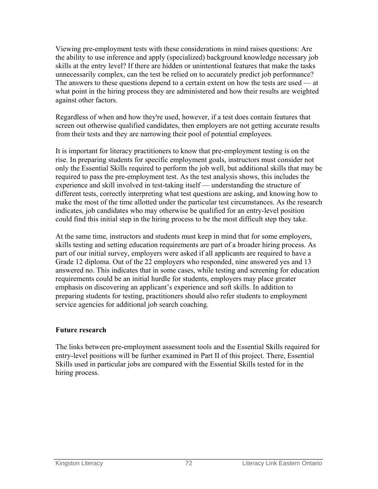Viewing pre-employment tests with these considerations in mind raises questions: Are the ability to use inference and apply (specialized) background knowledge necessary job skills at the entry level? If there are hidden or unintentional features that make the tasks unnecessarily complex, can the test be relied on to accurately predict job performance? The answers to these questions depend to a certain extent on how the tests are used — at what point in the hiring process they are administered and how their results are weighted against other factors.

Regardless of when and how they're used, however, if a test does contain features that screen out otherwise qualified candidates, then employers are not getting accurate results from their tests and they are narrowing their pool of potential employees.

It is important for literacy practitioners to know that pre-employment testing is on the rise. In preparing students for specific employment goals, instructors must consider not only the Essential Skills required to perform the job well, but additional skills that may be required to pass the pre-employment test. As the test analysis shows, this includes the experience and skill involved in test-taking itself — understanding the structure of different tests, correctly interpreting what test questions are asking, and knowing how to make the most of the time allotted under the particular test circumstances. As the research indicates, job candidates who may otherwise be qualified for an entry-level position could find this initial step in the hiring process to be the most difficult step they take.

At the same time, instructors and students must keep in mind that for some employers, skills testing and setting education requirements are part of a broader hiring process. As part of our initial survey, employers were asked if all applicants are required to have a Grade 12 diploma. Out of the 22 employers who responded, nine answered yes and 13 answered no. This indicates that in some cases, while testing and screening for education requirements could be an initial hurdle for students, employers may place greater emphasis on discovering an applicant's experience and soft skills. In addition to preparing students for testing, practitioners should also refer students to employment service agencies for additional job search coaching.

#### **Future research**

The links between pre-employment assessment tools and the Essential Skills required for entry-level positions will be further examined in Part II of this project. There, Essential Skills used in particular jobs are compared with the Essential Skills tested for in the hiring process.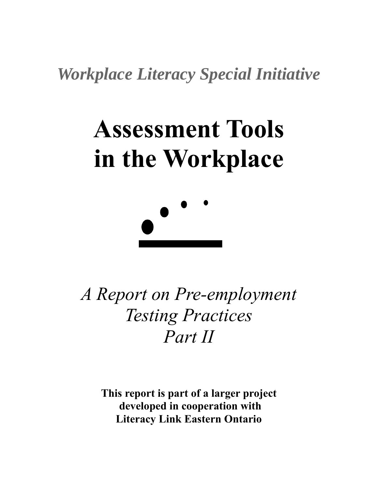*Workplace Literacy Special Initiative* 

# **Assessment Tools in the Workplace**



*A Report on Pre-employment Testing Practices Part II* 

**This report is part of a larger project developed in cooperation with Literacy Link Eastern Ontario**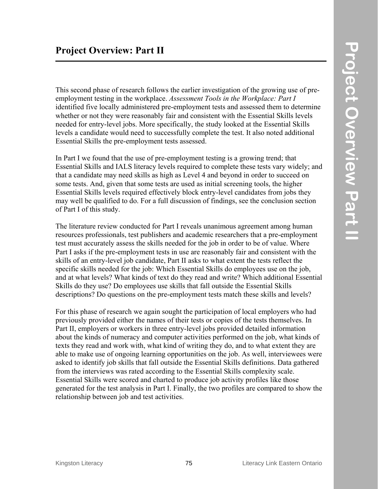This second phase of research follows the earlier investigation of the growing use of preemployment testing in the workplace. *Assessment Tools in the Workplace: Part I* identified five locally administered pre-employment tests and assessed them to determine whether or not they were reasonably fair and consistent with the Essential Skills levels needed for entry-level jobs. More specifically, the study looked at the Essential Skills levels a candidate would need to successfully complete the test. It also noted additional Essential Skills the pre-employment tests assessed.

In Part I we found that the use of pre-employment testing is a growing trend; that Essential Skills and IALS literacy levels required to complete these tests vary widely; and that a candidate may need skills as high as Level 4 and beyond in order to succeed on some tests. And, given that some tests are used as initial screening tools, the higher Essential Skills levels required effectively block entry-level candidates from jobs they may well be qualified to do. For a full discussion of findings, see the conclusion section of Part I of this study.

The literature review conducted for Part I reveals unanimous agreement among human resources professionals, test publishers and academic researchers that a pre-employment test must accurately assess the skills needed for the job in order to be of value. Where Part I asks if the pre-employment tests in use are reasonably fair and consistent with the skills of an entry-level job candidate, Part II asks to what extent the tests reflect the specific skills needed for the job: Which Essential Skills do employees use on the job, and at what levels? What kinds of text do they read and write? Which additional Essential Skills do they use? Do employees use skills that fall outside the Essential Skills descriptions? Do questions on the pre-employment tests match these skills and levels?

For this phase of research we again sought the participation of local employers who had previously provided either the names of their tests or copies of the tests themselves. In Part II, employers or workers in three entry-level jobs provided detailed information about the kinds of numeracy and computer activities performed on the job, what kinds of texts they read and work with, what kind of writing they do, and to what extent they are able to make use of ongoing learning opportunities on the job. As well, interviewees were asked to identify job skills that fall outside the Essential Skills definitions. Data gathered from the interviews was rated according to the Essential Skills complexity scale. Essential Skills were scored and charted to produce job activity profiles like those generated for the test analysis in Part I. Finally, the two profiles are compared to show the relationship between job and test activities.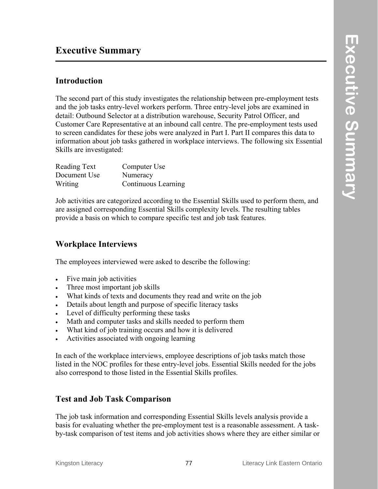## **Introduction**

The second part of this study investigates the relationship between pre-employment tests and the job tasks entry-level workers perform. Three entry-level jobs are examined in detail: Outbound Selector at a distribution warehouse, Security Patrol Officer, and Customer Care Representative at an inbound call centre. The pre-employment tests used to screen candidates for these jobs were analyzed in Part I. Part II compares this data to information about job tasks gathered in workplace interviews. The following six Essential Skills are investigated:

| Reading Text | Computer Use        |
|--------------|---------------------|
| Document Use | Numeracy            |
| Writing      | Continuous Learning |

Job activities are categorized according to the Essential Skills used to perform them, and are assigned corresponding Essential Skills complexity levels. The resulting tables provide a basis on which to compare specific test and job task features.

# **Workplace Interviews**

The employees interviewed were asked to describe the following:

- Five main job activities
- Three most important job skills
- What kinds of texts and documents they read and write on the job
- Details about length and purpose of specific literacy tasks
- Level of difficulty performing these tasks
- Math and computer tasks and skills needed to perform them
- What kind of job training occurs and how it is delivered
- Activities associated with ongoing learning

In each of the workplace interviews, employee descriptions of job tasks match those listed in the NOC profiles for these entry-level jobs. Essential Skills needed for the jobs also correspond to those listed in the Essential Skills profiles.

## **Test and Job Task Comparison**

The job task information and corresponding Essential Skills levels analysis provide a basis for evaluating whether the pre-employment test is a reasonable assessment. A taskby-task comparison of test items and job activities shows where they are either similar or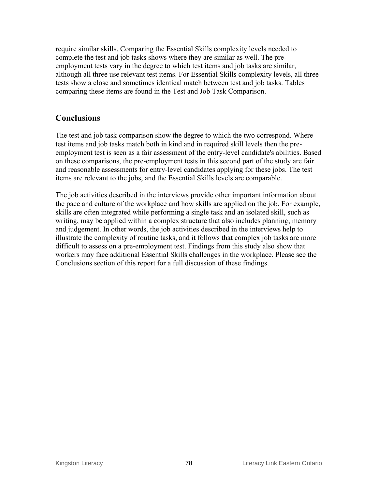require similar skills. Comparing the Essential Skills complexity levels needed to complete the test and job tasks shows where they are similar as well. The preemployment tests vary in the degree to which test items and job tasks are similar, although all three use relevant test items. For Essential Skills complexity levels, all three tests show a close and sometimes identical match between test and job tasks. Tables comparing these items are found in the Test and Job Task Comparison.

## **Conclusions**

The test and job task comparison show the degree to which the two correspond. Where test items and job tasks match both in kind and in required skill levels then the preemployment test is seen as a fair assessment of the entry-level candidate's abilities. Based on these comparisons, the pre-employment tests in this second part of the study are fair and reasonable assessments for entry-level candidates applying for these jobs. The test items are relevant to the jobs, and the Essential Skills levels are comparable.

The job activities described in the interviews provide other important information about the pace and culture of the workplace and how skills are applied on the job. For example, skills are often integrated while performing a single task and an isolated skill, such as writing, may be applied within a complex structure that also includes planning, memory and judgement. In other words, the job activities described in the interviews help to illustrate the complexity of routine tasks, and it follows that complex job tasks are more difficult to assess on a pre-employment test. Findings from this study also show that workers may face additional Essential Skills challenges in the workplace. Please see the Conclusions section of this report for a full discussion of these findings.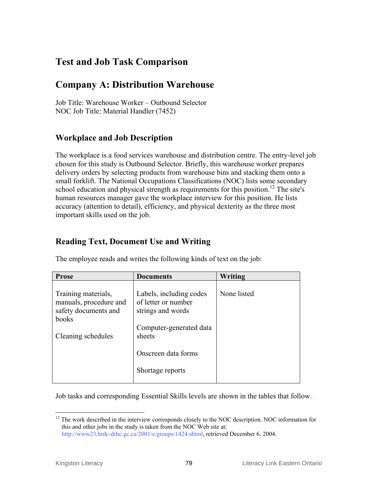# **Test and Job Task Comparison**

# **Company A: Distribution Warehouse**

Job Title: Warehouse Worker – Outbound Selector NOC Job Title: Material Handler (7452)

## **Workplace and Job Description**

The workplace is a food services warehouse and distribution centre. The entry-level job chosen for this study is Outbound Selector. Briefly, this warehouse worker prepares delivery orders by selecting products from warehouse bins and stacking them onto a small forklift. The National Occupations Classifications (NOC) lists some secondary school education and physical strength as requirements for this position.<sup>12</sup> The site's human resources manager gave the workplace interview for this position. He lists accuracy (attention to detail), efficiency, and physical dexterity as the three most important skills used on the job.

## **Reading Text, Document Use and Writing**

| <b>Prose</b>                                                                   | <b>Documents</b>                                                                               | Writing     |
|--------------------------------------------------------------------------------|------------------------------------------------------------------------------------------------|-------------|
| Training materials,<br>manuals, procedure and<br>safety documents and<br>books | Labels, including codes<br>of letter or number<br>strings and words<br>Computer-generated data | None listed |
| Cleaning schedules                                                             | sheets                                                                                         |             |
|                                                                                | Onscreen data forms                                                                            |             |
|                                                                                | Shortage reports                                                                               |             |

The employee reads and writes the following kinds of text on the job:

Job tasks and corresponding Essential Skills levels are shown in the tables that follow.

 $\overline{a}$ 

<sup>&</sup>lt;sup>12</sup> The work described in the interview corresponds closely to the NOC description. NOC information for this and other jobs in the study is taken from the NOC Web site at: http://www23.hrdc-drhc.gc.ca/2001/e/groups/1424.shtml, retrieved December 6, 2004.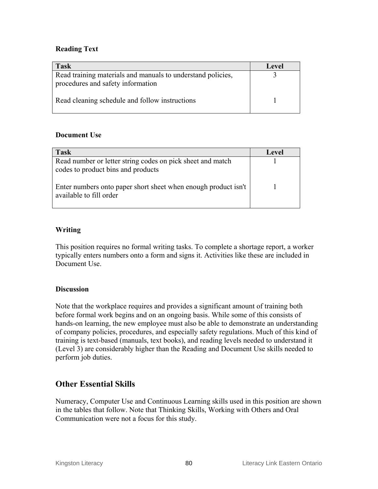#### **Reading Text**

| <b>Task</b>                                                                                      | <b>Level</b> |
|--------------------------------------------------------------------------------------------------|--------------|
| Read training materials and manuals to understand policies,<br>procedures and safety information |              |
| Read cleaning schedule and follow instructions                                                   |              |

#### **Document Use**

| <b>Task</b>                                                                                      | Level |
|--------------------------------------------------------------------------------------------------|-------|
| Read number or letter string codes on pick sheet and match<br>codes to product bins and products |       |
| Enter numbers onto paper short sheet when enough product isn't<br>available to fill order        |       |

#### **Writing**

This position requires no formal writing tasks. To complete a shortage report, a worker typically enters numbers onto a form and signs it. Activities like these are included in Document Use.

#### **Discussion**

Note that the workplace requires and provides a significant amount of training both before formal work begins and on an ongoing basis. While some of this consists of hands-on learning, the new employee must also be able to demonstrate an understanding of company policies, procedures, and especially safety regulations. Much of this kind of training is text-based (manuals, text books), and reading levels needed to understand it (Level 3) are considerably higher than the Reading and Document Use skills needed to perform job duties.

## **Other Essential Skills**

Numeracy, Computer Use and Continuous Learning skills used in this position are shown in the tables that follow. Note that Thinking Skills, Working with Others and Oral Communication were not a focus for this study.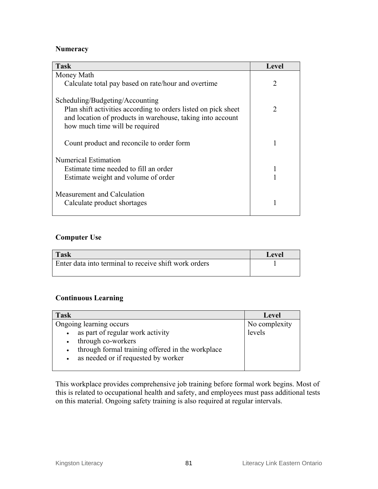## **Numeracy**

| <b>Task</b>                                                                                                                                                    | Level                       |
|----------------------------------------------------------------------------------------------------------------------------------------------------------------|-----------------------------|
| Money Math                                                                                                                                                     |                             |
| Calculate total pay based on rate/hour and overtime                                                                                                            | 2                           |
| Scheduling/Budgeting/Accounting                                                                                                                                |                             |
| Plan shift activities according to orders listed on pick sheet<br>and location of products in warehouse, taking into account<br>how much time will be required | $\mathcal{D}_{\mathcal{L}}$ |
| Count product and reconcile to order form                                                                                                                      |                             |
| Numerical Estimation                                                                                                                                           |                             |
| Estimate time needed to fill an order                                                                                                                          |                             |
| Estimate weight and volume of order                                                                                                                            |                             |
| Measurement and Calculation                                                                                                                                    |                             |
| Calculate product shortages                                                                                                                                    |                             |

#### **Computer Use**

| <b>Task</b>                                           | Level |
|-------------------------------------------------------|-------|
| Enter data into terminal to receive shift work orders |       |

#### **Continuous Learning**

| <b>Task</b>                                                   | Level         |
|---------------------------------------------------------------|---------------|
| Ongoing learning occurs                                       | No complexity |
| as part of regular work activity<br>$\bullet$                 | levels        |
| through co-workers<br>$\bullet$                               |               |
| through formal training offered in the workplace<br>$\bullet$ |               |
| as needed or if requested by worker<br>$\bullet$              |               |
|                                                               |               |

This workplace provides comprehensive job training before formal work begins. Most of this is related to occupational health and safety, and employees must pass additional tests on this material. Ongoing safety training is also required at regular intervals.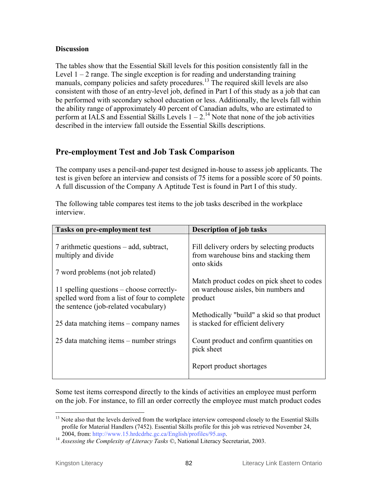#### **Discussion**

The tables show that the Essential Skill levels for this position consistently fall in the Level  $1 - 2$  range. The single exception is for reading and understanding training manuals, company policies and safety procedures.<sup>13</sup> The required skill levels are also consistent with those of an entry-level job, defined in Part I of this study as a job that can be performed with secondary school education or less. Additionally, the levels fall within the ability range of approximately 40 percent of Canadian adults, who are estimated to perform at IALS and Essential Skills Levels  $1 - 2$ .<sup>14</sup> Note that none of the job activities described in the interview fall outside the Essential Skills descriptions.

## **Pre-employment Test and Job Task Comparison**

The company uses a pencil-and-paper test designed in-house to assess job applicants. The test is given before an interview and consists of 75 items for a possible score of 50 points. A full discussion of the Company A Aptitude Test is found in Part I of this study.

The following table compares test items to the job tasks described in the workplace interview.

| Tasks on pre-employment test                                                                                                       | <b>Description of job tasks</b>                                                               |
|------------------------------------------------------------------------------------------------------------------------------------|-----------------------------------------------------------------------------------------------|
| 7 arithmetic questions – add, subtract,<br>multiply and divide                                                                     | Fill delivery orders by selecting products<br>from warehouse bins and stacking them           |
| 7 word problems (not job related)                                                                                                  | onto skids                                                                                    |
| 11 spelling questions – choose correctly-<br>spelled word from a list of four to complete<br>the sentence (job-related vocabulary) | Match product codes on pick sheet to codes<br>on warehouse aisles, bin numbers and<br>product |
| 25 data matching items – company names                                                                                             | Methodically "build" a skid so that product<br>is stacked for efficient delivery              |
| 25 data matching items – number strings                                                                                            | Count product and confirm quantities on<br>pick sheet                                         |
|                                                                                                                                    | Report product shortages                                                                      |

Some test items correspond directly to the kinds of activities an employee must perform on the job. For instance, to fill an order correctly the employee must match product codes

 $\overline{a}$ <sup>13</sup> Note also that the levels derived from the workplace interview correspond closely to the Essential Skills profile for Material Handlers (7452). Essential Skills profile for this job was retrieved November 24, 2004, from: http://www.15.hrdcdrhc.gc.ca/English/profiles/95.asp.

<sup>&</sup>lt;sup>14</sup> *Assessing the Complexity of Literacy Tasks* ©, National Literacy Secretariat, 2003.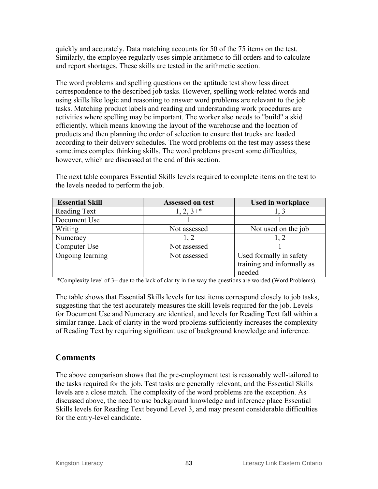quickly and accurately. Data matching accounts for 50 of the 75 items on the test. Similarly, the employee regularly uses simple arithmetic to fill orders and to calculate and report shortages. These skills are tested in the arithmetic section.

The word problems and spelling questions on the aptitude test show less direct correspondence to the described job tasks. However, spelling work-related words and using skills like logic and reasoning to answer word problems are relevant to the job tasks. Matching product labels and reading and understanding work procedures are activities where spelling may be important. The worker also needs to "build" a skid efficiently, which means knowing the layout of the warehouse and the location of products and then planning the order of selection to ensure that trucks are loaded according to their delivery schedules. The word problems on the test may assess these sometimes complex thinking skills. The word problems present some difficulties, however, which are discussed at the end of this section.

| <b>Essential Skill</b> | <b>Assessed on test</b> | <b>Used in workplace</b>   |
|------------------------|-------------------------|----------------------------|
| Reading Text           | $1, 2, 3+$              | 1, 3                       |
| Document Use           |                         |                            |
| Writing                | Not assessed            | Not used on the job        |
| Numeracy               | 1, 2                    | 1.2                        |
| Computer Use           | Not assessed            |                            |
| Ongoing learning       | Not assessed            | Used formally in safety    |
|                        |                         | training and informally as |
|                        |                         | needed                     |

The next table compares Essential Skills levels required to complete items on the test to the levels needed to perform the job.

\*Complexity level of 3+ due to the lack of clarity in the way the questions are worded (Word Problems).

The table shows that Essential Skills levels for test items correspond closely to job tasks, suggesting that the test accurately measures the skill levels required for the job. Levels for Document Use and Numeracy are identical, and levels for Reading Text fall within a similar range. Lack of clarity in the word problems sufficiently increases the complexity of Reading Text by requiring significant use of background knowledge and inference.

## **Comments**

The above comparison shows that the pre-employment test is reasonably well-tailored to the tasks required for the job. Test tasks are generally relevant, and the Essential Skills levels are a close match. The complexity of the word problems are the exception. As discussed above, the need to use background knowledge and inference place Essential Skills levels for Reading Text beyond Level 3, and may present considerable difficulties for the entry-level candidate.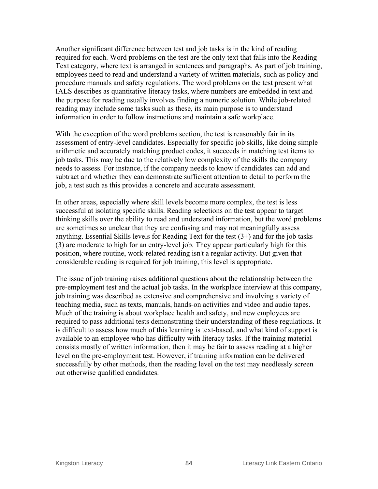Another significant difference between test and job tasks is in the kind of reading required for each. Word problems on the test are the only text that falls into the Reading Text category, where text is arranged in sentences and paragraphs. As part of job training, employees need to read and understand a variety of written materials, such as policy and procedure manuals and safety regulations. The word problems on the test present what IALS describes as quantitative literacy tasks, where numbers are embedded in text and the purpose for reading usually involves finding a numeric solution. While job-related reading may include some tasks such as these, its main purpose is to understand information in order to follow instructions and maintain a safe workplace.

With the exception of the word problems section, the test is reasonably fair in its assessment of entry-level candidates. Especially for specific job skills, like doing simple arithmetic and accurately matching product codes, it succeeds in matching test items to job tasks. This may be due to the relatively low complexity of the skills the company needs to assess. For instance, if the company needs to know if candidates can add and subtract and whether they can demonstrate sufficient attention to detail to perform the job, a test such as this provides a concrete and accurate assessment.

In other areas, especially where skill levels become more complex, the test is less successful at isolating specific skills. Reading selections on the test appear to target thinking skills over the ability to read and understand information, but the word problems are sometimes so unclear that they are confusing and may not meaningfully assess anything. Essential Skills levels for Reading Text for the test  $(3+)$  and for the job tasks (3) are moderate to high for an entry-level job. They appear particularly high for this position, where routine, work-related reading isn't a regular activity. But given that considerable reading is required for job training, this level is appropriate.

The issue of job training raises additional questions about the relationship between the pre-employment test and the actual job tasks. In the workplace interview at this company, job training was described as extensive and comprehensive and involving a variety of teaching media, such as texts, manuals, hands-on activities and video and audio tapes. Much of the training is about workplace health and safety, and new employees are required to pass additional tests demonstrating their understanding of these regulations. It is difficult to assess how much of this learning is text-based, and what kind of support is available to an employee who has difficulty with literacy tasks. If the training material consists mostly of written information, then it may be fair to assess reading at a higher level on the pre-employment test. However, if training information can be delivered successfully by other methods, then the reading level on the test may needlessly screen out otherwise qualified candidates.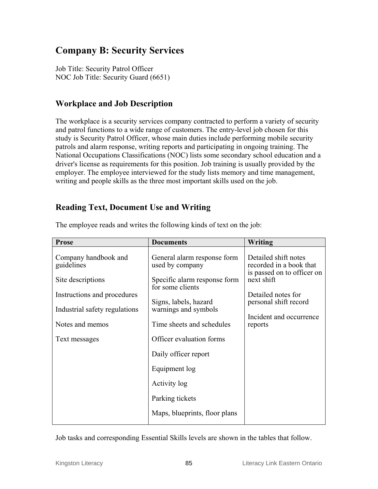# **Company B: Security Services**

Job Title: Security Patrol Officer NOC Job Title: Security Guard (6651)

## **Workplace and Job Description**

The workplace is a security services company contracted to perform a variety of security and patrol functions to a wide range of customers. The entry-level job chosen for this study is Security Patrol Officer, whose main duties include performing mobile security patrols and alarm response, writing reports and participating in ongoing training. The National Occupations Classifications (NOC) lists some secondary school education and a driver's license as requirements for this position. Job training is usually provided by the employer. The employee interviewed for the study lists memory and time management, writing and people skills as the three most important skills used on the job.

## **Reading Text, Document Use and Writing**

| <b>Prose</b>                                                                           | <b>Documents</b>                                                                                   | Writing                                                                                                           |
|----------------------------------------------------------------------------------------|----------------------------------------------------------------------------------------------------|-------------------------------------------------------------------------------------------------------------------|
| Company handbook and<br>guidelines<br>Site descriptions<br>Instructions and procedures | General alarm response form<br>used by company<br>Specific alarm response form<br>for some clients | Detailed shift notes<br>recorded in a book that<br>is passed on to officer on<br>next shift<br>Detailed notes for |
| Industrial safety regulations<br>Notes and memos                                       | Signs, labels, hazard<br>warnings and symbols<br>Time sheets and schedules                         | personal shift record<br>Incident and occurrence<br>reports                                                       |
| Text messages                                                                          | Officer evaluation forms                                                                           |                                                                                                                   |
|                                                                                        | Daily officer report<br>Equipment log                                                              |                                                                                                                   |
|                                                                                        | Activity log<br>Parking tickets                                                                    |                                                                                                                   |
|                                                                                        | Maps, blueprints, floor plans                                                                      |                                                                                                                   |

The employee reads and writes the following kinds of text on the job:

Job tasks and corresponding Essential Skills levels are shown in the tables that follow.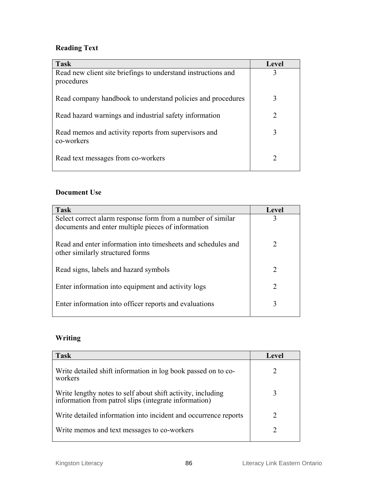## **Reading Text**

| <b>Task</b>                                                                 | Level |
|-----------------------------------------------------------------------------|-------|
| Read new client site briefings to understand instructions and<br>procedures |       |
| Read company handbook to understand policies and procedures                 |       |
| Read hazard warnings and industrial safety information                      | 2     |
| Read memos and activity reports from supervisors and<br>co-workers          |       |
| Read text messages from co-workers                                          |       |

## **Document Use**

## **Writing**

| Task                                                                                                                 | Level |
|----------------------------------------------------------------------------------------------------------------------|-------|
| Write detailed shift information in log book passed on to co-<br>workers                                             |       |
| Write lengthy notes to self about shift activity, including<br>information from patrol slips (integrate information) |       |
| Write detailed information into incident and occurrence reports                                                      |       |
| Write memos and text messages to co-workers                                                                          |       |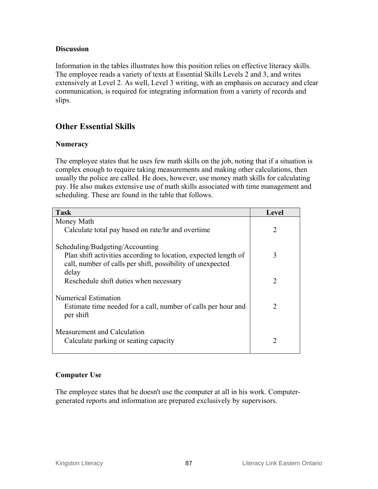#### **Discussion**

Information in the tables illustrates how this position relies on effective literacy skills. The employee reads a variety of texts at Essential Skills Levels 2 and 3, and writes extensively at Level 2. As well, Level 3 writing, with an emphasis on accuracy and clear communication, is required for integrating information from a variety of records and slips.

## **Other Essential Skills**

#### **Numeracy**

The employee states that he uses few math skills on the job, noting that if a situation is complex enough to require taking measurements and making other calculations, then usually the police are called. He does, however, use money math skills for calculating pay. He also makes extensive use of math skills associated with time management and scheduling. These are found in the table that follows.

| <b>Task</b>                                                                                                                                                      | Level                         |
|------------------------------------------------------------------------------------------------------------------------------------------------------------------|-------------------------------|
| Money Math                                                                                                                                                       |                               |
| Calculate total pay based on rate/hr and overtime                                                                                                                | 2                             |
| Scheduling/Budgeting/Accounting<br>Plan shift activities according to location, expected length of<br>call, number of calls per shift, possibility of unexpected | 3                             |
| delay<br>Reschedule shift duties when necessary                                                                                                                  | $\mathfrak{D}_{\mathfrak{p}}$ |
| <b>Numerical Estimation</b><br>Estimate time needed for a call, number of calls per hour and<br>per shift                                                        | $\mathcal{D}_{\mathcal{L}}$   |
| Measurement and Calculation<br>Calculate parking or seating capacity                                                                                             | っ                             |

#### **Computer Use**

The employee states that he doesn't use the computer at all in his work. Computergenerated reports and information are prepared exclusively by supervisors.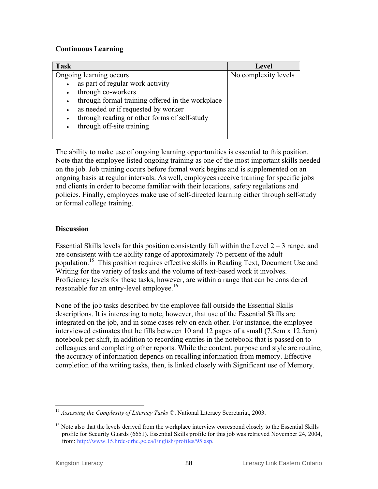#### **Continuous Learning**

| <b>Task</b>                                      | Level                |
|--------------------------------------------------|----------------------|
| Ongoing learning occurs                          | No complexity levels |
| as part of regular work activity                 |                      |
| through co-workers<br>$\bullet$                  |                      |
| through formal training offered in the workplace |                      |
| as needed or if requested by worker              |                      |
| through reading or other forms of self-study     |                      |
| through off-site training                        |                      |
|                                                  |                      |

The ability to make use of ongoing learning opportunities is essential to this position. Note that the employee listed ongoing training as one of the most important skills needed on the job. Job training occurs before formal work begins and is supplemented on an ongoing basis at regular intervals. As well, employees receive training for specific jobs and clients in order to become familiar with their locations, safety regulations and policies. Finally, employees make use of self-directed learning either through self-study or formal college training.

#### **Discussion**

Essential Skills levels for this position consistently fall within the Level  $2 - 3$  range, and are consistent with the ability range of approximately 75 percent of the adult population.15 This position requires effective skills in Reading Text, Document Use and Writing for the variety of tasks and the volume of text-based work it involves. Proficiency levels for these tasks, however, are within a range that can be considered reasonable for an entry-level employee.<sup>16</sup>

None of the job tasks described by the employee fall outside the Essential Skills descriptions. It is interesting to note, however, that use of the Essential Skills are integrated on the job, and in some cases rely on each other. For instance, the employee interviewed estimates that he fills between 10 and 12 pages of a small (7.5cm x 12.5cm) notebook per shift, in addition to recording entries in the notebook that is passed on to colleagues and completing other reports. While the content, purpose and style are routine, the accuracy of information depends on recalling information from memory. Effective completion of the writing tasks, then, is linked closely with Significant use of Memory.

 $\overline{a}$ <sup>15</sup> Assessing the Complexity of Literacy Tasks ©, National Literacy Secretariat, 2003.

<sup>&</sup>lt;sup>16</sup> Note also that the levels derived from the workplace interview correspond closely to the Essential Skills profile for Security Guards (6651). Essential Skills profile for this job was retrieved November 24, 2004, from: http://www.15.hrdc-drhc.gc.ca/English/profiles/95.asp.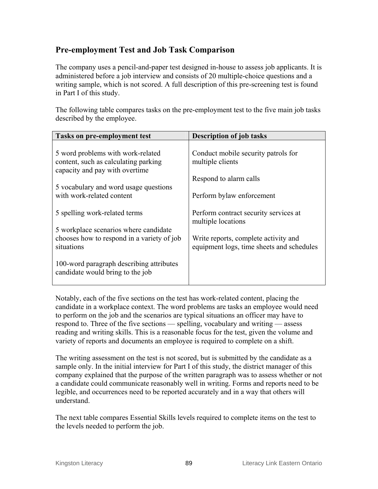## **Pre-employment Test and Job Task Comparison**

The company uses a pencil-and-paper test designed in-house to assess job applicants. It is administered before a job interview and consists of 20 multiple-choice questions and a writing sample, which is not scored. A full description of this pre-screening test is found in Part I of this study.

The following table compares tasks on the pre-employment test to the five main job tasks described by the employee.

| <b>Tasks on pre-employment test</b>        | <b>Description of job tasks</b>                             |
|--------------------------------------------|-------------------------------------------------------------|
|                                            |                                                             |
| 5 word problems with work-related          | Conduct mobile security patrols for                         |
| content, such as calculating parking       | multiple clients                                            |
| capacity and pay with overtime             |                                                             |
|                                            | Respond to alarm calls                                      |
| 5 vocabulary and word usage questions      |                                                             |
| with work-related content                  | Perform bylaw enforcement                                   |
|                                            |                                                             |
| 5 spelling work-related terms              | Perform contract security services at<br>multiple locations |
| 5 workplace scenarios where candidate      |                                                             |
| chooses how to respond in a variety of job | Write reports, complete activity and                        |
| situations                                 | equipment logs, time sheets and schedules                   |
|                                            |                                                             |
| 100-word paragraph describing attributes   |                                                             |
| candidate would bring to the job           |                                                             |
|                                            |                                                             |

Notably, each of the five sections on the test has work-related content, placing the candidate in a workplace context. The word problems are tasks an employee would need to perform on the job and the scenarios are typical situations an officer may have to respond to. Three of the five sections — spelling, vocabulary and writing — assess reading and writing skills. This is a reasonable focus for the test, given the volume and variety of reports and documents an employee is required to complete on a shift.

The writing assessment on the test is not scored, but is submitted by the candidate as a sample only. In the initial interview for Part I of this study, the district manager of this company explained that the purpose of the written paragraph was to assess whether or not a candidate could communicate reasonably well in writing. Forms and reports need to be legible, and occurrences need to be reported accurately and in a way that others will understand.

The next table compares Essential Skills levels required to complete items on the test to the levels needed to perform the job.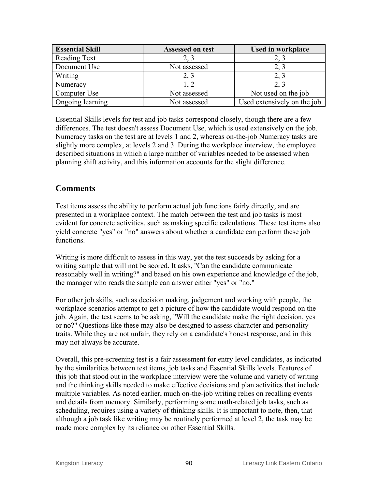| <b>Essential Skill</b> | Assessed on test | <b>Used in workplace</b>    |
|------------------------|------------------|-----------------------------|
| Reading Text           |                  | 2, 3                        |
| Document Use           | Not assessed     | 2, 3                        |
| Writing                |                  | 2, 3                        |
| Numeracy               |                  |                             |
| Computer Use           | Not assessed     | Not used on the job         |
| Ongoing learning       | Not assessed     | Used extensively on the job |

Essential Skills levels for test and job tasks correspond closely, though there are a few differences. The test doesn't assess Document Use, which is used extensively on the job. Numeracy tasks on the test are at levels 1 and 2, whereas on-the-job Numeracy tasks are slightly more complex, at levels 2 and 3. During the workplace interview, the employee described situations in which a large number of variables needed to be assessed when planning shift activity, and this information accounts for the slight difference.

## **Comments**

Test items assess the ability to perform actual job functions fairly directly, and are presented in a workplace context. The match between the test and job tasks is most evident for concrete activities, such as making specific calculations. These test items also yield concrete "yes" or "no" answers about whether a candidate can perform these job functions.

Writing is more difficult to assess in this way, yet the test succeeds by asking for a writing sample that will not be scored. It asks, "Can the candidate communicate reasonably well in writing?" and based on his own experience and knowledge of the job, the manager who reads the sample can answer either "yes" or "no."

For other job skills, such as decision making, judgement and working with people, the workplace scenarios attempt to get a picture of how the candidate would respond on the job. Again, the test seems to be asking, "Will the candidate make the right decision, yes or no?" Questions like these may also be designed to assess character and personality traits. While they are not unfair, they rely on a candidate's honest response, and in this may not always be accurate.

Overall, this pre-screening test is a fair assessment for entry level candidates, as indicated by the similarities between test items, job tasks and Essential Skills levels. Features of this job that stood out in the workplace interview were the volume and variety of writing and the thinking skills needed to make effective decisions and plan activities that include multiple variables. As noted earlier, much on-the-job writing relies on recalling events and details from memory. Similarly, performing some math-related job tasks, such as scheduling, requires using a variety of thinking skills. It is important to note, then, that although a job task like writing may be routinely performed at level 2, the task may be made more complex by its reliance on other Essential Skills.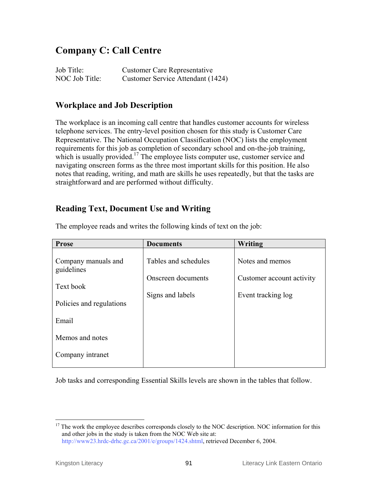# **Company C: Call Centre**

| Job Title:     | <b>Customer Care Representative</b> |
|----------------|-------------------------------------|
| NOC Job Title: | Customer Service Attendant (1424)   |

#### **Workplace and Job Description**

The workplace is an incoming call centre that handles customer accounts for wireless telephone services. The entry-level position chosen for this study is Customer Care Representative. The National Occupation Classification (NOC) lists the employment requirements for this job as completion of secondary school and on-the-job training, which is usually provided.<sup>17</sup> The employee lists computer use, customer service and navigating onscreen forms as the three most important skills for this position. He also notes that reading, writing, and math are skills he uses repeatedly, but that the tasks are straightforward and are performed without difficulty.

#### **Reading Text, Document Use and Writing**

| <b>Prose</b>                                   | <b>Documents</b>                                               | Writing                                                            |
|------------------------------------------------|----------------------------------------------------------------|--------------------------------------------------------------------|
| Company manuals and<br>guidelines<br>Text book | Tables and schedules<br>Onscreen documents<br>Signs and labels | Notes and memos<br>Customer account activity<br>Event tracking log |
| Policies and regulations                       |                                                                |                                                                    |
| Email                                          |                                                                |                                                                    |
| Memos and notes                                |                                                                |                                                                    |
| Company intranet                               |                                                                |                                                                    |

The employee reads and writes the following kinds of text on the job:

Job tasks and corresponding Essential Skills levels are shown in the tables that follow.

 $\overline{a}$ 

 $17$  The work the employee describes corresponds closely to the NOC description. NOC information for this and other jobs in the study is taken from the NOC Web site at: http://www23.hrdc-drhc.gc.ca/2001/e/groups/1424.shtml, retrieved December 6, 2004.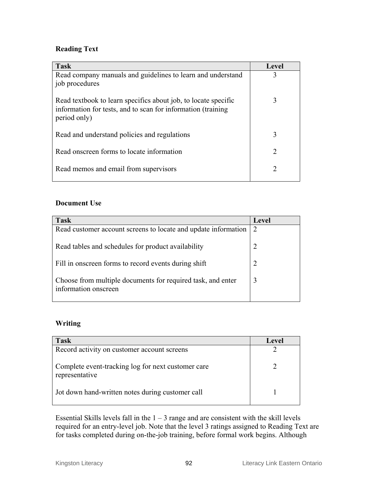#### **Reading Text**

| <b>Task</b>                                                                                                                                     | Level                         |
|-------------------------------------------------------------------------------------------------------------------------------------------------|-------------------------------|
| Read company manuals and guidelines to learn and understand<br>job procedures                                                                   | 3                             |
| Read textbook to learn specifics about job, to locate specific<br>information for tests, and to scan for information (training)<br>period only) | 3                             |
| Read and understand policies and regulations                                                                                                    | 3                             |
| Read onscreen forms to locate information                                                                                                       | $\mathfrak{D}_{\mathfrak{p}}$ |
| Read memos and email from supervisors                                                                                                           |                               |
|                                                                                                                                                 |                               |

#### **Document Use**

| <b>Task</b>                                                                         | <b>Level</b> |
|-------------------------------------------------------------------------------------|--------------|
| Read customer account screens to locate and update information                      | 2            |
| Read tables and schedules for product availability                                  |              |
| Fill in onscreen forms to record events during shift                                | 2            |
| Choose from multiple documents for required task, and enter<br>information onscreen |              |

## **Writing**

| <b>Task</b>                                                          | Level |
|----------------------------------------------------------------------|-------|
| Record activity on customer account screens                          |       |
| Complete event-tracking log for next customer care<br>representative |       |
| Jot down hand-written notes during customer call                     |       |

Essential Skills levels fall in the  $1 - 3$  range and are consistent with the skill levels required for an entry-level job. Note that the level 3 ratings assigned to Reading Text are for tasks completed during on-the-job training, before formal work begins. Although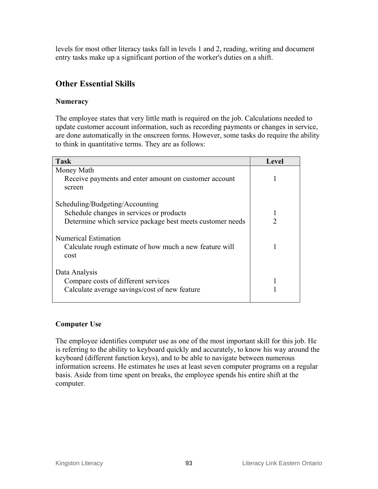levels for most other literacy tasks fall in levels 1 and 2, reading, writing and document entry tasks make up a significant portion of the worker's duties on a shift.

## **Other Essential Skills**

#### **Numeracy**

The employee states that very little math is required on the job. Calculations needed to update customer account information, such as recording payments or changes in service, are done automatically in the onscreen forms. However, some tasks do require the ability to think in quantitative terms. They are as follows:

| <b>Task</b>                                                                 | Level |
|-----------------------------------------------------------------------------|-------|
| Money Math                                                                  |       |
| Receive payments and enter amount on customer account                       |       |
| screen                                                                      |       |
|                                                                             |       |
| Scheduling/Budgeting/Accounting<br>Schedule changes in services or products |       |
|                                                                             |       |
| Determine which service package best meets customer needs                   |       |
| <b>Numerical Estimation</b>                                                 |       |
| Calculate rough estimate of how much a new feature will                     |       |
| cost                                                                        |       |
|                                                                             |       |
| Data Analysis                                                               |       |
| Compare costs of different services                                         |       |
| Calculate average savings/cost of new feature                               |       |
|                                                                             |       |

#### **Computer Use**

The employee identifies computer use as one of the most important skill for this job. He is referring to the ability to keyboard quickly and accurately, to know his way around the keyboard (different function keys), and to be able to navigate between numerous information screens. He estimates he uses at least seven computer programs on a regular basis. Aside from time spent on breaks, the employee spends his entire shift at the computer.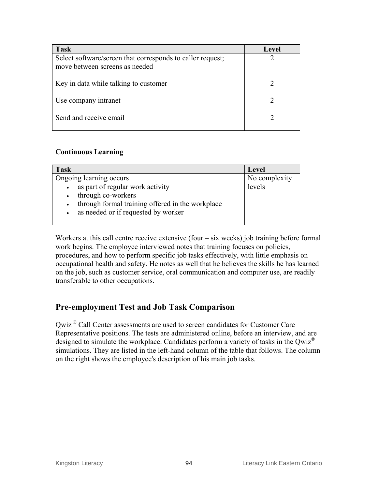| <b>Task</b>                                                                                  | Level |
|----------------------------------------------------------------------------------------------|-------|
| Select software/screen that corresponds to caller request;<br>move between screens as needed |       |
| Key in data while talking to customer                                                        |       |
| Use company intranet                                                                         |       |
| Send and receive email                                                                       |       |

#### **Continuous Learning**

| <b>Task</b>                                                   | Level         |
|---------------------------------------------------------------|---------------|
| Ongoing learning occurs                                       | No complexity |
| as part of regular work activity<br>$\bullet$                 | levels        |
| through co-workers<br>$\bullet$                               |               |
| through formal training offered in the workplace<br>$\bullet$ |               |
| as needed or if requested by worker<br>$\bullet$              |               |
|                                                               |               |

Workers at this call centre receive extensive (four – six weeks) job training before formal work begins. The employee interviewed notes that training focuses on policies, procedures, and how to perform specific job tasks effectively, with little emphasis on occupational health and safety. He notes as well that he believes the skills he has learned on the job, such as customer service, oral communication and computer use, are readily transferable to other occupations.

## **Pre-employment Test and Job Task Comparison**

Qwiz ® Call Center assessments are used to screen candidates for Customer Care Representative positions. The tests are administered online, before an interview, and are designed to simulate the workplace. Candidates perform a variety of tasks in the Qwiz<sup>®</sup> simulations. They are listed in the left-hand column of the table that follows. The column on the right shows the employee's description of his main job tasks.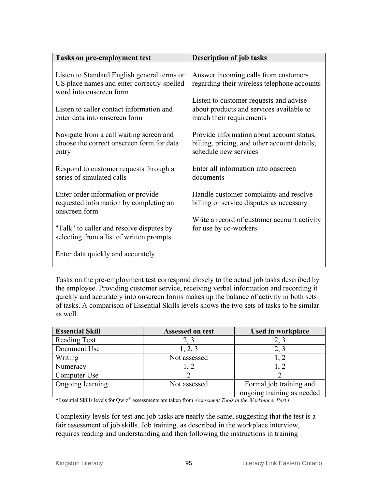| <b>Tasks on pre-employment test</b>                                                                                  | <b>Description of job tasks</b>                                                                                    |
|----------------------------------------------------------------------------------------------------------------------|--------------------------------------------------------------------------------------------------------------------|
| Listen to Standard English general terms or<br>US place names and enter correctly-spelled<br>word into onscreen form | Answer incoming calls from customers<br>regarding their wireless telephone accounts                                |
| Listen to caller contact information and<br>enter data into onscreen form                                            | Listen to customer requests and advise<br>about products and services available to<br>match their requirements     |
| Navigate from a call waiting screen and<br>choose the correct onscreen form for data<br>entry                        | Provide information about account status,<br>billing, pricing, and other account details;<br>schedule new services |
| Respond to customer requests through a<br>series of simulated calls                                                  | Enter all information into onscreen<br>documents                                                                   |
| Enter order information or provide<br>requested information by completing an<br>onscreen form                        | Handle customer complaints and resolve<br>billing or service disputes as necessary                                 |
| "Talk" to caller and resolve disputes by<br>selecting from a list of written prompts                                 | Write a record of customer account activity<br>for use by co-workers                                               |
| Enter data quickly and accurately                                                                                    |                                                                                                                    |

Tasks on the pre-employment test correspond closely to the actual job tasks described by the employee. Providing customer service, receiving verbal information and recording it quickly and accurately into onscreen forms makes up the balance of activity in both sets of tasks. A comparison of Essential Skills levels shows the two sets of tasks to be similar as well.

| <b>Essential Skill</b> | Assessed on test | Used in workplace          |
|------------------------|------------------|----------------------------|
| Reading Text           | 2, 3             | 2, 3                       |
| Document Use           | 1, 2, 3          | 2, 3                       |
| Writing                | Not assessed     |                            |
| Numeracy               |                  |                            |
| Computer Use           |                  |                            |
| Ongoing learning       | Not assessed     | Formal job training and    |
|                        |                  | ongoing training as needed |

\*Essential Skills levels for Qwiz® assessments are taken from *Assessment Tools in the Workplace: Part I*.

Complexity levels for test and job tasks are nearly the same, suggesting that the test is a fair assessment of job skills. Job training, as described in the workplace interview, requires reading and understanding and then following the instructions in training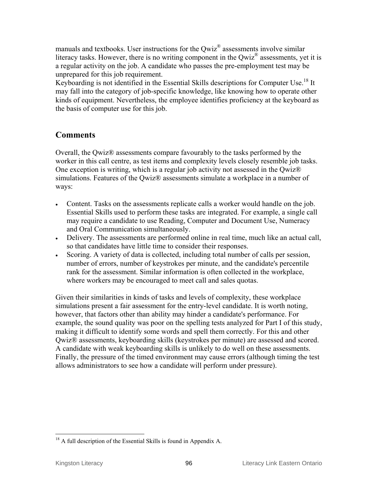manuals and textbooks. User instructions for the Qwiz® assessments involve similar literacy tasks. However, there is no writing component in the Qwiz® assessments, yet it is a regular activity on the job. A candidate who passes the pre-employment test may be unprepared for this job requirement.

Keyboarding is not identified in the Essential Skills descriptions for Computer Use.18 It may fall into the category of job-specific knowledge, like knowing how to operate other kinds of equipment. Nevertheless, the employee identifies proficiency at the keyboard as the basis of computer use for this job.

## **Comments**

Overall, the Qwiz® assessments compare favourably to the tasks performed by the worker in this call centre, as test items and complexity levels closely resemble job tasks. One exception is writing, which is a regular job activity not assessed in the Qwiz® simulations. Features of the Qwiz® assessments simulate a workplace in a number of ways:

- Content. Tasks on the assessments replicate calls a worker would handle on the job. Essential Skills used to perform these tasks are integrated. For example, a single call may require a candidate to use Reading, Computer and Document Use, Numeracy and Oral Communication simultaneously.
- Delivery. The assessments are performed online in real time, much like an actual call, so that candidates have little time to consider their responses.
- Scoring. A variety of data is collected, including total number of calls per session, number of errors, number of keystrokes per minute, and the candidate's percentile rank for the assessment. Similar information is often collected in the workplace, where workers may be encouraged to meet call and sales quotas.

Given their similarities in kinds of tasks and levels of complexity, these workplace simulations present a fair assessment for the entry-level candidate. It is worth noting, however, that factors other than ability may hinder a candidate's performance. For example, the sound quality was poor on the spelling tests analyzed for Part I of this study, making it difficult to identify some words and spell them correctly. For this and other Qwiz® assessments, keyboarding skills (keystrokes per minute) are assessed and scored. A candidate with weak keyboarding skills is unlikely to do well on these assessments. Finally, the pressure of the timed environment may cause errors (although timing the test allows administrators to see how a candidate will perform under pressure).

 $\overline{a}$  $18$  A full description of the Essential Skills is found in Appendix A.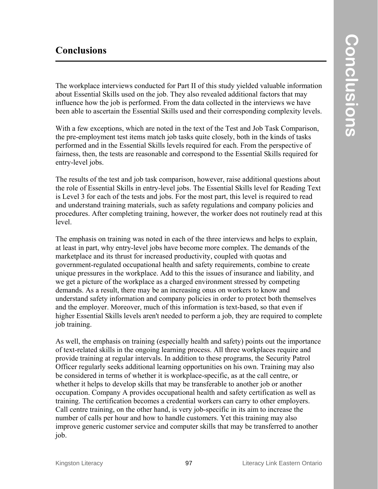# **Conclusions**

The workplace interviews conducted for Part II of this study yielded valuable information about Essential Skills used on the job. They also revealed additional factors that may influence how the job is performed. From the data collected in the interviews we have been able to ascertain the Essential Skills used and their corresponding complexity levels.

With a few exceptions, which are noted in the text of the Test and Job Task Comparison, the pre-employment test items match job tasks quite closely, both in the kinds of tasks performed and in the Essential Skills levels required for each. From the perspective of fairness, then, the tests are reasonable and correspond to the Essential Skills required for entry-level jobs.

The results of the test and job task comparison, however, raise additional questions about the role of Essential Skills in entry-level jobs. The Essential Skills level for Reading Text is Level 3 for each of the tests and jobs. For the most part, this level is required to read and understand training materials, such as safety regulations and company policies and procedures. After completing training, however, the worker does not routinely read at this level.

The emphasis on training was noted in each of the three interviews and helps to explain, at least in part, why entry-level jobs have become more complex. The demands of the marketplace and its thrust for increased productivity, coupled with quotas and government-regulated occupational health and safety requirements, combine to create unique pressures in the workplace. Add to this the issues of insurance and liability, and we get a picture of the workplace as a charged environment stressed by competing demands. As a result, there may be an increasing onus on workers to know and understand safety information and company policies in order to protect both themselves and the employer. Moreover, much of this information is text-based, so that even if higher Essential Skills levels aren't needed to perform a job, they are required to complete job training.

As well, the emphasis on training (especially health and safety) points out the importance of text-related skills in the ongoing learning process. All three workplaces require and provide training at regular intervals. In addition to these programs, the Security Patrol Officer regularly seeks additional learning opportunities on his own. Training may also be considered in terms of whether it is workplace-specific, as at the call centre, or whether it helps to develop skills that may be transferable to another job or another occupation. Company A provides occupational health and safety certification as well as training. The certification becomes a credential workers can carry to other employers. Call centre training, on the other hand, is very job-specific in its aim to increase the number of calls per hour and how to handle customers. Yet this training may also improve generic customer service and computer skills that may be transferred to another job.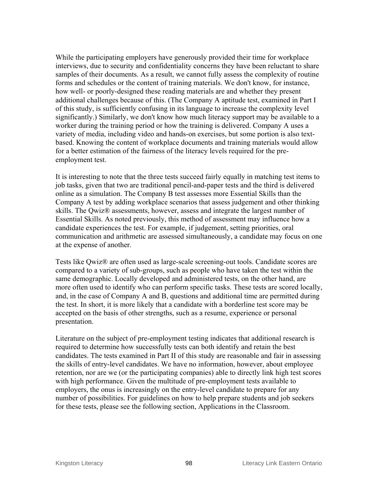While the participating employers have generously provided their time for workplace interviews, due to security and confidentiality concerns they have been reluctant to share samples of their documents. As a result, we cannot fully assess the complexity of routine forms and schedules or the content of training materials. We don't know, for instance, how well- or poorly-designed these reading materials are and whether they present additional challenges because of this. (The Company A aptitude test, examined in Part I of this study, is sufficiently confusing in its language to increase the complexity level significantly.) Similarly, we don't know how much literacy support may be available to a worker during the training period or how the training is delivered. Company A uses a variety of media, including video and hands-on exercises, but some portion is also textbased. Knowing the content of workplace documents and training materials would allow for a better estimation of the fairness of the literacy levels required for the preemployment test.

It is interesting to note that the three tests succeed fairly equally in matching test items to job tasks, given that two are traditional pencil-and-paper tests and the third is delivered online as a simulation. The Company B test assesses more Essential Skills than the Company A test by adding workplace scenarios that assess judgement and other thinking skills. The Qwiz® assessments, however, assess and integrate the largest number of Essential Skills. As noted previously, this method of assessment may influence how a candidate experiences the test. For example, if judgement, setting priorities, oral communication and arithmetic are assessed simultaneously, a candidate may focus on one at the expense of another.

Tests like Qwiz® are often used as large-scale screening-out tools. Candidate scores are compared to a variety of sub-groups, such as people who have taken the test within the same demographic. Locally developed and administered tests, on the other hand, are more often used to identify who can perform specific tasks. These tests are scored locally, and, in the case of Company A and B, questions and additional time are permitted during the test. In short, it is more likely that a candidate with a borderline test score may be accepted on the basis of other strengths, such as a resume, experience or personal presentation.

Literature on the subject of pre-employment testing indicates that additional research is required to determine how successfully tests can both identify and retain the best candidates. The tests examined in Part II of this study are reasonable and fair in assessing the skills of entry-level candidates. We have no information, however, about employee retention, nor are we (or the participating companies) able to directly link high test scores with high performance. Given the multitude of pre-employment tests available to employers, the onus is increasingly on the entry-level candidate to prepare for any number of possibilities. For guidelines on how to help prepare students and job seekers for these tests, please see the following section, Applications in the Classroom.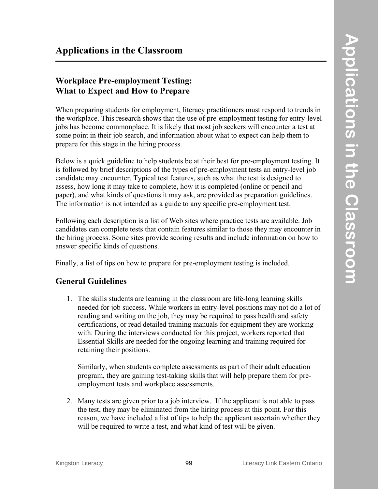## **Workplace Pre-employment Testing: What to Expect and How to Prepare**

When preparing students for employment, literacy practitioners must respond to trends in the workplace. This research shows that the use of pre-employment testing for entry-level jobs has become commonplace. It is likely that most job seekers will encounter a test at some point in their job search, and information about what to expect can help them to prepare for this stage in the hiring process.

Below is a quick guideline to help students be at their best for pre-employment testing. It is followed by brief descriptions of the types of pre-employment tests an entry-level job candidate may encounter. Typical test features, such as what the test is designed to assess, how long it may take to complete, how it is completed (online or pencil and paper), and what kinds of questions it may ask, are provided as preparation guidelines. The information is not intended as a guide to any specific pre-employment test.

Following each description is a list of Web sites where practice tests are available. Job candidates can complete tests that contain features similar to those they may encounter in the hiring process. Some sites provide scoring results and include information on how to answer specific kinds of questions.

Finally, a list of tips on how to prepare for pre-employment testing is included.

## **General Guidelines**

1. The skills students are learning in the classroom are life-long learning skills needed for job success. While workers in entry-level positions may not do a lot of reading and writing on the job, they may be required to pass health and safety certifications, or read detailed training manuals for equipment they are working with. During the interviews conducted for this project, workers reported that Essential Skills are needed for the ongoing learning and training required for retaining their positions.

Similarly, when students complete assessments as part of their adult education program, they are gaining test-taking skills that will help prepare them for preemployment tests and workplace assessments.

2. Many tests are given prior to a job interview. If the applicant is not able to pass the test, they may be eliminated from the hiring process at this point. For this reason, we have included a list of tips to help the applicant ascertain whether they will be required to write a test, and what kind of test will be given.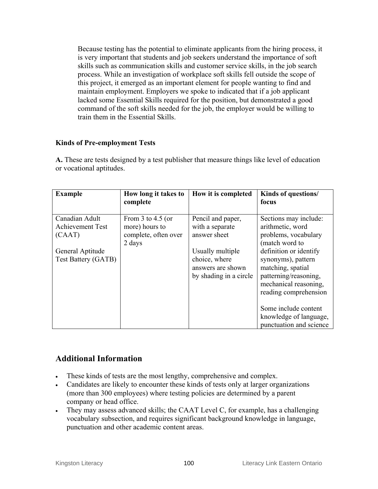Because testing has the potential to eliminate applicants from the hiring process, it is very important that students and job seekers understand the importance of soft skills such as communication skills and customer service skills, in the job search process. While an investigation of workplace soft skills fell outside the scope of this project, it emerged as an important element for people wanting to find and maintain employment. Employers we spoke to indicated that if a job applicant lacked some Essential Skills required for the position, but demonstrated a good command of the soft skills needed for the job, the employer would be willing to train them in the Essential Skills.

#### **Kinds of Pre-employment Tests**

| A. These are tests designed by a test publisher that measure things like level of education |
|---------------------------------------------------------------------------------------------|
| or vocational aptitudes.                                                                    |
|                                                                                             |

| <b>Example</b>             | How long it takes to<br>complete | How it is completed    | Kinds of questions/<br>focus |
|----------------------------|----------------------------------|------------------------|------------------------------|
| Canadian Adult             | From $3$ to $4.5$ (or            | Pencil and paper,      | Sections may include:        |
| <b>Achievement Test</b>    | more) hours to                   | with a separate        | arithmetic, word             |
| (CAAT)                     | complete, often over             | answer sheet           | problems, vocabulary         |
|                            | 2 days                           |                        | (match word to               |
| General Aptitude           |                                  | Usually multiple       | definition or identify       |
| <b>Test Battery (GATB)</b> |                                  | choice, where          | synonyms), pattern           |
|                            |                                  | answers are shown      | matching, spatial            |
|                            |                                  | by shading in a circle | patterning/reasoning,        |
|                            |                                  |                        | mechanical reasoning,        |
|                            |                                  |                        | reading comprehension        |
|                            |                                  |                        |                              |
|                            |                                  |                        | Some include content         |
|                            |                                  |                        | knowledge of language,       |
|                            |                                  |                        | punctuation and science      |

## **Additional Information**

- These kinds of tests are the most lengthy, comprehensive and complex.
- Candidates are likely to encounter these kinds of tests only at larger organizations (more than 300 employees) where testing policies are determined by a parent company or head office.
- They may assess advanced skills; the CAAT Level C, for example, has a challenging vocabulary subsection, and requires significant background knowledge in language, punctuation and other academic content areas.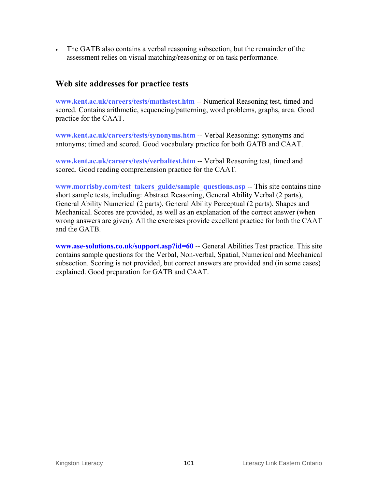• The GATB also contains a verbal reasoning subsection, but the remainder of the assessment relies on visual matching/reasoning or on task performance.

## **Web site addresses for practice tests**

**www.kent.ac.uk/careers/tests/mathstest.htm** -- Numerical Reasoning test, timed and scored. Contains arithmetic, sequencing/patterning, word problems, graphs, area. Good practice for the CAAT.

**www.kent.ac.uk/careers/tests/synonyms.htm** -- Verbal Reasoning: synonyms and antonyms; timed and scored. Good vocabulary practice for both GATB and CAAT.

**www.kent.ac.uk/careers/tests/verbaltest.htm** -- Verbal Reasoning test, timed and scored. Good reading comprehension practice for the CAAT.

**www.morrisby.com/test\_takers\_guide/sample\_questions.asp** -- This site contains nine short sample tests, including: Abstract Reasoning, General Ability Verbal (2 parts), General Ability Numerical (2 parts), General Ability Perceptual (2 parts), Shapes and Mechanical. Scores are provided, as well as an explanation of the correct answer (when wrong answers are given). All the exercises provide excellent practice for both the CAAT and the GATB.

**www.ase-solutions.co.uk/support.asp?id=60** -- General Abilities Test practice. This site contains sample questions for the Verbal, Non-verbal, Spatial, Numerical and Mechanical subsection. Scoring is not provided, but correct answers are provided and (in some cases) explained. Good preparation for GATB and CAAT.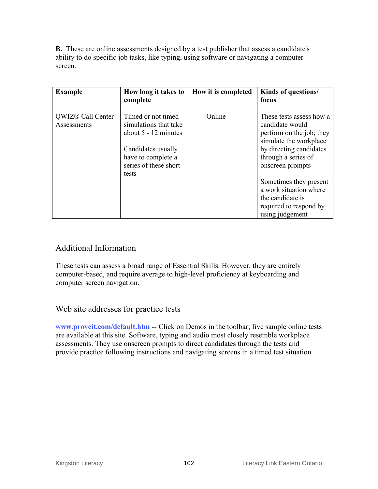**B.** These are online assessments designed by a test publisher that assess a candidate's ability to do specific job tasks, like typing, using software or navigating a computer screen.

| <b>Example</b>                               | How long it takes to<br>complete                                                                                                                    | How it is completed | Kinds of questions/<br>focus                                                                                                                                                                                                                                                                 |
|----------------------------------------------|-----------------------------------------------------------------------------------------------------------------------------------------------------|---------------------|----------------------------------------------------------------------------------------------------------------------------------------------------------------------------------------------------------------------------------------------------------------------------------------------|
| QWIZ <sup>®</sup> Call Center<br>Assessments | Timed or not timed<br>simulations that take<br>about $5 - 12$ minutes<br>Candidates usually<br>have to complete a<br>series of these short<br>tests | Online              | These tests assess how a<br>candidate would<br>perform on the job; they<br>simulate the workplace<br>by directing candidates<br>through a series of<br>onscreen prompts<br>Sometimes they present<br>a work situation where<br>the candidate is<br>required to respond by<br>using judgement |

## Additional Information

These tests can assess a broad range of Essential Skills. However, they are entirely computer-based, and require average to high-level proficiency at keyboarding and computer screen navigation.

Web site addresses for practice tests

**www.proveit.com/default.htm** -- Click on Demos in the toolbar; five sample online tests are available at this site. Software, typing and audio most closely resemble workplace assessments. They use onscreen prompts to direct candidates through the tests and provide practice following instructions and navigating screens in a timed test situation.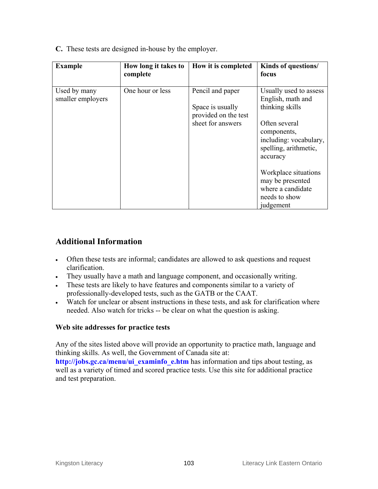**C.** These tests are designed in-house by the employer.

| <b>Example</b>                    | How long it takes to<br>complete | How it is completed                                                               | Kinds of questions/<br>focus                                                                                                                                                                              |
|-----------------------------------|----------------------------------|-----------------------------------------------------------------------------------|-----------------------------------------------------------------------------------------------------------------------------------------------------------------------------------------------------------|
| Used by many<br>smaller employers | One hour or less                 | Pencil and paper<br>Space is usually<br>provided on the test<br>sheet for answers | Usually used to assess<br>English, math and<br>thinking skills<br>Often several<br>components,<br>including: vocabulary,<br>spelling, arithmetic,<br>accuracy<br>Workplace situations<br>may be presented |
|                                   |                                  |                                                                                   | where a candidate<br>needs to show<br>judgement                                                                                                                                                           |

## **Additional Information**

- Often these tests are informal; candidates are allowed to ask questions and request clarification.
- They usually have a math and language component, and occasionally writing.
- These tests are likely to have features and components similar to a variety of professionally-developed tests, such as the GATB or the CAAT.
- Watch for unclear or absent instructions in these tests, and ask for clarification where needed. Also watch for tricks -- be clear on what the question is asking.

#### **Web site addresses for practice tests**

Any of the sites listed above will provide an opportunity to practice math, language and thinking skills. As well, the Government of Canada site at:

**http://jobs.gc.ca/menu/ui\_examinfo\_e.htm** has information and tips about testing, as well as a variety of timed and scored practice tests. Use this site for additional practice and test preparation.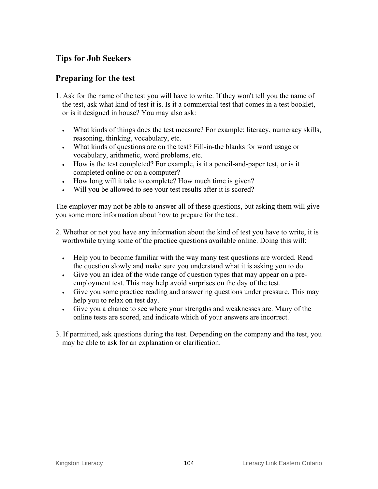## **Tips for Job Seekers**

## **Preparing for the test**

- 1. Ask for the name of the test you will have to write. If they won't tell you the name of the test, ask what kind of test it is. Is it a commercial test that comes in a test booklet, or is it designed in house? You may also ask:
	- What kinds of things does the test measure? For example: literacy, numeracy skills, reasoning, thinking, vocabulary, etc.
	- What kinds of questions are on the test? Fill-in-the blanks for word usage or vocabulary, arithmetic, word problems, etc.
	- How is the test completed? For example, is it a pencil-and-paper test, or is it completed online or on a computer?
	- How long will it take to complete? How much time is given?
	- Will you be allowed to see your test results after it is scored?

The employer may not be able to answer all of these questions, but asking them will give you some more information about how to prepare for the test.

- 2. Whether or not you have any information about the kind of test you have to write, it is worthwhile trying some of the practice questions available online. Doing this will:
	- Help you to become familiar with the way many test questions are worded. Read the question slowly and make sure you understand what it is asking you to do.
	- Give you an idea of the wide range of question types that may appear on a preemployment test. This may help avoid surprises on the day of the test.
	- Give you some practice reading and answering questions under pressure. This may help you to relax on test day.
	- Give you a chance to see where your strengths and weaknesses are. Many of the online tests are scored, and indicate which of your answers are incorrect.
- 3. If permitted, ask questions during the test. Depending on the company and the test, you may be able to ask for an explanation or clarification.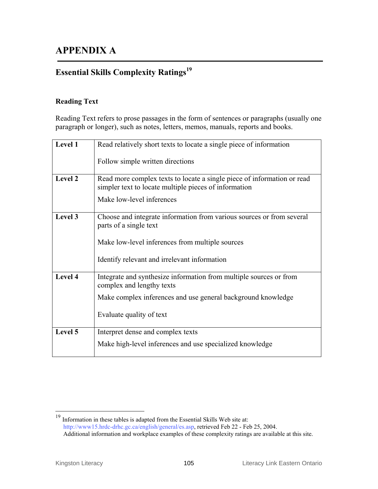# **Essential Skills Complexity Ratings<sup>19</sup>**

#### **Reading Text**

Reading Text refers to prose passages in the form of sentences or paragraphs (usually one paragraph or longer), such as notes, letters, memos, manuals, reports and books.

| Level 1 | Read relatively short texts to locate a single piece of information                                                              |
|---------|----------------------------------------------------------------------------------------------------------------------------------|
|         | Follow simple written directions                                                                                                 |
| Level 2 | Read more complex texts to locate a single piece of information or read<br>simpler text to locate multiple pieces of information |
|         | Make low-level inferences                                                                                                        |
| Level 3 | Choose and integrate information from various sources or from several<br>parts of a single text                                  |
|         | Make low-level inferences from multiple sources                                                                                  |
|         | Identify relevant and irrelevant information                                                                                     |
| Level 4 | Integrate and synthesize information from multiple sources or from<br>complex and lengthy texts                                  |
|         | Make complex inferences and use general background knowledge                                                                     |
|         | Evaluate quality of text                                                                                                         |
| Level 5 | Interpret dense and complex texts                                                                                                |
|         | Make high-level inferences and use specialized knowledge                                                                         |

 $\overline{a}$  $19$  Information in these tables is adapted from the Essential Skills Web site at: http://www15.hrdc-drhc.gc.ca/english/general/es.asp, retrieved Feb 22 - Feb 25, 2004. Additional information and workplace examples of these complexity ratings are available at this site.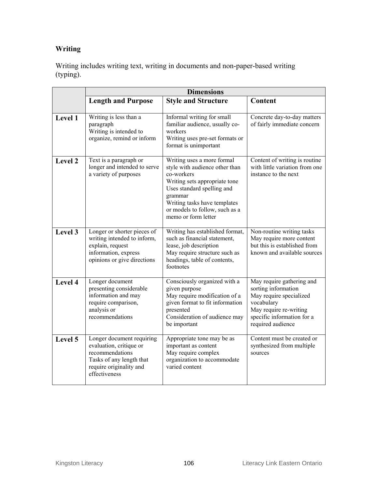# **Writing**

Writing includes writing text, writing in documents and non-paper-based writing (typing).

|         |                                                                                                                                                 | <b>Dimensions</b>                                                                                                                                                                                                                             |                                                                                                                                                                        |
|---------|-------------------------------------------------------------------------------------------------------------------------------------------------|-----------------------------------------------------------------------------------------------------------------------------------------------------------------------------------------------------------------------------------------------|------------------------------------------------------------------------------------------------------------------------------------------------------------------------|
|         | <b>Length and Purpose</b>                                                                                                                       | <b>Style and Structure</b>                                                                                                                                                                                                                    | Content                                                                                                                                                                |
| Level 1 | Writing is less than a<br>paragraph<br>Writing is intended to<br>organize, remind or inform                                                     | Informal writing for small<br>familiar audience, usually co-<br>workers<br>Writing uses pre-set formats or<br>format is unimportant                                                                                                           | Concrete day-to-day matters<br>of fairly immediate concern                                                                                                             |
| Level 2 | Text is a paragraph or<br>longer and intended to serve<br>a variety of purposes                                                                 | Writing uses a more formal<br>style with audience other than<br>co-workers<br>Writing sets appropriate tone<br>Uses standard spelling and<br>grammar<br>Writing tasks have templates<br>or models to follow, such as a<br>memo or form letter | Content of writing is routine<br>with little variation from one<br>instance to the next                                                                                |
| Level 3 | Longer or shorter pieces of<br>writing intended to inform,<br>explain, request<br>information, express<br>opinions or give directions           | Writing has established format,<br>such as financial statement,<br>lease, job description<br>May require structure such as<br>headings, table of contents,<br>footnotes                                                                       | Non-routine writing tasks<br>May require more content<br>but this is established from<br>known and available sources                                                   |
| Level 4 | Longer document<br>presenting considerable<br>information and may<br>require comparison,<br>analysis or<br>recommendations                      | Consciously organized with a<br>given purpose<br>May require modification of a<br>given format to fit information<br>presented<br>Consideration of audience may<br>be important                                                               | May require gathering and<br>sorting information<br>May require specialized<br>vocabulary<br>May require re-writing<br>specific information for a<br>required audience |
| Level 5 | Longer document requiring<br>evaluation, critique or<br>recommendations<br>Tasks of any length that<br>require originality and<br>effectiveness | Appropriate tone may be as<br>important as content<br>May require complex<br>organization to accommodate<br>varied content                                                                                                                    | Content must be created or<br>synthesized from multiple<br>sources                                                                                                     |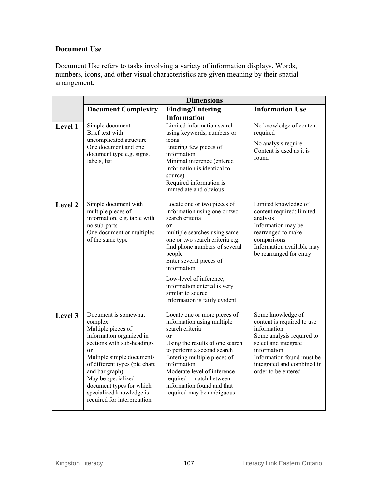## **Document Use**

Document Use refers to tasks involving a variety of information displays. Words, numbers, icons, and other visual characteristics are given meaning by their spatial arrangement.

|         |                                                                                                                                                                                                                                                                                                                    | <b>Dimensions</b>                                                                                                                                                                                                                                                                                                                                            |                                                                                                                                                                                                                      |  |  |
|---------|--------------------------------------------------------------------------------------------------------------------------------------------------------------------------------------------------------------------------------------------------------------------------------------------------------------------|--------------------------------------------------------------------------------------------------------------------------------------------------------------------------------------------------------------------------------------------------------------------------------------------------------------------------------------------------------------|----------------------------------------------------------------------------------------------------------------------------------------------------------------------------------------------------------------------|--|--|
|         | <b>Document Complexity</b>                                                                                                                                                                                                                                                                                         | <b>Finding/Entering</b><br><b>Information</b>                                                                                                                                                                                                                                                                                                                | <b>Information Use</b>                                                                                                                                                                                               |  |  |
| Level 1 | Simple document<br>Brief text with<br>uncomplicated structure<br>One document and one<br>document type e.g. signs,<br>labels, list                                                                                                                                                                                 | Limited information search<br>using keywords, numbers or<br>icons<br>Entering few pieces of<br>information<br>Minimal inference (entered<br>information is identical to<br>source)<br>Required information is<br>immediate and obvious                                                                                                                       | No knowledge of content<br>required<br>No analysis require<br>Content is used as it is<br>found                                                                                                                      |  |  |
| Level 2 | Simple document with<br>multiple pieces of<br>information, e.g. table with<br>no sub-parts<br>One document or multiples<br>of the same type                                                                                                                                                                        | Locate one or two pieces of<br>information using one or two<br>search criteria<br>or<br>multiple searches using same<br>one or two search criteria e.g.<br>find phone numbers of several<br>people<br>Enter several pieces of<br>information<br>Low-level of inference;<br>information entered is very<br>similar to source<br>Information is fairly evident | Limited knowledge of<br>content required; limited<br>analysis<br>Information may be<br>rearranged to make<br>comparisons<br>Information available may<br>be rearranged for entry                                     |  |  |
| Level 3 | Document is somewhat<br>complex<br>Multiple pieces of<br>information organized in<br>sections with sub-headings<br>0r<br>Multiple simple documents<br>of different types (pie chart<br>and bar graph)<br>May be specialized<br>document types for which<br>specialized knowledge is<br>required for interpretation | Locate one or more pieces of<br>information using multiple<br>search criteria<br><sub>or</sub><br>Using the results of one search<br>to perform a second search<br>Entering multiple pieces of<br>information<br>Moderate level of inference<br>required – match between<br>information found and that<br>required may be ambiguous                          | Some knowledge of<br>content is required to use<br>information<br>Some analysis required to<br>select and integrate<br>information<br>Information found must be<br>integrated and combined in<br>order to be entered |  |  |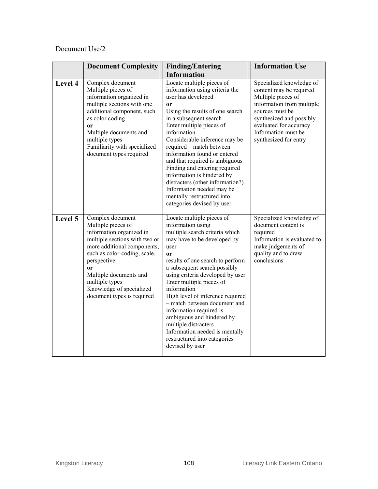# Document Use/2

|         | <b>Document Complexity</b>                                                                                                                                                                                                                                                                               | <b>Finding/Entering</b><br><b>Information</b>                                                                                                                                                                                                                                                                                                                                                                                                                                                                              | <b>Information Use</b>                                                                                                                                                                                                          |
|---------|----------------------------------------------------------------------------------------------------------------------------------------------------------------------------------------------------------------------------------------------------------------------------------------------------------|----------------------------------------------------------------------------------------------------------------------------------------------------------------------------------------------------------------------------------------------------------------------------------------------------------------------------------------------------------------------------------------------------------------------------------------------------------------------------------------------------------------------------|---------------------------------------------------------------------------------------------------------------------------------------------------------------------------------------------------------------------------------|
| Level 4 | Complex document<br>Multiple pieces of<br>information organized in<br>multiple sections with one<br>additional component, such<br>as color coding<br>or<br>Multiple documents and<br>multiple types<br>Familiarity with specialized<br>document types required                                           | Locate multiple pieces of<br>information using criteria the<br>user has developed<br>or<br>Using the results of one search<br>in a subsequent search<br>Enter multiple pieces of<br>information<br>Considerable inference may be<br>required - match between<br>information found or entered<br>and that required is ambiguous<br>Finding and entering required<br>information is hindered by<br>distracters (other information?)<br>Information needed may be<br>mentally restructured into<br>categories devised by user | Specialized knowledge of<br>content may be required<br>Multiple pieces of<br>information from multiple<br>sources must be<br>synthesized and possibly<br>evaluated for accuracy<br>Information must be<br>synthesized for entry |
| Level 5 | Complex document<br>Multiple pieces of<br>information organized in<br>multiple sections with two or<br>more additional components,<br>such as color-coding, scale,<br>perspective<br><sub>or</sub><br>Multiple documents and<br>multiple types<br>Knowledge of specialized<br>document types is required | Locate multiple pieces of<br>information using<br>multiple search criteria which<br>may have to be developed by<br>user<br>or<br>results of one search to perform<br>a subsequent search possibly<br>using criteria developed by user<br>Enter multiple pieces of<br>information<br>High level of inference required<br>- match between document and<br>information required is<br>ambiguous and hindered by<br>multiple distracters<br>Information needed is mentally<br>restructured into categories<br>devised by user  | Specialized knowledge of<br>document content is<br>required<br>Information is evaluated to<br>make judgements of<br>quality and to draw<br>conclusions                                                                          |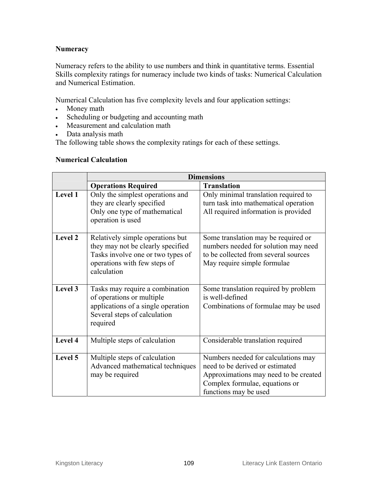#### **Numeracy**

Numeracy refers to the ability to use numbers and think in quantitative terms. Essential Skills complexity ratings for numeracy include two kinds of tasks: Numerical Calculation and Numerical Estimation.

Numerical Calculation has five complexity levels and four application settings:

- Money math
- Scheduling or budgeting and accounting math
- Measurement and calculation math
- Data analysis math

The following table shows the complexity ratings for each of these settings.

#### **Numerical Calculation**

|         |                                                                                                                                                           | <b>Dimensions</b>                                                                                                                                                          |
|---------|-----------------------------------------------------------------------------------------------------------------------------------------------------------|----------------------------------------------------------------------------------------------------------------------------------------------------------------------------|
|         | <b>Operations Required</b>                                                                                                                                | <b>Translation</b>                                                                                                                                                         |
| Level 1 | Only the simplest operations and<br>they are clearly specified                                                                                            | Only minimal translation required to<br>turn task into mathematical operation                                                                                              |
|         | Only one type of mathematical<br>operation is used                                                                                                        | All required information is provided                                                                                                                                       |
| Level 2 | Relatively simple operations but<br>they may not be clearly specified<br>Tasks involve one or two types of<br>operations with few steps of<br>calculation | Some translation may be required or<br>numbers needed for solution may need<br>to be collected from several sources<br>May require simple formulae                         |
| Level 3 | Tasks may require a combination<br>of operations or multiple<br>applications of a single operation<br>Several steps of calculation<br>required            | Some translation required by problem<br>is well-defined<br>Combinations of formulae may be used                                                                            |
| Level 4 | Multiple steps of calculation                                                                                                                             | Considerable translation required                                                                                                                                          |
| Level 5 | Multiple steps of calculation<br>Advanced mathematical techniques<br>may be required                                                                      | Numbers needed for calculations may<br>need to be derived or estimated<br>Approximations may need to be created<br>Complex formulae, equations or<br>functions may be used |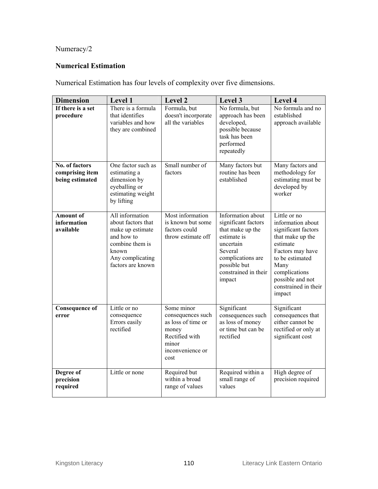# Numeracy/2

## **Numerical Estimation**

Numerical Estimation has four levels of complexity over five dimensions.

| <b>Dimension</b>                                            | Level 1                                                                                                                                      | Level 2                                                                                                               | Level 3                                                                                                                                                                    | Level 4                                                                                                                                                                                                        |
|-------------------------------------------------------------|----------------------------------------------------------------------------------------------------------------------------------------------|-----------------------------------------------------------------------------------------------------------------------|----------------------------------------------------------------------------------------------------------------------------------------------------------------------------|----------------------------------------------------------------------------------------------------------------------------------------------------------------------------------------------------------------|
| If there is a set<br>procedure                              | There is a formula<br>that identifies<br>variables and how<br>they are combined                                                              | Formula, but<br>doesn't incorporate<br>all the variables                                                              | No formula, but<br>approach has been<br>developed,<br>possible because<br>task has been<br>performed<br>repeatedly                                                         | No formula and no<br>established<br>approach available                                                                                                                                                         |
| <b>No. of factors</b><br>comprising item<br>being estimated | One factor such as<br>estimating a<br>dimension by<br>eyeballing or<br>estimating weight<br>by lifting                                       | Small number of<br>factors                                                                                            | Many factors but<br>routine has been<br>established                                                                                                                        | Many factors and<br>methodology for<br>estimating must be<br>developed by<br>worker                                                                                                                            |
| <b>Amount of</b><br>information<br>available                | All information<br>about factors that<br>make up estimate<br>and how to<br>combine them is<br>known<br>Any complicating<br>factors are known | Most information<br>is known but some<br>factors could<br>throw estimate off                                          | Information about<br>significant factors<br>that make up the<br>estimate is<br>uncertain<br>Several<br>complications are<br>possible but<br>constrained in their<br>impact | Little or no<br>information about<br>significant factors<br>that make up the<br>estimate<br>Factors may have<br>to be estimated<br>Many<br>complications<br>possible and not<br>constrained in their<br>impact |
| <b>Consequence of</b><br>error                              | Little or no<br>consequence<br>Errors easily<br>rectified                                                                                    | Some minor<br>consequences such<br>as loss of time or<br>money<br>Rectified with<br>minor<br>inconvenience or<br>cost | Significant<br>consequences such<br>as loss of money<br>or time but can be<br>rectified                                                                                    | Significant<br>consequences that<br>either cannot be<br>rectified or only at<br>significant cost                                                                                                               |
| Degree of<br>precision<br>required                          | Little or none                                                                                                                               | Required but<br>within a broad<br>range of values                                                                     | Required within a<br>small range of<br>values                                                                                                                              | High degree of<br>precision required                                                                                                                                                                           |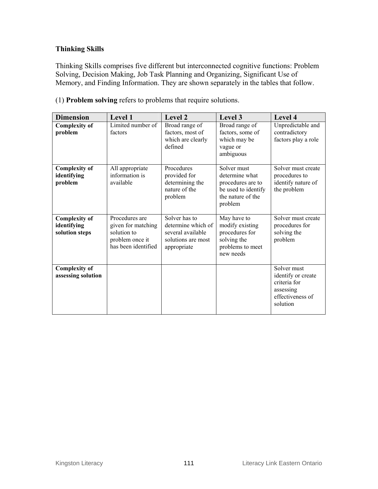#### **Thinking Skills**

Thinking Skills comprises five different but interconnected cognitive functions: Problem Solving, Decision Making, Job Task Planning and Organizing, Significant Use of Memory, and Finding Information. They are shown separately in the tables that follow.

| <b>Dimension</b>                                      | Level 1                                                                                       | Level 2                                                                                       | Level 3                                                                                                   | Level 4                                                                                        |
|-------------------------------------------------------|-----------------------------------------------------------------------------------------------|-----------------------------------------------------------------------------------------------|-----------------------------------------------------------------------------------------------------------|------------------------------------------------------------------------------------------------|
| <b>Complexity of</b><br>problem                       | Limited number of<br>factors                                                                  | Broad range of<br>factors, most of<br>which are clearly<br>defined                            | Broad range of<br>factors, some of<br>which may be<br>vague or<br>ambiguous                               | Unpredictable and<br>contradictory<br>factors play a role                                      |
| <b>Complexity of</b><br>identifying<br>problem        | All appropriate<br>information is<br>available                                                | Procedures<br>provided for<br>determining the<br>nature of the<br>problem                     | Solver must<br>determine what<br>procedures are to<br>be used to identify<br>the nature of the<br>problem | Solver must create<br>procedures to<br>identify nature of<br>the problem                       |
| <b>Complexity of</b><br>identifying<br>solution steps | Procedures are<br>given for matching<br>solution to<br>problem once it<br>has been identified | Solver has to<br>determine which of<br>several available<br>solutions are most<br>appropriate | May have to<br>modify existing<br>procedures for<br>solving the<br>problems to meet<br>new needs          | Solver must create<br>procedures for<br>solving the<br>problem                                 |
| <b>Complexity of</b><br>assessing solution            |                                                                                               |                                                                                               |                                                                                                           | Solver must<br>identify or create<br>criteria for<br>assessing<br>effectiveness of<br>solution |

(1) **Problem solving** refers to problems that require solutions.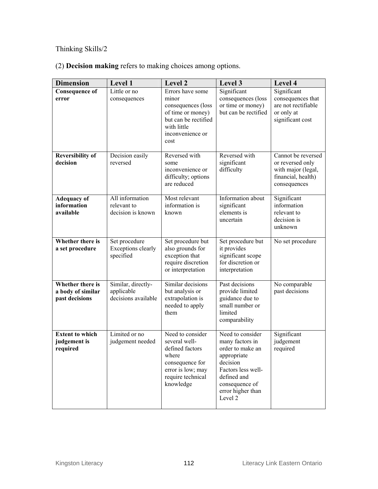# Thinking Skills/2

| (2) Decision making refers to making choices among options. |  |
|-------------------------------------------------------------|--|
|-------------------------------------------------------------|--|

| <b>Dimension</b>                                        | Level 1                                                 | Level 2                                                                                                                                 | Level 3                                                                                                                                                                   | Level 4                                                                                            |
|---------------------------------------------------------|---------------------------------------------------------|-----------------------------------------------------------------------------------------------------------------------------------------|---------------------------------------------------------------------------------------------------------------------------------------------------------------------------|----------------------------------------------------------------------------------------------------|
| <b>Consequence of</b><br>error                          | Little or no<br>consequences                            | Errors have some<br>minor<br>consequences (loss<br>of time or money)<br>but can be rectified<br>with little<br>inconvenience or<br>cost | Significant<br>consequences (loss<br>or time or money)<br>but can be rectified                                                                                            | Significant<br>consequences that<br>are not rectifiable<br>or only at<br>significant cost          |
| <b>Reversibility of</b><br>decision                     | Decision easily<br>reversed                             | Reversed with<br>some<br>inconvenience or<br>difficulty; options<br>are reduced                                                         | Reversed with<br>significant<br>difficulty                                                                                                                                | Cannot be reversed<br>or reversed only<br>with major (legal,<br>financial, health)<br>consequences |
| <b>Adequacy of</b><br>information<br>available          | All information<br>relevant to<br>decision is known     | Most relevant<br>information is<br>known                                                                                                | Information about<br>significant<br>elements is<br>uncertain                                                                                                              | Significant<br>information<br>relevant to<br>decision is<br>unknown                                |
| Whether there is<br>a set procedure                     | Set procedure<br><b>Exceptions clearly</b><br>specified | Set procedure but<br>also grounds for<br>exception that<br>require discretion<br>or interpretation                                      | Set procedure but<br>it provides<br>significant scope<br>for discretion or<br>interpretation                                                                              | No set procedure                                                                                   |
| Whether there is<br>a body of similar<br>past decisions | Similar, directly-<br>applicable<br>decisions available | Similar decisions<br>but analysis or<br>extrapolation is<br>needed to apply<br>them                                                     | Past decisions<br>provide limited<br>guidance due to<br>small number or<br>limited<br>comparability                                                                       | No comparable<br>past decisions                                                                    |
| <b>Extent to which</b><br>judgement is<br>required      | Limited or no<br>judgement needed                       | Need to consider<br>several well-<br>defined factors<br>where<br>consequence for<br>error is low; may<br>require technical<br>knowledge | Need to consider<br>many factors in<br>order to make an<br>appropriate<br>decision<br>Factors less well-<br>defined and<br>consequence of<br>error higher than<br>Level 2 | Significant<br>judgement<br>required                                                               |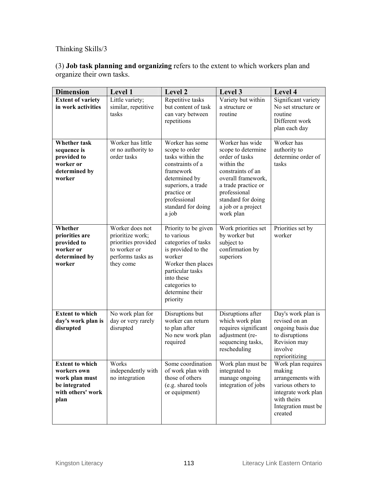# Thinking Skills/3

(3) **Job task planning and organizing** refers to the extent to which workers plan and organize their own tasks.

| <b>Dimension</b>                                                                                      | Level 1                                                                                                      | <b>Level 2</b>                                                                                                                                                                                    | Level 3                                                                                                                                                                                                          | Level 4                                                                                                                                        |
|-------------------------------------------------------------------------------------------------------|--------------------------------------------------------------------------------------------------------------|---------------------------------------------------------------------------------------------------------------------------------------------------------------------------------------------------|------------------------------------------------------------------------------------------------------------------------------------------------------------------------------------------------------------------|------------------------------------------------------------------------------------------------------------------------------------------------|
| <b>Extent of variety</b><br>in work activities                                                        | Little variety;<br>similar, repetitive<br>tasks                                                              | Repetitive tasks<br>but content of task<br>can vary between<br>repetitions                                                                                                                        | Variety but within<br>a structure or<br>routine                                                                                                                                                                  | Significant variety<br>No set structure or<br>routine<br>Different work<br>plan each day                                                       |
| Whether task<br>sequence is<br>provided to<br>worker or<br>determined by<br>worker                    | Worker has little<br>or no authority to<br>order tasks                                                       | Worker has some<br>scope to order<br>tasks within the<br>constraints of a<br>framework<br>determined by<br>superiors, a trade<br>practice or<br>professional<br>standard for doing<br>a job       | Worker has wide<br>scope to determine<br>order of tasks<br>within the<br>constraints of an<br>overall framework,<br>a trade practice or<br>professional<br>standard for doing<br>a job or a project<br>work plan | Worker has<br>authority to<br>determine order of<br>tasks                                                                                      |
| Whether<br>priorities are<br>provided to<br>worker or<br>determined by<br>worker                      | Worker does not<br>prioritize work;<br>priorities provided<br>to worker or<br>performs tasks as<br>they come | Priority to be given<br>to various<br>categories of tasks<br>is provided to the<br>worker<br>Worker then places<br>particular tasks<br>into these<br>categories to<br>determine their<br>priority | Work priorities set<br>by worker but<br>subject to<br>confirmation by<br>superiors                                                                                                                               | Priorities set by<br>worker                                                                                                                    |
| <b>Extent to which</b><br>day's work plan is<br>disrupted                                             | No work plan for<br>day or very rarely<br>disrupted                                                          | Disruptions but<br>worker can return<br>to plan after<br>No new work plan<br>required                                                                                                             | Disruptions after<br>which work plan<br>requires significant<br>adjustment (re-<br>sequencing tasks,<br>rescheduling                                                                                             | Day's work plan is<br>revised on an<br>ongoing basis due<br>to disruptions<br>Revision may<br>involve<br>reprioritizing                        |
| <b>Extent to which</b><br>workers own<br>work plan must<br>be integrated<br>with others' work<br>plan | Works<br>independently with<br>no integration                                                                | of work plan with<br>those of others<br>(e.g. shared tools<br>or equipment)                                                                                                                       | Some coordination Work plan must be<br>integrated to<br>manage ongoing<br>integration of jobs                                                                                                                    | Work plan requires<br>making<br>arrangements with<br>various others to<br>integrate work plan<br>with theirs<br>Integration must be<br>created |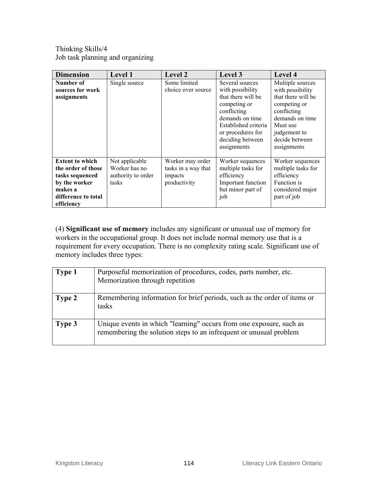Thinking Skills/4 Job task planning and organizing

| <b>Dimension</b>                                                                                                                 | <b>Level 1</b>                                                 | Level 2                                                            | Level 3                                                                                                                                                                                     | Level 4                                                                                                                                                                   |
|----------------------------------------------------------------------------------------------------------------------------------|----------------------------------------------------------------|--------------------------------------------------------------------|---------------------------------------------------------------------------------------------------------------------------------------------------------------------------------------------|---------------------------------------------------------------------------------------------------------------------------------------------------------------------------|
| Number of<br>sources for work<br>assignments                                                                                     | Single source                                                  | Some limited<br>choice over source                                 | Several sources<br>with possibility<br>that there will be<br>competing or<br>conflicting<br>demands on time<br>Established criteria<br>or procedures for<br>deciding between<br>assignments | Multiple sources<br>with possibility<br>that there will be<br>competing or<br>conflicting<br>demands on time<br>Must use<br>judgement to<br>decide between<br>assignments |
| <b>Extent to which</b><br>the order of those<br>tasks sequenced<br>by the worker<br>makes a<br>difference to total<br>efficiency | Not applicable<br>Worker has no<br>authority to order<br>tasks | Worker may order<br>tasks in a way that<br>impacts<br>productivity | Worker sequences<br>multiple tasks for<br>efficiency<br>Important function<br>but minor part of<br>job                                                                                      | Worker sequences<br>multiple tasks for<br>efficiency<br>Function is<br>considered major<br>part of job                                                                    |

(4) **Significant use of memory** includes any significant or unusual use of memory for workers in the occupational group. It does not include normal memory use that is a requirement for every occupation. There is no complexity rating scale. Significant use of memory includes three types:

| Type 1 | Purposeful memorization of procedures, codes, parts number, etc.<br>Memorization through repetition                                       |
|--------|-------------------------------------------------------------------------------------------------------------------------------------------|
| Type 2 | Remembering information for brief periods, such as the order of items or<br>tasks                                                         |
| Type 3 | Unique events in which "learning" occurs from one exposure, such as<br>remembering the solution steps to an infrequent or unusual problem |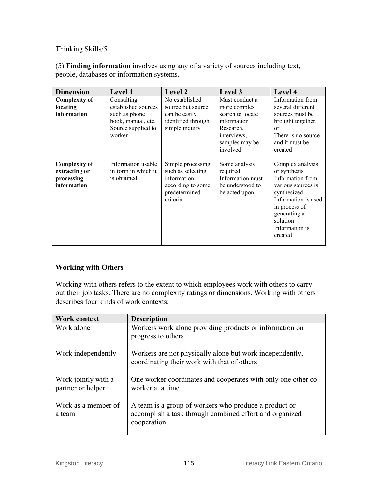Thinking Skills/5

(5) **Finding information** involves using any of a variety of sources including text, people, databases or information systems.

| <b>Dimension</b>                                                   | <b>Level 1</b>                                                                                           | Level 2                                                                                                 | Level 3                                                                                                                     | Level 4                                                                                                                                                                                    |
|--------------------------------------------------------------------|----------------------------------------------------------------------------------------------------------|---------------------------------------------------------------------------------------------------------|-----------------------------------------------------------------------------------------------------------------------------|--------------------------------------------------------------------------------------------------------------------------------------------------------------------------------------------|
| <b>Complexity of</b><br>locating<br>information                    | Consulting<br>established sources<br>such as phone<br>book, manual, etc.<br>Source supplied to<br>worker | No established<br>source but source<br>can be easily<br>identified through<br>simple inquiry            | Must conduct a<br>more complex<br>search to locate<br>information<br>Research,<br>interviews.<br>samples may be<br>involved | Information from<br>several different<br>sources must be<br>brought together,<br>$\alpha$<br>There is no source.<br>and it must be<br>created                                              |
| <b>Complexity of</b><br>extracting or<br>processing<br>information | Information usable<br>in form in which it<br>is obtained                                                 | Simple processing<br>such as selecting<br>information<br>according to some<br>predetermined<br>criteria | Some analysis<br>required<br>Information must<br>be understood to<br>be acted upon                                          | Complex analysis<br>or synthesis<br>Information from<br>various sources is<br>synthesized<br>Information is used<br>in process of<br>generating a<br>solution<br>Information is<br>created |

#### **Working with Others**

Working with others refers to the extent to which employees work with others to carry out their job tasks. There are no complexity ratings or dimensions. Working with others describes four kinds of work contexts:

| <b>Work context</b>                      | <b>Description</b>                                                                                                              |
|------------------------------------------|---------------------------------------------------------------------------------------------------------------------------------|
| Work alone                               | Workers work alone providing products or information on<br>progress to others                                                   |
| Work independently                       | Workers are not physically alone but work independently,<br>coordinating their work with that of others                         |
| Work jointly with a<br>partner or helper | One worker coordinates and cooperates with only one other co-<br>worker at a time                                               |
| Work as a member of<br>a team            | A team is a group of workers who produce a product or<br>accomplish a task through combined effort and organized<br>cooperation |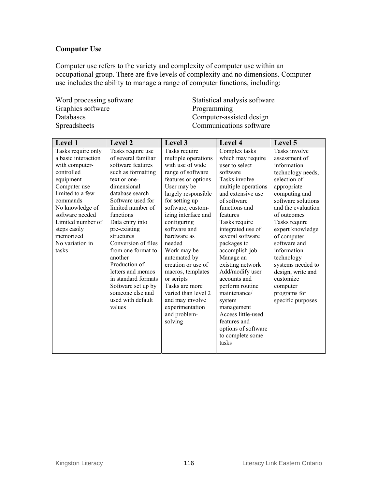#### **Computer Use**

Computer use refers to the variety and complexity of computer use within an occupational group. There are five levels of complexity and no dimensions. Computer use includes the ability to manage a range of computer functions, including:

Word processing software Graphics software Databases Spreadsheets

Statistical analysis software Programming Computer-assisted design Communications software

| Level 1             | Level 2             | Level 3             | Level 4             | Level 5            |
|---------------------|---------------------|---------------------|---------------------|--------------------|
| Tasks require only  | Tasks require use   | Tasks require       | Complex tasks       | Tasks involve      |
| a basic interaction | of several familiar | multiple operations | which may require   | assessment of      |
| with computer-      | software features   | with use of wide    | user to select      | information        |
| controlled          | such as formatting  | range of software   | software            | technology needs,  |
| equipment           | text or one-        | features or options | Tasks involve       | selection of       |
| Computer use        | dimensional         | User may be         | multiple operations | appropriate        |
| limited to a few    | database search     | largely responsible | and extensive use   | computing and      |
| commands            | Software used for   | for setting up      | of software         | software solutions |
| No knowledge of     | limited number of   | software, custom-   | functions and       | and the evaluation |
| software needed     | functions           | izing interface and | features            | of outcomes        |
| Limited number of   | Data entry into     | configuring         | Tasks require       | Tasks require      |
| steps easily        | pre-existing        | software and        | integrated use of   | expert knowledge   |
| memorized           | structures          | hardware as         | several software    | of computer        |
| No variation in     | Conversion of files | needed              | packages to         | software and       |
| tasks               | from one format to  | Work may be         | accomplish job      | information        |
|                     | another             | automated by        | Manage an           | technology         |
|                     | Production of       | creation or use of  | existing network    | systems needed to  |
|                     | letters and memos   | macros, templates   | Add/modify user     | design, write and  |
|                     | in standard formats | or scripts          | accounts and        | customize          |
|                     | Software set up by  | Tasks are more      | perform routine     | computer           |
|                     | someone else and    | varied than level 2 | maintenance/        | programs for       |
|                     | used with default   | and may involve     | system              | specific purposes  |
|                     | values              | experimentation     | management          |                    |
|                     |                     | and problem-        | Access little-used  |                    |
|                     |                     | solving             | features and        |                    |
|                     |                     |                     | options of software |                    |
|                     |                     |                     | to complete some    |                    |
|                     |                     |                     | tasks               |                    |
|                     |                     |                     |                     |                    |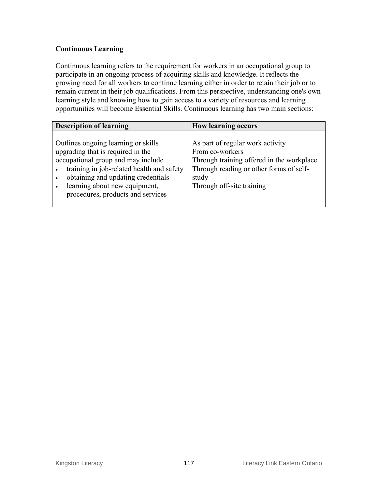#### **Continuous Learning**

Continuous learning refers to the requirement for workers in an occupational group to participate in an ongoing process of acquiring skills and knowledge. It reflects the growing need for all workers to continue learning either in order to retain their job or to remain current in their job qualifications. From this perspective, understanding one's own learning style and knowing how to gain access to a variety of resources and learning opportunities will become Essential Skills. Continuous learning has two main sections:

| <b>Description of learning</b>                                                                                                                                                                                                                               | <b>How learning occurs</b>                                                                                                                                                        |
|--------------------------------------------------------------------------------------------------------------------------------------------------------------------------------------------------------------------------------------------------------------|-----------------------------------------------------------------------------------------------------------------------------------------------------------------------------------|
| Outlines ongoing learning or skills<br>upgrading that is required in the<br>occupational group and may include<br>training in job-related health and safety<br>$\bullet$<br>obtaining and updating credentials<br>$\bullet$<br>learning about new equipment, | As part of regular work activity<br>From co-workers<br>Through training offered in the workplace<br>Through reading or other forms of self-<br>study<br>Through off-site training |
| procedures, products and services                                                                                                                                                                                                                            |                                                                                                                                                                                   |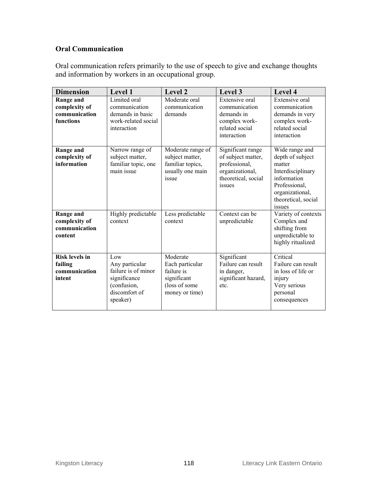## **Oral Communication**

Oral communication refers primarily to the use of speech to give and exchange thoughts and information by workers in an occupational group.

| <b>Dimension</b>                                            | Level 1                                                                                                  | Level 2                                                                                     | Level 3                                                                                                      | Level 4                                                                                                                                               |
|-------------------------------------------------------------|----------------------------------------------------------------------------------------------------------|---------------------------------------------------------------------------------------------|--------------------------------------------------------------------------------------------------------------|-------------------------------------------------------------------------------------------------------------------------------------------------------|
| Range and<br>complexity of<br>communication<br>functions    | Limited oral<br>communication<br>demands in basic<br>work-related social<br>interaction                  | Moderate oral<br>communication<br>demands                                                   | Extensive oral<br>communication<br>demands in<br>complex work-<br>related social<br>interaction              | Extensive oral<br>communication<br>demands in very<br>complex work-<br>related social<br>interaction                                                  |
| Range and<br>complexity of<br>information                   | Narrow range of<br>subject matter,<br>familiar topic, one<br>main issue                                  | Moderate range of<br>subject matter,<br>familiar topics,<br>usually one main<br>issue       | Significant range<br>of subject matter,<br>professional,<br>organizational,<br>theoretical, social<br>issues | Wide range and<br>depth of subject<br>matter<br>Interdisciplinary<br>information<br>Professional,<br>organizational,<br>theoretical, social<br>issues |
| Range and<br>complexity of<br>communication<br>content      | Highly predictable<br>context                                                                            | Less predictable<br>context                                                                 | Context can be<br>unpredictable                                                                              | Variety of contexts<br>Complex and<br>shifting from<br>unpredictable to<br>highly ritualized                                                          |
| <b>Risk levels in</b><br>failing<br>communication<br>intent | Low<br>Any particular<br>failure is of minor<br>significance<br>(confusion,<br>discomfort of<br>speaker) | Moderate<br>Each particular<br>failure is<br>significant<br>(loss of some<br>money or time) | Significant<br>Failure can result<br>in danger,<br>significant hazard,<br>etc.                               | Critical<br>Failure can result<br>in loss of life or<br>injury<br>Very serious<br>personal<br>consequences                                            |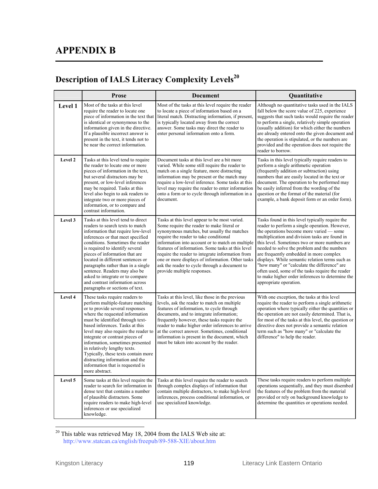# **APPENDIX B**

# **Description of IALS Literacy Complexity Levels<sup>20</sup>**

|         | <b>Prose</b>                                                                                                                                                                                                                                                                                                                                                                                                                                                                                    | <b>Document</b>                                                                                                                                                                                                                                                                                                                                                                                                                                                                       | Quantitative                                                                                                                                                                                                                                                                                                                                                                                                                                                                                                                                                                    |
|---------|-------------------------------------------------------------------------------------------------------------------------------------------------------------------------------------------------------------------------------------------------------------------------------------------------------------------------------------------------------------------------------------------------------------------------------------------------------------------------------------------------|---------------------------------------------------------------------------------------------------------------------------------------------------------------------------------------------------------------------------------------------------------------------------------------------------------------------------------------------------------------------------------------------------------------------------------------------------------------------------------------|---------------------------------------------------------------------------------------------------------------------------------------------------------------------------------------------------------------------------------------------------------------------------------------------------------------------------------------------------------------------------------------------------------------------------------------------------------------------------------------------------------------------------------------------------------------------------------|
| Level 1 | Most of the tasks at this level<br>require the reader to locate one<br>piece of information in the text that<br>is identical or synonymous to the<br>information given in the directive.<br>If a plausible incorrect answer is<br>present in the text, it tends not to<br>be near the correct information.                                                                                                                                                                                      | Most of the tasks at this level require the reader<br>to locate a piece of information based on a<br>literal match. Distracting information, if present,<br>is typically located away from the correct<br>answer. Some tasks may direct the reader to<br>enter personal information onto a form.                                                                                                                                                                                      | Although no quantitative tasks used in the IALS<br>fall below the score value of 225, experience<br>suggests that such tasks would require the reader<br>to perform a single, relatively simple operation<br>(usually addition) for which either the numbers<br>are already entered onto the given document and<br>the operation is stipulated, or the numbers are<br>provided and the operation does not require the<br>reader to borrow.                                                                                                                                      |
| Level 2 | Tasks at this level tend to require<br>the reader to locate one or more<br>pieces of information in the text,<br>but several distractors may be<br>present, or low-level inferences<br>may be required. Tasks at this<br>level also begin to ask readers to<br>integrate two or more pieces of<br>information, or to compare and<br>contrast information.                                                                                                                                       | Document tasks at this level are a bit more<br>varied. While some still require the reader to<br>match on a single feature, more distracting<br>information may be present or the match may<br>require a low-level inference. Some tasks at this<br>level may require the reader to enter information<br>onto a form or to cycle through information in a<br>document.                                                                                                                | Tasks in this level typically require readers to<br>perform a single arithmetic operation<br>(frequently addition or subtraction) using<br>numbers that are easily located in the text or<br>document. The operation to be performed may<br>be easily inferred from the wording of the<br>question or the format of the material (for<br>example, a bank deposit form or an order form).                                                                                                                                                                                        |
| Level 3 | Tasks at this level tend to direct<br>readers to search texts to match<br>information that require low-level<br>inferences or that meet specified<br>conditions. Sometimes the reader<br>is required to identify several<br>pieces of information that are<br>located in different sentences or<br>paragraphs rather than in a single<br>sentence. Readers may also be<br>asked to integrate or to compare<br>and contrast information across<br>paragraphs or sections of text.                | Tasks at this level appear to be most varied.<br>Some require the reader to make literal or<br>synonymous matches, but usually the matches<br>require the reader to take conditional<br>information into account or to match on multiple<br>features of information. Some tasks at this level<br>require the reader to integrate information from<br>one or more displays of information. Other tasks<br>ask the reader to cycle through a document to<br>provide multiple responses. | Tasks found in this level typically require the<br>reader to perform a single operation. However,<br>the operations become more varied - some<br>multiplication and division tasks are found in<br>this level. Sometimes two or more numbers are<br>needed to solve the problem and the numbers<br>are frequently embedded in more complex<br>displays. While semantic relation terms such as<br>"how many" or "calculate the difference" are<br>often used, some of the tasks require the reader<br>to make higher order inferences to determine the<br>appropriate operation. |
| Level 4 | These tasks require readers to<br>perform multiple-feature matching<br>or to provide several responses<br>where the requested information<br>must be identified through text-<br>based inferences. Tasks at this<br>level may also require the reader to<br>integrate or contrast pieces of<br>information, sometimes presented<br>in relatively lengthy texts.<br>Typically, these texts contain more<br>distracting information and the<br>information that is requested is<br>more abstract. | Tasks at this level, like those in the previous<br>levels, ask the reader to match on multiple<br>features of information, to cycle through<br>documents, and to integrate information;<br>frequently however, these tasks require the<br>reader to make higher order inferences to arrive<br>at the correct answer. Sometimes, conditional<br>information is present in the document, which<br>must be taken into account by the reader.                                             | With one exception, the tasks at this level<br>require the reader to perform a single arithmetic<br>operation where typically either the quantities or<br>the operation are not easily determined. That is,<br>for most of the tasks at this level, the question or<br>directive does not provide a semantic relation<br>term such as "how many" or "calculate the<br>difference" to help the reader.                                                                                                                                                                           |
| Level 5 | Some tasks at this level require the<br>reader to search for information in<br>dense text that contains a number<br>of plausible distractors. Some<br>require readers to make high-level<br>inferences or use specialized<br>knowledge.                                                                                                                                                                                                                                                         | Tasks at this level require the reader to search<br>through complex displays of information that<br>contain multiple distractors, to make high-level<br>inferences, process conditional information, or<br>use specialized knowledge.                                                                                                                                                                                                                                                 | These tasks require readers to perform multiple<br>operations sequentially, and they must disembed<br>the features of the problem from the material<br>provided or rely on background knowledge to<br>determine the quantities or operations needed.                                                                                                                                                                                                                                                                                                                            |

 $20$  This table was retrieved May 18, 2004 from the IALS Web site at: http://www.statcan.ca/english/freepub/89-588-XIE/about.htm

 $\overline{a}$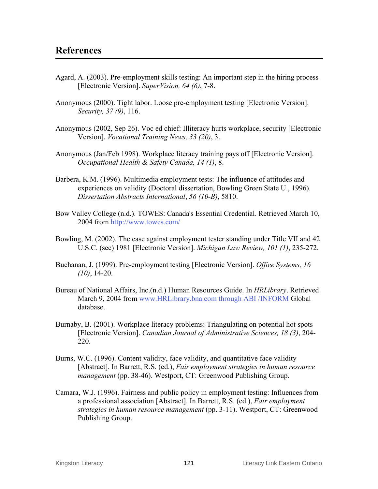- Agard, A. (2003). Pre-employment skills testing: An important step in the hiring process [Electronic Version]. *SuperVision, 64 (6)*, 7-8.
- Anonymous (2000). Tight labor. Loose pre-employment testing [Electronic Version]. *Security, 37 (9)*, 116.
- Anonymous (2002, Sep 26). Voc ed chief: Illiteracy hurts workplace, security [Electronic Version]. *Vocational Training News, 33 (20)*, 3.
- Anonymous (Jan/Feb 1998). Workplace literacy training pays off [Electronic Version]. *Occupational Health & Safety Canada, 14 (1)*, 8.
- Barbera, K.M. (1996). Multimedia employment tests: The influence of attitudes and experiences on validity (Doctoral dissertation, Bowling Green State U., 1996). *Dissertation Abstracts International*, *56 (10-B)*, 5810.
- Bow Valley College (n.d.). TOWES: Canada's Essential Credential. Retrieved March 10, 2004 from http://www.towes.com/
- Bowling, M. (2002). The case against employment tester standing under Title VII and 42 U.S.C. (sec) 1981 [Electronic Version]. *Michigan Law Review, 101 (1)*, 235-272.
- Buchanan, J. (1999). Pre-employment testing [Electronic Version]. *Office Systems, 16 (10)*, 14-20.
- Bureau of National Affairs, Inc.(n.d.) Human Resources Guide. In *HRLibrary*. Retrieved March 9, 2004 from www.HRLibrary.bna.com through ABI /INFORM Global database.
- Burnaby, B. (2001). Workplace literacy problems: Triangulating on potential hot spots [Electronic Version]. *Canadian Journal of Administrative Sciences, 18 (3)*, 204- 220.
- Burns, W.C. (1996). Content validity, face validity, and quantitative face validity [Abstract]. In Barrett, R.S. (ed.), *Fair employment strategies in human resource management* (pp. 38-46). Westport, CT: Greenwood Publishing Group.
- Camara, W.J. (1996). Fairness and public policy in employment testing: Influences from a professional association [Abstract]. In Barrett, R.S. (ed.), *Fair employment strategies in human resource management* (pp. 3-11). Westport, CT: Greenwood Publishing Group.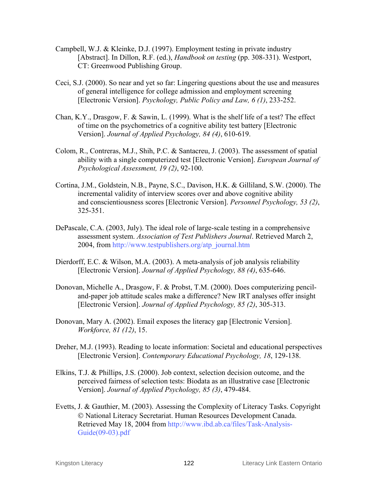- Campbell, W.J. & Kleinke, D.J. (1997). Employment testing in private industry [Abstract]. In Dillon, R.F. (ed.), *Handbook on testing* (pp. 308-331). Westport, CT: Greenwood Publishing Group.
- Ceci, S.J. (2000). So near and yet so far: Lingering questions about the use and measures of general intelligence for college admission and employment screening [Electronic Version]. *Psychology, Public Policy and Law, 6 (1)*, 233-252.
- Chan, K.Y., Drasgow, F. & Sawin, L. (1999). What is the shelf life of a test? The effect of time on the psychometrics of a cognitive ability test battery [Electronic Version]. *Journal of Applied Psychology, 84 (4)*, 610-619.
- Colom, R., Contreras, M.J., Shih, P.C. & Santacreu, J. (2003). The assessment of spatial ability with a single computerized test [Electronic Version]. *European Journal of Psychological Assessment, 19 (2)*, 92-100.
- Cortina, J.M., Goldstein, N.B., Payne, S.C., Davison, H.K. & Gilliland, S.W. (2000). The incremental validity of interview scores over and above cognitive ability and conscientiousness scores [Electronic Version]. *Personnel Psychology, 53 (2)*, 325-351.
- DePascale, C.A. (2003, July). The ideal role of large-scale testing in a comprehensive assessment system. *Association of Test Publishers Journal*. Retrieved March 2, 2004, from http://www.testpublishers.org/atp\_journal.htm
- Dierdorff, E.C. & Wilson, M.A. (2003). A meta-analysis of job analysis reliability [Electronic Version]. *Journal of Applied Psychology, 88 (4)*, 635-646.
- Donovan, Michelle A., Drasgow, F. & Probst, T.M. (2000). Does computerizing penciland-paper job attitude scales make a difference? New IRT analyses offer insight [Electronic Version]. *Journal of Applied Psychology, 85 (2)*, 305-313.
- Donovan, Mary A. (2002). Email exposes the literacy gap [Electronic Version]. *Workforce, 81 (12)*, 15.
- Dreher, M.J. (1993). Reading to locate information: Societal and educational perspectives [Electronic Version]. *Contemporary Educational Psychology, 18*, 129-138.
- Elkins, T.J. & Phillips, J.S. (2000). Job context, selection decision outcome, and the perceived fairness of selection tests: Biodata as an illustrative case [Electronic Version]. *Journal of Applied Psychology, 85 (3)*, 479-484.
- Evetts, J. & Gauthier, M. (2003). Assessing the Complexity of Literacy Tasks. Copyright © National Literacy Secretariat. Human Resources Development Canada. Retrieved May 18, 2004 from http://www.ibd.ab.ca/files/Task-Analysis-Guide(09-03).pdf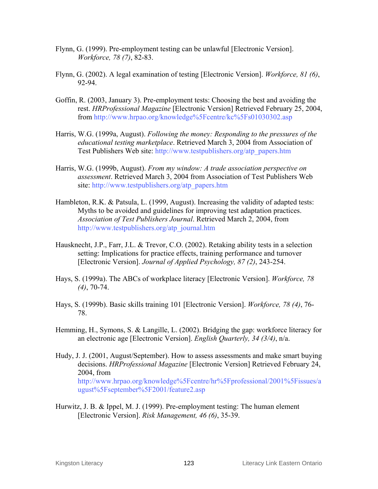- Flynn, G. (1999). Pre-employment testing can be unlawful [Electronic Version]. *Workforce, 78 (7)*, 82-83.
- Flynn, G. (2002). A legal examination of testing [Electronic Version]. *Workforce, 81 (6)*, 92-94.
- Goffin, R. (2003, January 3). Pre-employment tests: Choosing the best and avoiding the rest. *HRProfessional Magazine* [Electronic Version] Retrieved February 25, 2004, from http://www.hrpao.org/knowledge%5Fcentre/kc%5Fs01030302.asp
- Harris, W.G. (1999a, August). *Following the money: Responding to the pressures of the educational testing marketplace*. Retrieved March 3, 2004 from Association of Test Publishers Web site: http://www.testpublishers.org/atp\_papers.htm
- Harris, W.G. (1999b, August). *From my window: A trade association perspective on assessment*. Retrieved March 3, 2004 from Association of Test Publishers Web site: http://www.testpublishers.org/atp\_papers.htm
- Hambleton, R.K. & Patsula, L. (1999, August). Increasing the validity of adapted tests: Myths to be avoided and guidelines for improving test adaptation practices. *Association of Test Publishers Journal*. Retrieved March 2, 2004, from http://www.testpublishers.org/atp\_journal.htm
- Hausknecht, J.P., Farr, J.L. & Trevor, C.O. (2002). Retaking ability tests in a selection setting: Implications for practice effects, training performance and turnover [Electronic Version]. *Journal of Applied Psychology, 87 (2)*, 243-254.
- Hays, S. (1999a). The ABCs of workplace literacy [Electronic Version]. *Workforce, 78 (4)*, 70-74.
- Hays, S. (1999b). Basic skills training 101 [Electronic Version]. *Workforce, 78 (4)*, 76- 78.
- Hemming, H., Symons, S. & Langille, L. (2002). Bridging the gap: workforce literacy for an electronic age [Electronic Version]. *English Quarterly, 34 (3/4)*, n/a.
- Hudy, J. J. (2001, August/September). How to assess assessments and make smart buying decisions. *HRProfessional Magazine* [Electronic Version] Retrieved February 24, 2004, from [http://www.hrpao.org/knowledge%5Fcentre/hr%5Fprofessional/2001%5Fissues/a](http://www.hrpao.org/knowledge%5Fcentre/hr%5Fprofessional/2001%5Fissues/august%5Fseptember%5F2001/feature2.asp) ugust%5Fseptember%5F2001/feature2.asp
- Hurwitz, J. B. & Ippel, M. J. (1999). Pre-employment testing: The human element [Electronic Version]. *Risk Management, 46 (6)*, 35-39.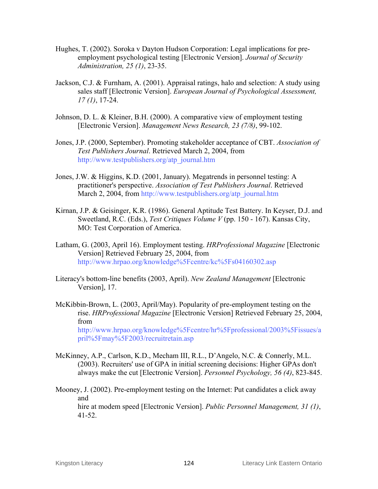- Hughes, T. (2002). Soroka v Dayton Hudson Corporation: Legal implications for preemployment psychological testing [Electronic Version]. *Journal of Security Administration, 25 (1)*, 23-35.
- Jackson, C.J. & Furnham, A. (2001). Appraisal ratings, halo and selection: A study using sales staff [Electronic Version]. *European Journal of Psychological Assessment, 17 (1)*, 17-24.
- Johnson, D. L. & Kleiner, B.H. (2000). A comparative view of employment testing [Electronic Version]. *Management News Research, 23 (7/8)*, 99-102.
- Jones, J.P. (2000, September). Promoting stakeholder acceptance of CBT. *Association of Test Publishers Journal*. Retrieved March 2, 2004, from http://www.testpublishers.org/atp\_journal.htm
- Jones, J.W. & Higgins, K.D. (2001, January). Megatrends in personnel testing: A practitioner's perspective. *Association of Test Publishers Journal*. Retrieved March 2, 2004, from http://www.testpublishers.org/atp\_journal.htm
- Kirnan, J.P. & Geisinger, K.R. (1986). General Aptitude Test Battery. In Keyser, D.J. and Sweetland, R.C. (Eds.), *Test Critiques Volume V* (pp. 150 - 167). Kansas City, MO: Test Corporation of America.
- Latham, G. (2003, April 16). Employment testing. *HRProfessional Magazine* [Electronic Version] Retrieved February 25, 2004, from http://www.hrpao.org/knowledge%5Fcentre/kc%5Fs04160302.asp
- Literacy's bottom-line benefits (2003, April). *New Zealand Management* [Electronic Version], 17.
- McKibbin-Brown, L. (2003, April/May). Popularity of pre-employment testing on the rise. *HRProfessional Magazine* [Electronic Version] Retrieved February 25, 2004, from [http://www.hrpao.org/knowledge%5Fcentre/hr%5Fprofessional/2003%5Fissues/a](http://www.hrpao.org/knowledge%5Fcentre/hr%5Fprofessional/2003%5Fissues/april%5Fmay%5F2003/recruitretain.asp) pril%5Fmay%5F2003/recruitretain.asp
- McKinney, A.P., Carlson, K.D., Mecham III, R.L., D'Angelo, N.C. & Connerly, M.L. (2003). Recruiters' use of GPA in initial screening decisions: Higher GPAs don't always make the cut [Electronic Version]. *Personnel Psychology, 56 (4)*, 823-845.
- Mooney, J. (2002). Pre-employment testing on the Internet: Put candidates a click away and hire at modem speed [Electronic Version]. *Public Personnel Management, 31 (1)*, 41-52.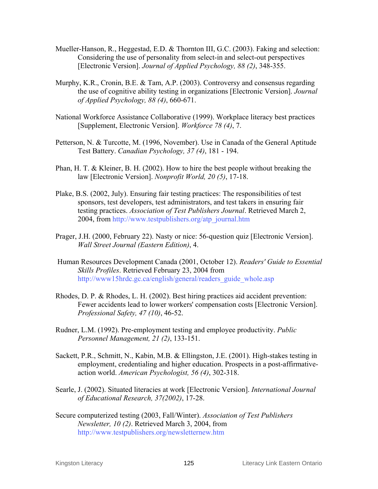- Mueller-Hanson, R., Heggestad, E.D. & Thornton III, G.C. (2003). Faking and selection: Considering the use of personality from select-in and select-out perspectives [Electronic Version]. *Journal of Applied Psychology, 88 (2)*, 348-355.
- Murphy, K.R., Cronin, B.E. & Tam, A.P. (2003). Controversy and consensus regarding the use of cognitive ability testing in organizations [Electronic Version]. *Journal of Applied Psychology, 88 (4)*, 660-671.
- National Workforce Assistance Collaborative (1999). Workplace literacy best practices [Supplement, Electronic Version]. *Workforce 78 (4)*, 7.
- Petterson, N. & Turcotte, M. (1996, November). Use in Canada of the General Aptitude Test Battery. *Canadian Psychology, 37 (4)*, 181 - 194.
- Phan, H. T. & Kleiner, B. H. (2002). How to hire the best people without breaking the law [Electronic Version]. *Nonprofit World, 20 (5)*, 17-18.
- Plake, B.S. (2002, July). Ensuring fair testing practices: The responsibilities of test sponsors, test developers, test administrators, and test takers in ensuring fair testing practices. *Association of Test Publishers Journal*. Retrieved March 2, 2004, from http://www.testpublishers.org/atp\_journal.htm
- Prager, J.H. (2000, February 22). Nasty or nice: 56-question quiz [Electronic Version]. *Wall Street Journal (Eastern Edition)*, 4.
- Human Resources Development Canada (2001, October 12). *Readers' Guide to Essential Skills Profiles*. Retrieved February 23, 2004 from http://www15hrdc.gc.ca/english/general/readers\_guide\_whole.asp
- Rhodes, D. P. & Rhodes, L. H. (2002). Best hiring practices aid accident prevention: Fewer accidents lead to lower workers' compensation costs [Electronic Version]. *Professional Safety, 47 (10)*, 46-52.
- Rudner, L.M. (1992). Pre-employment testing and employee productivity. *Public Personnel Management, 21 (2)*, 133-151.
- Sackett, P.R., Schmitt, N., Kabin, M.B. & Ellingston, J.E. (2001). High-stakes testing in employment, credentialing and higher education. Prospects in a post-affirmativeaction world. *American Psychologist, 56 (4)*, 302-318.
- Searle, J. (2002). Situated literacies at work [Electronic Version]. *International Journal of Educational Research, 37(2002)*, 17-28.
- Secure computerized testing (2003, Fall/Winter). *Association of Test Publishers Newsletter, 10 (2)*. Retrieved March 3, 2004, from http://www.testpublishers.org/newsletternew.htm